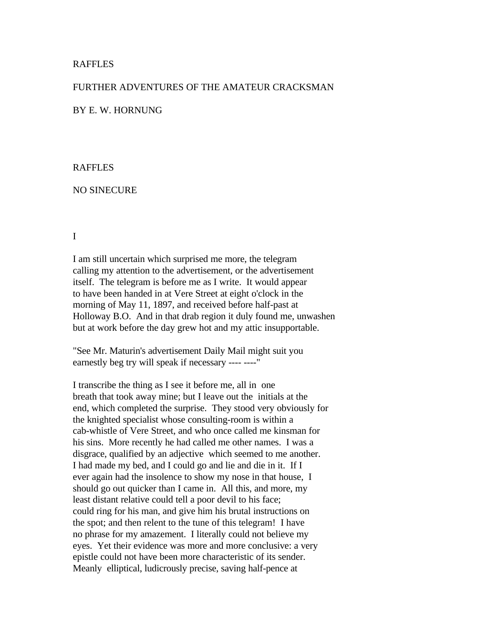## RAFFLES

## FURTHER ADVENTURES OF THE AMATEUR CRACKSMAN

## BY E. W. HORNUNG

#### RAFFLES

#### NO SINECURE

## I

I am still uncertain which surprised me more, the telegram calling my attention to the advertisement, or the advertisement itself. The telegram is before me as I write. It would appear to have been handed in at Vere Street at eight o'clock in the morning of May 11, 1897, and received before half-past at Holloway B.O. And in that drab region it duly found me, unwashen but at work before the day grew hot and my attic insupportable.

"See Mr. Maturin's advertisement Daily Mail might suit you earnestly beg try will speak if necessary ---- ----"

I transcribe the thing as I see it before me, all in one breath that took away mine; but I leave out the initials at the end, which completed the surprise. They stood very obviously for the knighted specialist whose consulting-room is within a cab-whistle of Vere Street, and who once called me kinsman for his sins. More recently he had called me other names. I was a disgrace, qualified by an adjective which seemed to me another. I had made my bed, and I could go and lie and die in it. If I ever again had the insolence to show my nose in that house, I should go out quicker than I came in. All this, and more, my least distant relative could tell a poor devil to his face; could ring for his man, and give him his brutal instructions on the spot; and then relent to the tune of this telegram! I have no phrase for my amazement. I literally could not believe my eyes. Yet their evidence was more and more conclusive: a very epistle could not have been more characteristic of its sender. Meanly elliptical, ludicrously precise, saving half-pence at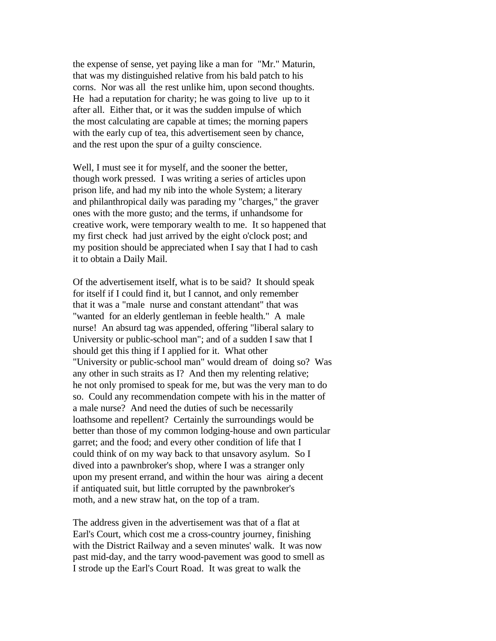the expense of sense, yet paying like a man for "Mr." Maturin, that was my distinguished relative from his bald patch to his corns. Nor was all the rest unlike him, upon second thoughts. He had a reputation for charity; he was going to live up to it after all. Either that, or it was the sudden impulse of which the most calculating are capable at times; the morning papers with the early cup of tea, this advertisement seen by chance, and the rest upon the spur of a guilty conscience.

Well, I must see it for myself, and the sooner the better, though work pressed. I was writing a series of articles upon prison life, and had my nib into the whole System; a literary and philanthropical daily was parading my "charges," the graver ones with the more gusto; and the terms, if unhandsome for creative work, were temporary wealth to me. It so happened that my first check had just arrived by the eight o'clock post; and my position should be appreciated when I say that I had to cash it to obtain a Daily Mail.

Of the advertisement itself, what is to be said? It should speak for itself if I could find it, but I cannot, and only remember that it was a "male nurse and constant attendant" that was "wanted for an elderly gentleman in feeble health." A male nurse! An absurd tag was appended, offering "liberal salary to University or public-school man"; and of a sudden I saw that I should get this thing if I applied for it. What other "University or public-school man" would dream of doing so? Was any other in such straits as I? And then my relenting relative; he not only promised to speak for me, but was the very man to do so. Could any recommendation compete with his in the matter of a male nurse? And need the duties of such be necessarily loathsome and repellent? Certainly the surroundings would be better than those of my common lodging-house and own particular garret; and the food; and every other condition of life that I could think of on my way back to that unsavory asylum. So I dived into a pawnbroker's shop, where I was a stranger only upon my present errand, and within the hour was airing a decent if antiquated suit, but little corrupted by the pawnbroker's moth, and a new straw hat, on the top of a tram.

The address given in the advertisement was that of a flat at Earl's Court, which cost me a cross-country journey, finishing with the District Railway and a seven minutes' walk. It was now past mid-day, and the tarry wood-pavement was good to smell as I strode up the Earl's Court Road. It was great to walk the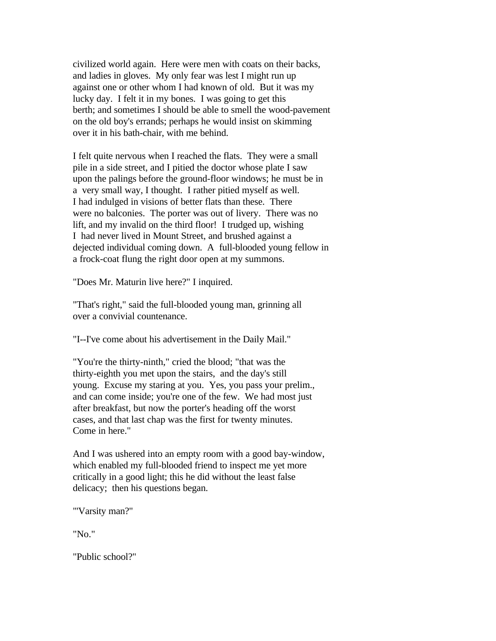civilized world again. Here were men with coats on their backs, and ladies in gloves. My only fear was lest I might run up against one or other whom I had known of old. But it was my lucky day. I felt it in my bones. I was going to get this berth; and sometimes I should be able to smell the wood-pavement on the old boy's errands; perhaps he would insist on skimming over it in his bath-chair, with me behind.

I felt quite nervous when I reached the flats. They were a small pile in a side street, and I pitied the doctor whose plate I saw upon the palings before the ground-floor windows; he must be in a very small way, I thought. I rather pitied myself as well. I had indulged in visions of better flats than these. There were no balconies. The porter was out of livery. There was no lift, and my invalid on the third floor! I trudged up, wishing I had never lived in Mount Street, and brushed against a dejected individual coming down. A full-blooded young fellow in a frock-coat flung the right door open at my summons.

"Does Mr. Maturin live here?" I inquired.

"That's right," said the full-blooded young man, grinning all over a convivial countenance.

"I--I've come about his advertisement in the Daily Mail."

"You're the thirty-ninth," cried the blood; "that was the thirty-eighth you met upon the stairs, and the day's still young. Excuse my staring at you. Yes, you pass your prelim., and can come inside; you're one of the few. We had most just after breakfast, but now the porter's heading off the worst cases, and that last chap was the first for twenty minutes. Come in here."

And I was ushered into an empty room with a good bay-window, which enabled my full-blooded friend to inspect me yet more critically in a good light; this he did without the least false delicacy; then his questions began.

"'Varsity man?"

"No."

"Public school?"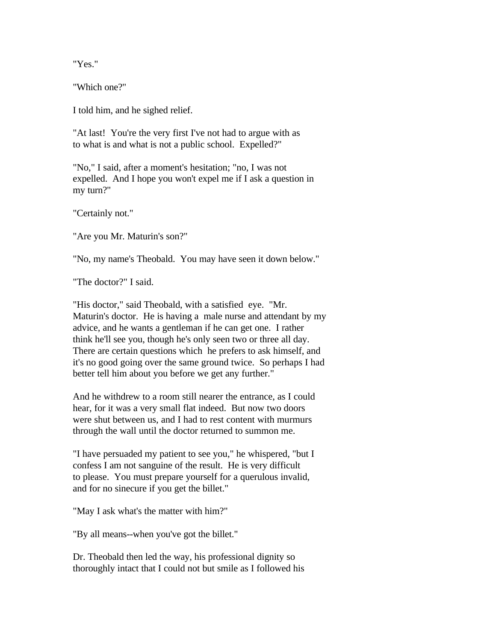"Yes."

"Which one?"

I told him, and he sighed relief.

"At last! You're the very first I've not had to argue with as to what is and what is not a public school. Expelled?"

"No," I said, after a moment's hesitation; "no, I was not expelled. And I hope you won't expel me if I ask a question in my turn?"

"Certainly not."

"Are you Mr. Maturin's son?"

"No, my name's Theobald. You may have seen it down below."

"The doctor?" I said.

"His doctor," said Theobald, with a satisfied eye. "Mr. Maturin's doctor. He is having a male nurse and attendant by my advice, and he wants a gentleman if he can get one. I rather think he'll see you, though he's only seen two or three all day. There are certain questions which he prefers to ask himself, and it's no good going over the same ground twice. So perhaps I had better tell him about you before we get any further."

And he withdrew to a room still nearer the entrance, as I could hear, for it was a very small flat indeed. But now two doors were shut between us, and I had to rest content with murmurs through the wall until the doctor returned to summon me.

"I have persuaded my patient to see you," he whispered, "but I confess I am not sanguine of the result. He is very difficult to please. You must prepare yourself for a querulous invalid, and for no sinecure if you get the billet."

"May I ask what's the matter with him?"

"By all means--when you've got the billet."

Dr. Theobald then led the way, his professional dignity so thoroughly intact that I could not but smile as I followed his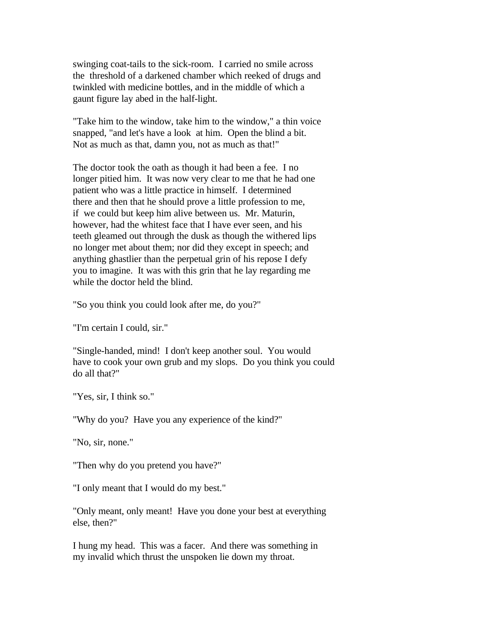swinging coat-tails to the sick-room. I carried no smile across the threshold of a darkened chamber which reeked of drugs and twinkled with medicine bottles, and in the middle of which a gaunt figure lay abed in the half-light.

"Take him to the window, take him to the window," a thin voice snapped, "and let's have a look at him. Open the blind a bit. Not as much as that, damn you, not as much as that!"

The doctor took the oath as though it had been a fee. I no longer pitied him. It was now very clear to me that he had one patient who was a little practice in himself. I determined there and then that he should prove a little profession to me, if we could but keep him alive between us. Mr. Maturin, however, had the whitest face that I have ever seen, and his teeth gleamed out through the dusk as though the withered lips no longer met about them; nor did they except in speech; and anything ghastlier than the perpetual grin of his repose I defy you to imagine. It was with this grin that he lay regarding me while the doctor held the blind.

"So you think you could look after me, do you?"

"I'm certain I could, sir."

"Single-handed, mind! I don't keep another soul. You would have to cook your own grub and my slops. Do you think you could do all that?"

"Yes, sir, I think so."

"Why do you? Have you any experience of the kind?"

"No, sir, none."

"Then why do you pretend you have?"

"I only meant that I would do my best."

"Only meant, only meant! Have you done your best at everything else, then?"

I hung my head. This was a facer. And there was something in my invalid which thrust the unspoken lie down my throat.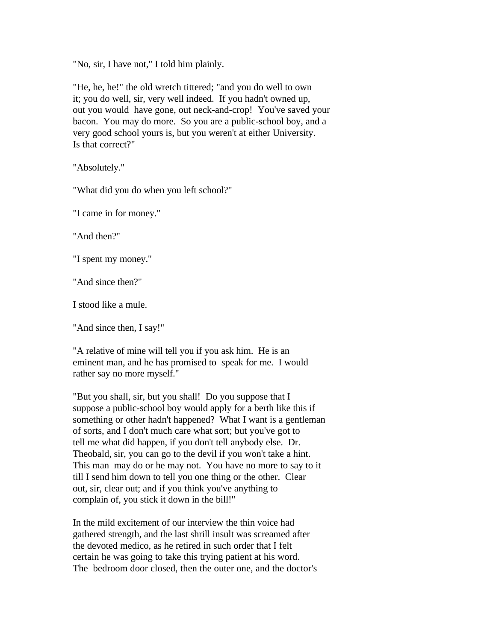"No, sir, I have not," I told him plainly.

"He, he, he!" the old wretch tittered; "and you do well to own it; you do well, sir, very well indeed. If you hadn't owned up, out you would have gone, out neck-and-crop! You've saved your bacon. You may do more. So you are a public-school boy, and a very good school yours is, but you weren't at either University. Is that correct?"

"Absolutely."

"What did you do when you left school?"

"I came in for money."

"And then?"

"I spent my money."

"And since then?"

I stood like a mule.

"And since then, I say!"

"A relative of mine will tell you if you ask him. He is an eminent man, and he has promised to speak for me. I would rather say no more myself."

"But you shall, sir, but you shall! Do you suppose that I suppose a public-school boy would apply for a berth like this if something or other hadn't happened? What I want is a gentleman of sorts, and I don't much care what sort; but you've got to tell me what did happen, if you don't tell anybody else. Dr. Theobald, sir, you can go to the devil if you won't take a hint. This man may do or he may not. You have no more to say to it till I send him down to tell you one thing or the other. Clear out, sir, clear out; and if you think you've anything to complain of, you stick it down in the bill!"

In the mild excitement of our interview the thin voice had gathered strength, and the last shrill insult was screamed after the devoted medico, as he retired in such order that I felt certain he was going to take this trying patient at his word. The bedroom door closed, then the outer one, and the doctor's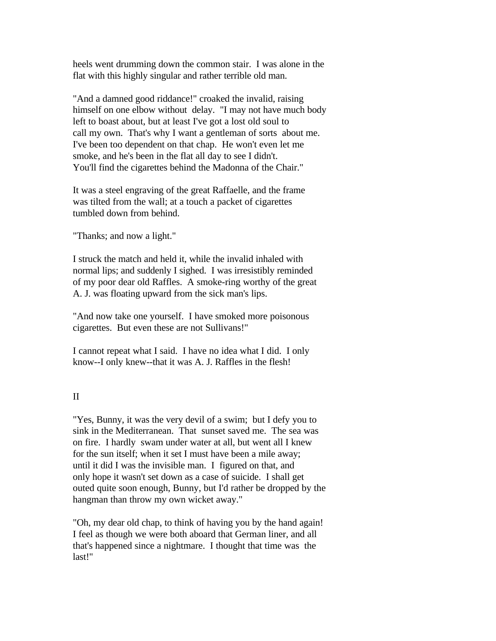heels went drumming down the common stair. I was alone in the flat with this highly singular and rather terrible old man.

"And a damned good riddance!" croaked the invalid, raising himself on one elbow without delay. "I may not have much body left to boast about, but at least I've got a lost old soul to call my own. That's why I want a gentleman of sorts about me. I've been too dependent on that chap. He won't even let me smoke, and he's been in the flat all day to see I didn't. You'll find the cigarettes behind the Madonna of the Chair."

It was a steel engraving of the great Raffaelle, and the frame was tilted from the wall; at a touch a packet of cigarettes tumbled down from behind.

"Thanks; and now a light."

I struck the match and held it, while the invalid inhaled with normal lips; and suddenly I sighed. I was irresistibly reminded of my poor dear old Raffles. A smoke-ring worthy of the great A. J. was floating upward from the sick man's lips.

"And now take one yourself. I have smoked more poisonous cigarettes. But even these are not Sullivans!"

I cannot repeat what I said. I have no idea what I did. I only know--I only knew--that it was A. J. Raffles in the flesh!

# II

"Yes, Bunny, it was the very devil of a swim; but I defy you to sink in the Mediterranean. That sunset saved me. The sea was on fire. I hardly swam under water at all, but went all I knew for the sun itself; when it set I must have been a mile away; until it did I was the invisible man. I figured on that, and only hope it wasn't set down as a case of suicide. I shall get outed quite soon enough, Bunny, but I'd rather be dropped by the hangman than throw my own wicket away."

"Oh, my dear old chap, to think of having you by the hand again! I feel as though we were both aboard that German liner, and all that's happened since a nightmare. I thought that time was the last!"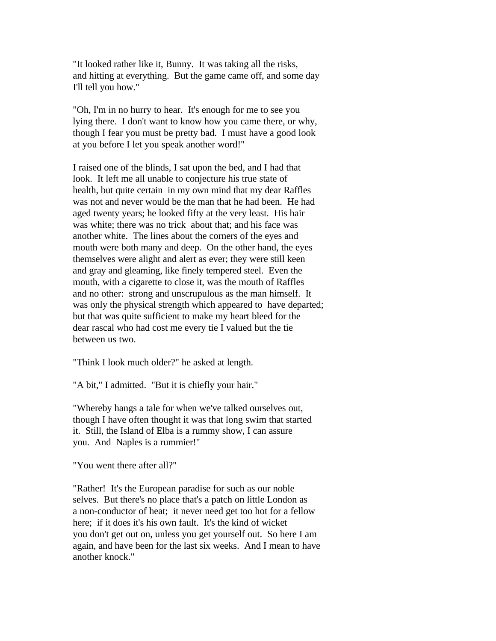"It looked rather like it, Bunny. It was taking all the risks, and hitting at everything. But the game came off, and some day I'll tell you how."

"Oh, I'm in no hurry to hear. It's enough for me to see you lying there. I don't want to know how you came there, or why, though I fear you must be pretty bad. I must have a good look at you before I let you speak another word!"

I raised one of the blinds, I sat upon the bed, and I had that look. It left me all unable to conjecture his true state of health, but quite certain in my own mind that my dear Raffles was not and never would be the man that he had been. He had aged twenty years; he looked fifty at the very least. His hair was white; there was no trick about that; and his face was another white. The lines about the corners of the eyes and mouth were both many and deep. On the other hand, the eyes themselves were alight and alert as ever; they were still keen and gray and gleaming, like finely tempered steel. Even the mouth, with a cigarette to close it, was the mouth of Raffles and no other: strong and unscrupulous as the man himself. It was only the physical strength which appeared to have departed; but that was quite sufficient to make my heart bleed for the dear rascal who had cost me every tie I valued but the tie between us two.

"Think I look much older?" he asked at length.

"A bit," I admitted. "But it is chiefly your hair."

"Whereby hangs a tale for when we've talked ourselves out, though I have often thought it was that long swim that started it. Still, the Island of Elba is a rummy show, I can assure you. And Naples is a rummier!"

"You went there after all?"

"Rather! It's the European paradise for such as our noble selves. But there's no place that's a patch on little London as a non-conductor of heat; it never need get too hot for a fellow here; if it does it's his own fault. It's the kind of wicket you don't get out on, unless you get yourself out. So here I am again, and have been for the last six weeks. And I mean to have another knock."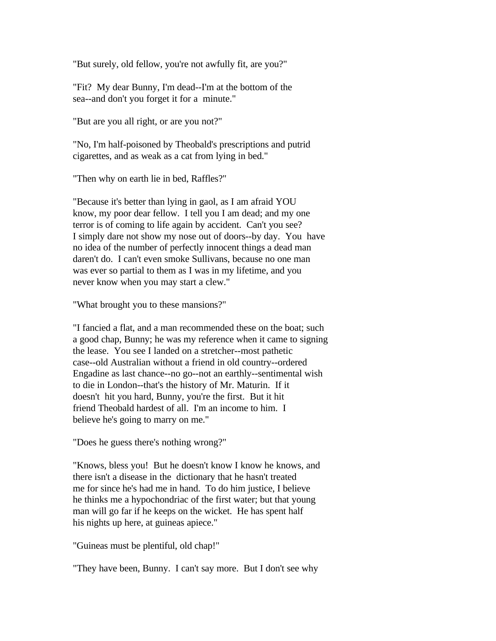"But surely, old fellow, you're not awfully fit, are you?"

"Fit? My dear Bunny, I'm dead--I'm at the bottom of the sea--and don't you forget it for a minute."

"But are you all right, or are you not?"

"No, I'm half-poisoned by Theobald's prescriptions and putrid cigarettes, and as weak as a cat from lying in bed."

"Then why on earth lie in bed, Raffles?"

"Because it's better than lying in gaol, as I am afraid YOU know, my poor dear fellow. I tell you I am dead; and my one terror is of coming to life again by accident. Can't you see? I simply dare not show my nose out of doors--by day. You have no idea of the number of perfectly innocent things a dead man daren't do. I can't even smoke Sullivans, because no one man was ever so partial to them as I was in my lifetime, and you never know when you may start a clew."

"What brought you to these mansions?"

"I fancied a flat, and a man recommended these on the boat; such a good chap, Bunny; he was my reference when it came to signing the lease. You see I landed on a stretcher--most pathetic case--old Australian without a friend in old country--ordered Engadine as last chance--no go--not an earthly--sentimental wish to die in London--that's the history of Mr. Maturin. If it doesn't hit you hard, Bunny, you're the first. But it hit friend Theobald hardest of all. I'm an income to him. I believe he's going to marry on me."

"Does he guess there's nothing wrong?"

"Knows, bless you! But he doesn't know I know he knows, and there isn't a disease in the dictionary that he hasn't treated me for since he's had me in hand. To do him justice, I believe he thinks me a hypochondriac of the first water; but that young man will go far if he keeps on the wicket. He has spent half his nights up here, at guineas apiece."

"Guineas must be plentiful, old chap!"

"They have been, Bunny. I can't say more. But I don't see why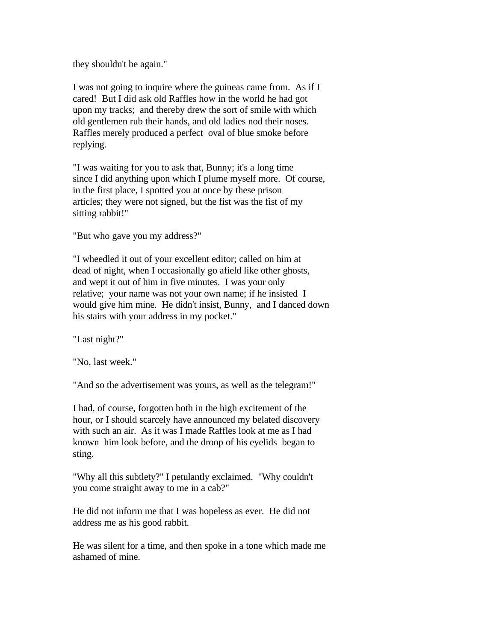they shouldn't be again."

I was not going to inquire where the guineas came from. As if I cared! But I did ask old Raffles how in the world he had got upon my tracks; and thereby drew the sort of smile with which old gentlemen rub their hands, and old ladies nod their noses. Raffles merely produced a perfect oval of blue smoke before replying.

"I was waiting for you to ask that, Bunny; it's a long time since I did anything upon which I plume myself more. Of course, in the first place, I spotted you at once by these prison articles; they were not signed, but the fist was the fist of my sitting rabbit!"

"But who gave you my address?"

"I wheedled it out of your excellent editor; called on him at dead of night, when I occasionally go afield like other ghosts, and wept it out of him in five minutes. I was your only relative; your name was not your own name; if he insisted I would give him mine. He didn't insist, Bunny, and I danced down his stairs with your address in my pocket."

"Last night?"

"No, last week."

"And so the advertisement was yours, as well as the telegram!"

I had, of course, forgotten both in the high excitement of the hour, or I should scarcely have announced my belated discovery with such an air. As it was I made Raffles look at me as I had known him look before, and the droop of his eyelids began to sting.

"Why all this subtlety?" I petulantly exclaimed. "Why couldn't you come straight away to me in a cab?"

He did not inform me that I was hopeless as ever. He did not address me as his good rabbit.

He was silent for a time, and then spoke in a tone which made me ashamed of mine.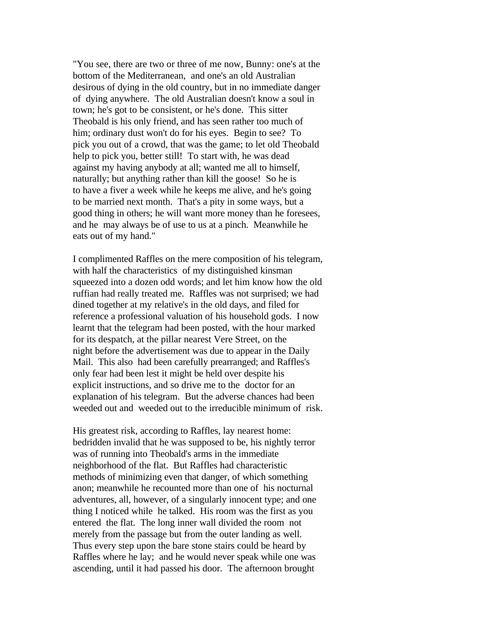"You see, there are two or three of me now, Bunny: one's at the bottom of the Mediterranean, and one's an old Australian desirous of dying in the old country, but in no immediate danger of dying anywhere. The old Australian doesn't know a soul in town; he's got to be consistent, or he's done. This sitter Theobald is his only friend, and has seen rather too much of him; ordinary dust won't do for his eyes. Begin to see? To pick you out of a crowd, that was the game; to let old Theobald help to pick you, better still! To start with, he was dead against my having anybody at all; wanted me all to himself, naturally; but anything rather than kill the goose! So he is to have a fiver a week while he keeps me alive, and he's going to be married next month. That's a pity in some ways, but a good thing in others; he will want more money than he foresees, and he may always be of use to us at a pinch. Meanwhile he eats out of my hand."

I complimented Raffles on the mere composition of his telegram, with half the characteristics of my distinguished kinsman squeezed into a dozen odd words; and let him know how the old ruffian had really treated me. Raffles was not surprised; we had dined together at my relative's in the old days, and filed for reference a professional valuation of his household gods. I now learnt that the telegram had been posted, with the hour marked for its despatch, at the pillar nearest Vere Street, on the night before the advertisement was due to appear in the Daily Mail. This also had been carefully prearranged; and Raffles's only fear had been lest it might be held over despite his explicit instructions, and so drive me to the doctor for an explanation of his telegram. But the adverse chances had been weeded out and weeded out to the irreducible minimum of risk.

His greatest risk, according to Raffles, lay nearest home: bedridden invalid that he was supposed to be, his nightly terror was of running into Theobald's arms in the immediate neighborhood of the flat. But Raffles had characteristic methods of minimizing even that danger, of which something anon; meanwhile he recounted more than one of his nocturnal adventures, all, however, of a singularly innocent type; and one thing I noticed while he talked. His room was the first as you entered the flat. The long inner wall divided the room not merely from the passage but from the outer landing as well. Thus every step upon the bare stone stairs could be heard by Raffles where he lay; and he would never speak while one was ascending, until it had passed his door. The afternoon brought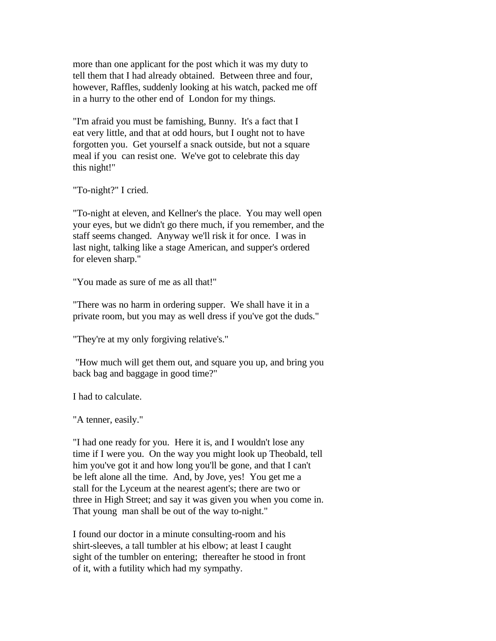more than one applicant for the post which it was my duty to tell them that I had already obtained. Between three and four, however, Raffles, suddenly looking at his watch, packed me off in a hurry to the other end of London for my things.

"I'm afraid you must be famishing, Bunny. It's a fact that I eat very little, and that at odd hours, but I ought not to have forgotten you. Get yourself a snack outside, but not a square meal if you can resist one. We've got to celebrate this day this night!"

"To-night?" I cried.

"To-night at eleven, and Kellner's the place. You may well open your eyes, but we didn't go there much, if you remember, and the staff seems changed. Anyway we'll risk it for once. I was in last night, talking like a stage American, and supper's ordered for eleven sharp."

"You made as sure of me as all that!"

"There was no harm in ordering supper. We shall have it in a private room, but you may as well dress if you've got the duds."

"They're at my only forgiving relative's."

 "How much will get them out, and square you up, and bring you back bag and baggage in good time?"

I had to calculate.

"A tenner, easily."

"I had one ready for you. Here it is, and I wouldn't lose any time if I were you. On the way you might look up Theobald, tell him you've got it and how long you'll be gone, and that I can't be left alone all the time. And, by Jove, yes! You get me a stall for the Lyceum at the nearest agent's; there are two or three in High Street; and say it was given you when you come in. That young man shall be out of the way to-night."

I found our doctor in a minute consulting-room and his shirt-sleeves, a tall tumbler at his elbow; at least I caught sight of the tumbler on entering; thereafter he stood in front of it, with a futility which had my sympathy.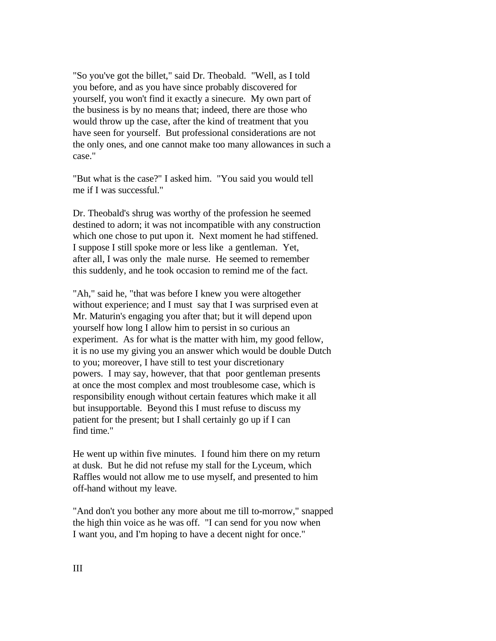"So you've got the billet," said Dr. Theobald. "Well, as I told you before, and as you have since probably discovered for yourself, you won't find it exactly a sinecure. My own part of the business is by no means that; indeed, there are those who would throw up the case, after the kind of treatment that you have seen for yourself. But professional considerations are not the only ones, and one cannot make too many allowances in such a case."

"But what is the case?" I asked him. "You said you would tell me if I was successful."

Dr. Theobald's shrug was worthy of the profession he seemed destined to adorn; it was not incompatible with any construction which one chose to put upon it. Next moment he had stiffened. I suppose I still spoke more or less like a gentleman. Yet, after all, I was only the male nurse. He seemed to remember this suddenly, and he took occasion to remind me of the fact.

"Ah," said he, "that was before I knew you were altogether without experience; and I must say that I was surprised even at Mr. Maturin's engaging you after that; but it will depend upon yourself how long I allow him to persist in so curious an experiment. As for what is the matter with him, my good fellow, it is no use my giving you an answer which would be double Dutch to you; moreover, I have still to test your discretionary powers. I may say, however, that that poor gentleman presents at once the most complex and most troublesome case, which is responsibility enough without certain features which make it all but insupportable. Beyond this I must refuse to discuss my patient for the present; but I shall certainly go up if I can find time."

He went up within five minutes. I found him there on my return at dusk. But he did not refuse my stall for the Lyceum, which Raffles would not allow me to use myself, and presented to him off-hand without my leave.

"And don't you bother any more about me till to-morrow," snapped the high thin voice as he was off. "I can send for you now when I want you, and I'm hoping to have a decent night for once."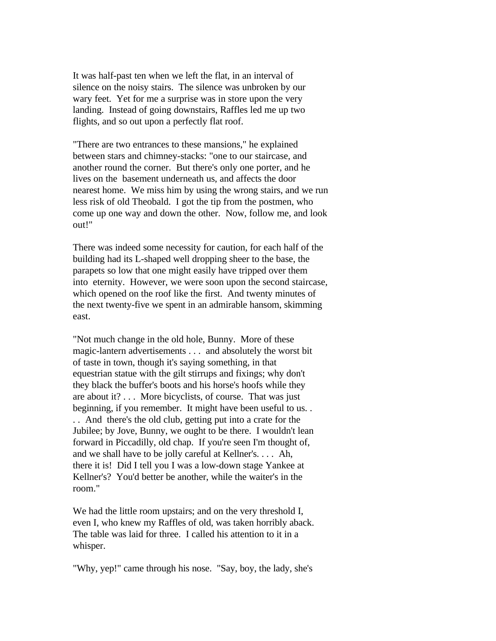It was half-past ten when we left the flat, in an interval of silence on the noisy stairs. The silence was unbroken by our wary feet. Yet for me a surprise was in store upon the very landing. Instead of going downstairs, Raffles led me up two flights, and so out upon a perfectly flat roof.

"There are two entrances to these mansions," he explained between stars and chimney-stacks: "one to our staircase, and another round the corner. But there's only one porter, and he lives on the basement underneath us, and affects the door nearest home. We miss him by using the wrong stairs, and we run less risk of old Theobald. I got the tip from the postmen, who come up one way and down the other. Now, follow me, and look out!"

There was indeed some necessity for caution, for each half of the building had its L-shaped well dropping sheer to the base, the parapets so low that one might easily have tripped over them into eternity. However, we were soon upon the second staircase, which opened on the roof like the first. And twenty minutes of the next twenty-five we spent in an admirable hansom, skimming east.

"Not much change in the old hole, Bunny. More of these magic-lantern advertisements . . . and absolutely the worst bit of taste in town, though it's saying something, in that equestrian statue with the gilt stirrups and fixings; why don't they black the buffer's boots and his horse's hoofs while they are about it? . . . More bicyclists, of course. That was just beginning, if you remember. It might have been useful to us. . . . And there's the old club, getting put into a crate for the Jubilee; by Jove, Bunny, we ought to be there. I wouldn't lean forward in Piccadilly, old chap. If you're seen I'm thought of, and we shall have to be jolly careful at Kellner's. . . . Ah, there it is! Did I tell you I was a low-down stage Yankee at Kellner's? You'd better be another, while the waiter's in the room."

We had the little room upstairs; and on the very threshold I, even I, who knew my Raffles of old, was taken horribly aback. The table was laid for three. I called his attention to it in a whisper.

"Why, yep!" came through his nose. "Say, boy, the lady, she's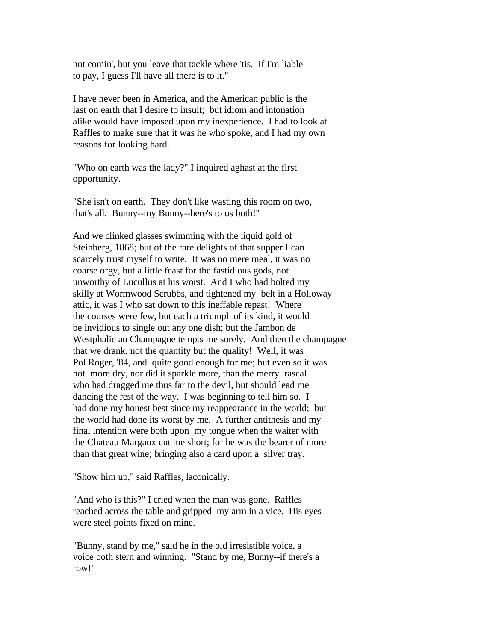not comin', but you leave that tackle where 'tis. If I'm liable to pay, I guess I'll have all there is to it."

I have never been in America, and the American public is the last on earth that I desire to insult; but idiom and intonation alike would have imposed upon my inexperience. I had to look at Raffles to make sure that it was he who spoke, and I had my own reasons for looking hard.

"Who on earth was the lady?" I inquired aghast at the first opportunity.

"She isn't on earth. They don't like wasting this room on two, that's all. Bunny--my Bunny--here's to us both!"

And we clinked glasses swimming with the liquid gold of Steinberg, 1868; but of the rare delights of that supper I can scarcely trust myself to write. It was no mere meal, it was no coarse orgy, but a little feast for the fastidious gods, not unworthy of Lucullus at his worst. And I who had bolted my skilly at Wormwood Scrubbs, and tightened my belt in a Holloway attic, it was I who sat down to this ineffable repast! Where the courses were few, but each a triumph of its kind, it would be invidious to single out any one dish; but the Jambon de Westphalie au Champagne tempts me sorely. And then the champagne that we drank, not the quantity but the quality! Well, it was Pol Roger, '84, and quite good enough for me; but even so it was not more dry, nor did it sparkle more, than the merry rascal who had dragged me thus far to the devil, but should lead me dancing the rest of the way. I was beginning to tell him so. I had done my honest best since my reappearance in the world; but the world had done its worst by me. A further antithesis and my final intention were both upon my tongue when the waiter with the Chateau Margaux cut me short; for he was the bearer of more than that great wine; bringing also a card upon a silver tray.

"Show him up," said Raffles, laconically.

"And who is this?" I cried when the man was gone. Raffles reached across the table and gripped my arm in a vice. His eyes were steel points fixed on mine.

"Bunny, stand by me," said he in the old irresistible voice, a voice both stern and winning. "Stand by me, Bunny--if there's a row!"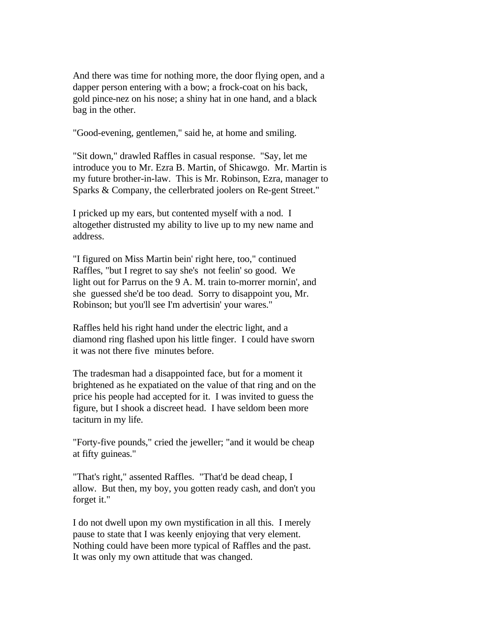And there was time for nothing more, the door flying open, and a dapper person entering with a bow; a frock-coat on his back, gold pince-nez on his nose; a shiny hat in one hand, and a black bag in the other.

"Good-evening, gentlemen," said he, at home and smiling.

"Sit down," drawled Raffles in casual response. "Say, let me introduce you to Mr. Ezra B. Martin, of Shicawgo. Mr. Martin is my future brother-in-law. This is Mr. Robinson, Ezra, manager to Sparks & Company, the cellerbrated joolers on Re-gent Street."

I pricked up my ears, but contented myself with a nod. I altogether distrusted my ability to live up to my new name and address.

"I figured on Miss Martin bein' right here, too," continued Raffles, "but I regret to say she's not feelin' so good. We light out for Parrus on the 9 A. M. train to-morrer mornin', and she guessed she'd be too dead. Sorry to disappoint you, Mr. Robinson; but you'll see I'm advertisin' your wares."

Raffles held his right hand under the electric light, and a diamond ring flashed upon his little finger. I could have sworn it was not there five minutes before.

The tradesman had a disappointed face, but for a moment it brightened as he expatiated on the value of that ring and on the price his people had accepted for it. I was invited to guess the figure, but I shook a discreet head. I have seldom been more taciturn in my life.

"Forty-five pounds," cried the jeweller; "and it would be cheap at fifty guineas."

"That's right," assented Raffles. "That'd be dead cheap, I allow. But then, my boy, you gotten ready cash, and don't you forget it."

I do not dwell upon my own mystification in all this. I merely pause to state that I was keenly enjoying that very element. Nothing could have been more typical of Raffles and the past. It was only my own attitude that was changed.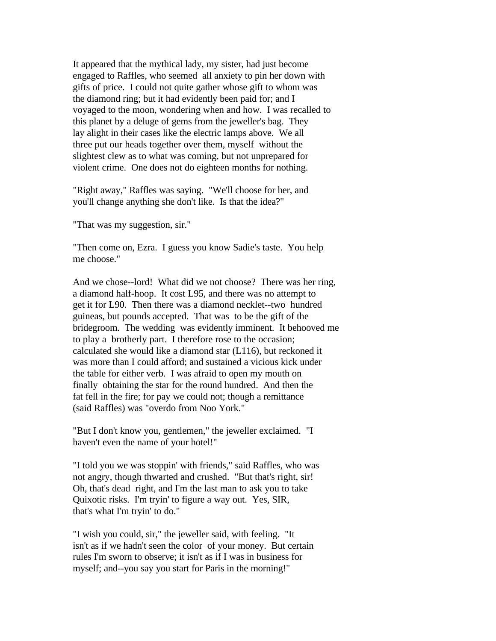It appeared that the mythical lady, my sister, had just become engaged to Raffles, who seemed all anxiety to pin her down with gifts of price. I could not quite gather whose gift to whom was the diamond ring; but it had evidently been paid for; and I voyaged to the moon, wondering when and how. I was recalled to this planet by a deluge of gems from the jeweller's bag. They lay alight in their cases like the electric lamps above. We all three put our heads together over them, myself without the slightest clew as to what was coming, but not unprepared for violent crime. One does not do eighteen months for nothing.

"Right away," Raffles was saying. "We'll choose for her, and you'll change anything she don't like. Is that the idea?"

"That was my suggestion, sir."

"Then come on, Ezra. I guess you know Sadie's taste. You help me choose."

And we chose--lord! What did we not choose? There was her ring, a diamond half-hoop. It cost L95, and there was no attempt to get it for L90. Then there was a diamond necklet--two hundred guineas, but pounds accepted. That was to be the gift of the bridegroom. The wedding was evidently imminent. It behooved me to play a brotherly part. I therefore rose to the occasion; calculated she would like a diamond star (L116), but reckoned it was more than I could afford; and sustained a vicious kick under the table for either verb. I was afraid to open my mouth on finally obtaining the star for the round hundred. And then the fat fell in the fire; for pay we could not; though a remittance (said Raffles) was "overdo from Noo York."

"But I don't know you, gentlemen," the jeweller exclaimed. "I haven't even the name of your hotel!"

"I told you we was stoppin' with friends," said Raffles, who was not angry, though thwarted and crushed. "But that's right, sir! Oh, that's dead right, and I'm the last man to ask you to take Quixotic risks. I'm tryin' to figure a way out. Yes, SIR, that's what I'm tryin' to do."

"I wish you could, sir," the jeweller said, with feeling. "It isn't as if we hadn't seen the color of your money. But certain rules I'm sworn to observe; it isn't as if I was in business for myself; and--you say you start for Paris in the morning!"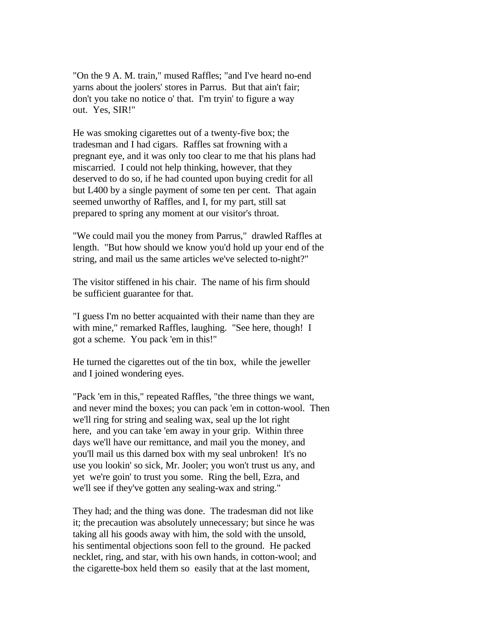"On the 9 A. M. train," mused Raffles; "and I've heard no-end yarns about the joolers' stores in Parrus. But that ain't fair; don't you take no notice o' that. I'm tryin' to figure a way out. Yes, SIR!"

He was smoking cigarettes out of a twenty-five box; the tradesman and I had cigars. Raffles sat frowning with a pregnant eye, and it was only too clear to me that his plans had miscarried. I could not help thinking, however, that they deserved to do so, if he had counted upon buying credit for all but L400 by a single payment of some ten per cent. That again seemed unworthy of Raffles, and I, for my part, still sat prepared to spring any moment at our visitor's throat.

"We could mail you the money from Parrus," drawled Raffles at length. "But how should we know you'd hold up your end of the string, and mail us the same articles we've selected to-night?"

The visitor stiffened in his chair. The name of his firm should be sufficient guarantee for that.

"I guess I'm no better acquainted with their name than they are with mine," remarked Raffles, laughing. "See here, though! I got a scheme. You pack 'em in this!"

He turned the cigarettes out of the tin box, while the jeweller and I joined wondering eyes.

"Pack 'em in this," repeated Raffles, "the three things we want, and never mind the boxes; you can pack 'em in cotton-wool. Then we'll ring for string and sealing wax, seal up the lot right here, and you can take 'em away in your grip. Within three days we'll have our remittance, and mail you the money, and you'll mail us this darned box with my seal unbroken! It's no use you lookin' so sick, Mr. Jooler; you won't trust us any, and yet we're goin' to trust you some. Ring the bell, Ezra, and we'll see if they've gotten any sealing-wax and string."

They had; and the thing was done. The tradesman did not like it; the precaution was absolutely unnecessary; but since he was taking all his goods away with him, the sold with the unsold, his sentimental objections soon fell to the ground. He packed necklet, ring, and star, with his own hands, in cotton-wool; and the cigarette-box held them so easily that at the last moment,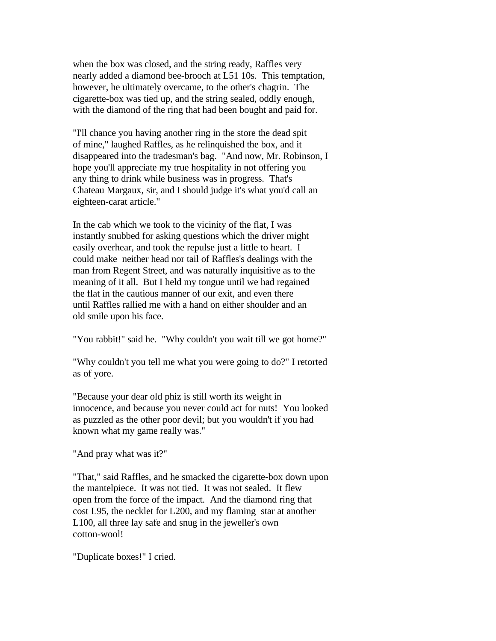when the box was closed, and the string ready, Raffles very nearly added a diamond bee-brooch at L51 10s. This temptation, however, he ultimately overcame, to the other's chagrin. The cigarette-box was tied up, and the string sealed, oddly enough, with the diamond of the ring that had been bought and paid for.

"I'll chance you having another ring in the store the dead spit of mine," laughed Raffles, as he relinquished the box, and it disappeared into the tradesman's bag. "And now, Mr. Robinson, I hope you'll appreciate my true hospitality in not offering you any thing to drink while business was in progress. That's Chateau Margaux, sir, and I should judge it's what you'd call an eighteen-carat article."

In the cab which we took to the vicinity of the flat, I was instantly snubbed for asking questions which the driver might easily overhear, and took the repulse just a little to heart. I could make neither head nor tail of Raffles's dealings with the man from Regent Street, and was naturally inquisitive as to the meaning of it all. But I held my tongue until we had regained the flat in the cautious manner of our exit, and even there until Raffles rallied me with a hand on either shoulder and an old smile upon his face.

"You rabbit!" said he. "Why couldn't you wait till we got home?"

"Why couldn't you tell me what you were going to do?" I retorted as of yore.

"Because your dear old phiz is still worth its weight in innocence, and because you never could act for nuts! You looked as puzzled as the other poor devil; but you wouldn't if you had known what my game really was."

"And pray what was it?"

"That," said Raffles, and he smacked the cigarette-box down upon the mantelpiece. It was not tied. It was not sealed. It flew open from the force of the impact. And the diamond ring that cost L95, the necklet for L200, and my flaming star at another L100, all three lay safe and snug in the jeweller's own cotton-wool!

"Duplicate boxes!" I cried.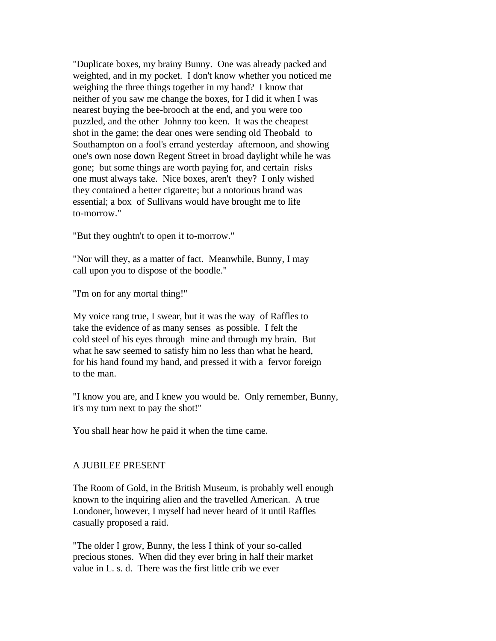"Duplicate boxes, my brainy Bunny. One was already packed and weighted, and in my pocket. I don't know whether you noticed me weighing the three things together in my hand? I know that neither of you saw me change the boxes, for I did it when I was nearest buying the bee-brooch at the end, and you were too puzzled, and the other Johnny too keen. It was the cheapest shot in the game; the dear ones were sending old Theobald to Southampton on a fool's errand yesterday afternoon, and showing one's own nose down Regent Street in broad daylight while he was gone; but some things are worth paying for, and certain risks one must always take. Nice boxes, aren't they? I only wished they contained a better cigarette; but a notorious brand was essential; a box of Sullivans would have brought me to life to-morrow."

"But they oughtn't to open it to-morrow."

"Nor will they, as a matter of fact. Meanwhile, Bunny, I may call upon you to dispose of the boodle."

"I'm on for any mortal thing!"

My voice rang true, I swear, but it was the way of Raffles to take the evidence of as many senses as possible. I felt the cold steel of his eyes through mine and through my brain. But what he saw seemed to satisfy him no less than what he heard, for his hand found my hand, and pressed it with a fervor foreign to the man.

"I know you are, and I knew you would be. Only remember, Bunny, it's my turn next to pay the shot!"

You shall hear how he paid it when the time came.

# A JUBILEE PRESENT

The Room of Gold, in the British Museum, is probably well enough known to the inquiring alien and the travelled American. A true Londoner, however, I myself had never heard of it until Raffles casually proposed a raid.

"The older I grow, Bunny, the less I think of your so-called precious stones. When did they ever bring in half their market value in L. s. d. There was the first little crib we ever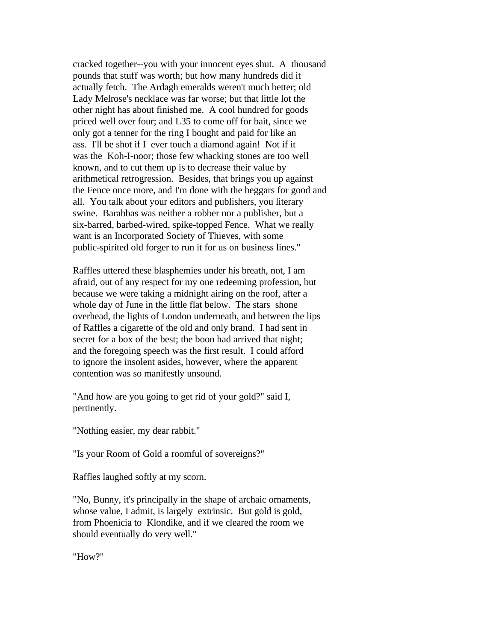cracked together--you with your innocent eyes shut. A thousand pounds that stuff was worth; but how many hundreds did it actually fetch. The Ardagh emeralds weren't much better; old Lady Melrose's necklace was far worse; but that little lot the other night has about finished me. A cool hundred for goods priced well over four; and L35 to come off for bait, since we only got a tenner for the ring I bought and paid for like an ass. I'll be shot if I ever touch a diamond again! Not if it was the Koh-I-noor; those few whacking stones are too well known, and to cut them up is to decrease their value by arithmetical retrogression. Besides, that brings you up against the Fence once more, and I'm done with the beggars for good and all. You talk about your editors and publishers, you literary swine. Barabbas was neither a robber nor a publisher, but a six-barred, barbed-wired, spike-topped Fence. What we really want is an Incorporated Society of Thieves, with some public-spirited old forger to run it for us on business lines."

Raffles uttered these blasphemies under his breath, not, I am afraid, out of any respect for my one redeeming profession, but because we were taking a midnight airing on the roof, after a whole day of June in the little flat below. The stars shone overhead, the lights of London underneath, and between the lips of Raffles a cigarette of the old and only brand. I had sent in secret for a box of the best; the boon had arrived that night; and the foregoing speech was the first result. I could afford to ignore the insolent asides, however, where the apparent contention was so manifestly unsound.

"And how are you going to get rid of your gold?" said I, pertinently.

"Nothing easier, my dear rabbit."

"Is your Room of Gold a roomful of sovereigns?"

Raffles laughed softly at my scorn.

"No, Bunny, it's principally in the shape of archaic ornaments, whose value, I admit, is largely extrinsic. But gold is gold, from Phoenicia to Klondike, and if we cleared the room we should eventually do very well."

"How?"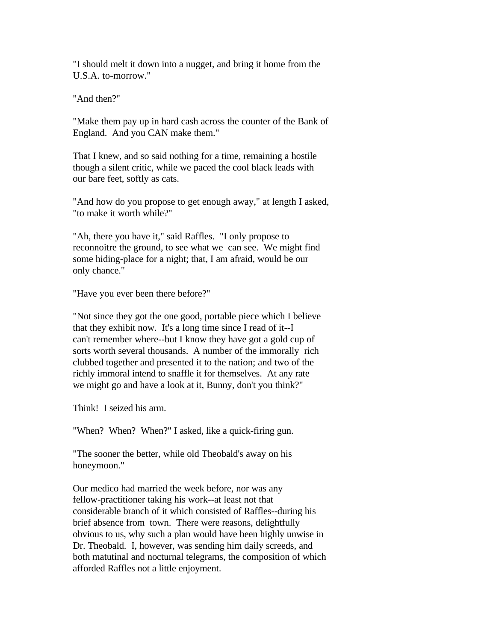"I should melt it down into a nugget, and bring it home from the U.S.A. to-morrow."

"And then?"

"Make them pay up in hard cash across the counter of the Bank of England. And you CAN make them."

That I knew, and so said nothing for a time, remaining a hostile though a silent critic, while we paced the cool black leads with our bare feet, softly as cats.

"And how do you propose to get enough away," at length I asked, "to make it worth while?"

"Ah, there you have it," said Raffles. "I only propose to reconnoitre the ground, to see what we can see. We might find some hiding-place for a night; that, I am afraid, would be our only chance."

"Have you ever been there before?"

"Not since they got the one good, portable piece which I believe that they exhibit now. It's a long time since I read of it--I can't remember where--but I know they have got a gold cup of sorts worth several thousands. A number of the immorally rich clubbed together and presented it to the nation; and two of the richly immoral intend to snaffle it for themselves. At any rate we might go and have a look at it, Bunny, don't you think?"

Think! I seized his arm.

"When? When? When?" I asked, like a quick-firing gun.

"The sooner the better, while old Theobald's away on his honeymoon."

Our medico had married the week before, nor was any fellow-practitioner taking his work--at least not that considerable branch of it which consisted of Raffles--during his brief absence from town. There were reasons, delightfully obvious to us, why such a plan would have been highly unwise in Dr. Theobald. I, however, was sending him daily screeds, and both matutinal and nocturnal telegrams, the composition of which afforded Raffles not a little enjoyment.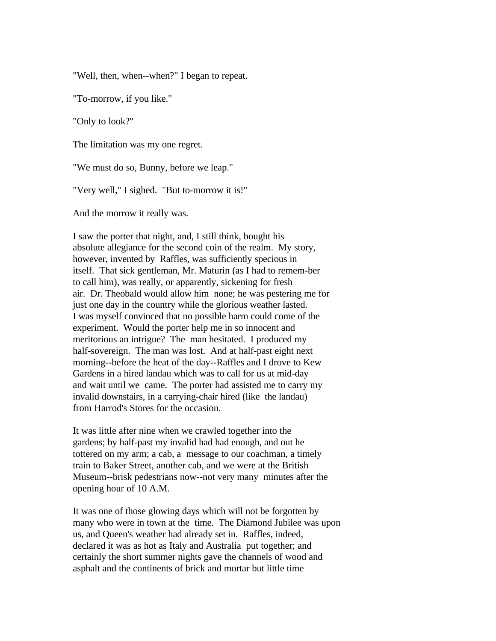"Well, then, when--when?" I began to repeat.

"To-morrow, if you like."

"Only to look?"

The limitation was my one regret.

"We must do so, Bunny, before we leap."

"Very well," I sighed. "But to-morrow it is!"

And the morrow it really was.

I saw the porter that night, and, I still think, bought his absolute allegiance for the second coin of the realm. My story, however, invented by Raffles, was sufficiently specious in itself. That sick gentleman, Mr. Maturin (as I had to remem-ber to call him), was really, or apparently, sickening for fresh air. Dr. Theobald would allow him none; he was pestering me for just one day in the country while the glorious weather lasted. I was myself convinced that no possible harm could come of the experiment. Would the porter help me in so innocent and meritorious an intrigue? The man hesitated. I produced my half-sovereign. The man was lost. And at half-past eight next morning--before the heat of the day--Raffles and I drove to Kew Gardens in a hired landau which was to call for us at mid-day and wait until we came. The porter had assisted me to carry my invalid downstairs, in a carrying-chair hired (like the landau) from Harrod's Stores for the occasion.

It was little after nine when we crawled together into the gardens; by half-past my invalid had had enough, and out he tottered on my arm; a cab, a message to our coachman, a timely train to Baker Street, another cab, and we were at the British Museum--brisk pedestrians now--not very many minutes after the opening hour of 10 A.M.

It was one of those glowing days which will not be forgotten by many who were in town at the time. The Diamond Jubilee was upon us, and Queen's weather had already set in. Raffles, indeed, declared it was as hot as Italy and Australia put together; and certainly the short summer nights gave the channels of wood and asphalt and the continents of brick and mortar but little time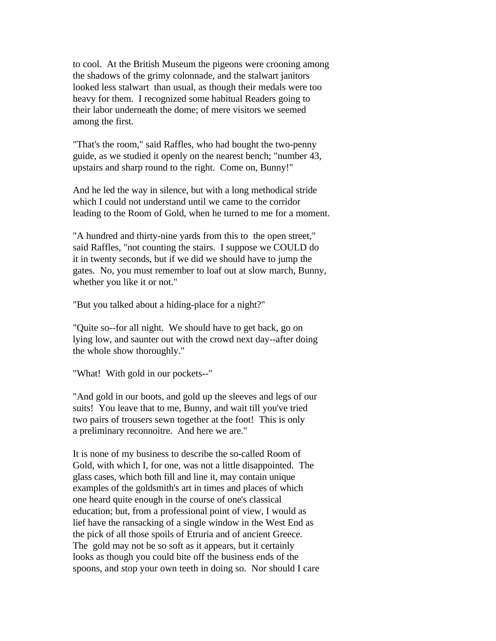to cool. At the British Museum the pigeons were crooning among the shadows of the grimy colonnade, and the stalwart janitors looked less stalwart than usual, as though their medals were too heavy for them. I recognized some habitual Readers going to their labor underneath the dome; of mere visitors we seemed among the first.

"That's the room," said Raffles, who had bought the two-penny guide, as we studied it openly on the nearest bench; "number 43, upstairs and sharp round to the right. Come on, Bunny!"

And he led the way in silence, but with a long methodical stride which I could not understand until we came to the corridor leading to the Room of Gold, when he turned to me for a moment.

"A hundred and thirty-nine yards from this to the open street," said Raffles, "not counting the stairs. I suppose we COULD do it in twenty seconds, but if we did we should have to jump the gates. No, you must remember to loaf out at slow march, Bunny, whether you like it or not."

"But you talked about a hiding-place for a night?"

"Quite so--for all night. We should have to get back, go on lying low, and saunter out with the crowd next day--after doing the whole show thoroughly."

"What! With gold in our pockets--"

"And gold in our boots, and gold up the sleeves and legs of our suits! You leave that to me, Bunny, and wait till you've tried two pairs of trousers sewn together at the foot! This is only a preliminary reconnoitre. And here we are."

It is none of my business to describe the so-called Room of Gold, with which I, for one, was not a little disappointed. The glass cases, which both fill and line it, may contain unique examples of the goldsmith's art in times and places of which one heard quite enough in the course of one's classical education; but, from a professional point of view, I would as lief have the ransacking of a single window in the West End as the pick of all those spoils of Etruria and of ancient Greece. The gold may not be so soft as it appears, but it certainly looks as though you could bite off the business ends of the spoons, and stop your own teeth in doing so. Nor should I care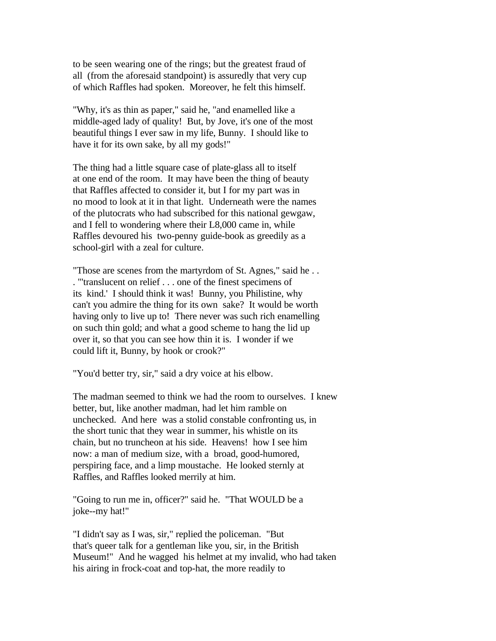to be seen wearing one of the rings; but the greatest fraud of all (from the aforesaid standpoint) is assuredly that very cup of which Raffles had spoken. Moreover, he felt this himself.

"Why, it's as thin as paper," said he, "and enamelled like a middle-aged lady of quality! But, by Jove, it's one of the most beautiful things I ever saw in my life, Bunny. I should like to have it for its own sake, by all my gods!"

The thing had a little square case of plate-glass all to itself at one end of the room. It may have been the thing of beauty that Raffles affected to consider it, but I for my part was in no mood to look at it in that light. Underneath were the names of the plutocrats who had subscribed for this national gewgaw, and I fell to wondering where their L8,000 came in, while Raffles devoured his two-penny guide-book as greedily as a school-girl with a zeal for culture.

"Those are scenes from the martyrdom of St. Agnes," said he . . . "'translucent on relief . . . one of the finest specimens of its kind.' I should think it was! Bunny, you Philistine, why can't you admire the thing for its own sake? It would be worth having only to live up to! There never was such rich enamelling on such thin gold; and what a good scheme to hang the lid up over it, so that you can see how thin it is. I wonder if we could lift it, Bunny, by hook or crook?"

"You'd better try, sir," said a dry voice at his elbow.

The madman seemed to think we had the room to ourselves. I knew better, but, like another madman, had let him ramble on unchecked. And here was a stolid constable confronting us, in the short tunic that they wear in summer, his whistle on its chain, but no truncheon at his side. Heavens! how I see him now: a man of medium size, with a broad, good-humored, perspiring face, and a limp moustache. He looked sternly at Raffles, and Raffles looked merrily at him.

"Going to run me in, officer?" said he. "That WOULD be a joke--my hat!"

"I didn't say as I was, sir," replied the policeman. "But that's queer talk for a gentleman like you, sir, in the British Museum!" And he wagged his helmet at my invalid, who had taken his airing in frock-coat and top-hat, the more readily to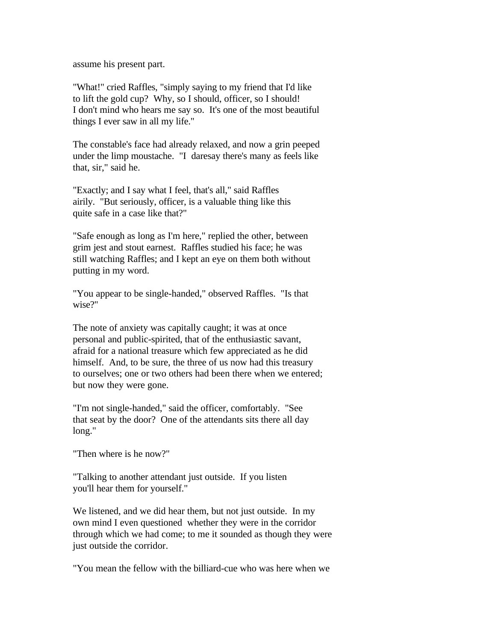assume his present part.

"What!" cried Raffles, "simply saying to my friend that I'd like to lift the gold cup? Why, so I should, officer, so I should! I don't mind who hears me say so. It's one of the most beautiful things I ever saw in all my life."

The constable's face had already relaxed, and now a grin peeped under the limp moustache. "I daresay there's many as feels like that, sir," said he.

"Exactly; and I say what I feel, that's all," said Raffles airily. "But seriously, officer, is a valuable thing like this quite safe in a case like that?"

"Safe enough as long as I'm here," replied the other, between grim jest and stout earnest. Raffles studied his face; he was still watching Raffles; and I kept an eye on them both without putting in my word.

"You appear to be single-handed," observed Raffles. "Is that wise?"

The note of anxiety was capitally caught; it was at once personal and public-spirited, that of the enthusiastic savant, afraid for a national treasure which few appreciated as he did himself. And, to be sure, the three of us now had this treasury to ourselves; one or two others had been there when we entered; but now they were gone.

"I'm not single-handed," said the officer, comfortably. "See that seat by the door? One of the attendants sits there all day long."

"Then where is he now?"

"Talking to another attendant just outside. If you listen you'll hear them for yourself."

We listened, and we did hear them, but not just outside. In my own mind I even questioned whether they were in the corridor through which we had come; to me it sounded as though they were just outside the corridor.

"You mean the fellow with the billiard-cue who was here when we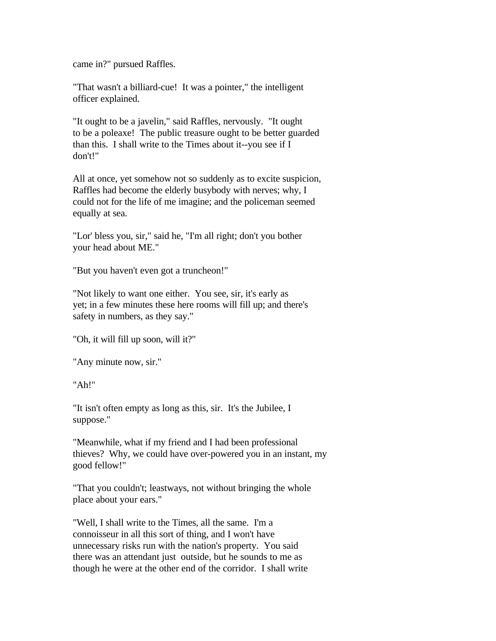came in?" pursued Raffles.

"That wasn't a billiard-cue! It was a pointer," the intelligent officer explained.

"It ought to be a javelin," said Raffles, nervously. "It ought to be a poleaxe! The public treasure ought to be better guarded than this. I shall write to the Times about it--you see if I don't!"

All at once, yet somehow not so suddenly as to excite suspicion, Raffles had become the elderly busybody with nerves; why, I could not for the life of me imagine; and the policeman seemed equally at sea.

"Lor' bless you, sir," said he, "I'm all right; don't you bother your head about ME."

"But you haven't even got a truncheon!"

"Not likely to want one either. You see, sir, it's early as yet; in a few minutes these here rooms will fill up; and there's safety in numbers, as they say."

"Oh, it will fill up soon, will it?"

"Any minute now, sir."

"Ah!"

"It isn't often empty as long as this, sir. It's the Jubilee, I suppose."

"Meanwhile, what if my friend and I had been professional thieves? Why, we could have over-powered you in an instant, my good fellow!"

"That you couldn't; leastways, not without bringing the whole place about your ears."

"Well, I shall write to the Times, all the same. I'm a connoisseur in all this sort of thing, and I won't have unnecessary risks run with the nation's property. You said there was an attendant just outside, but he sounds to me as though he were at the other end of the corridor. I shall write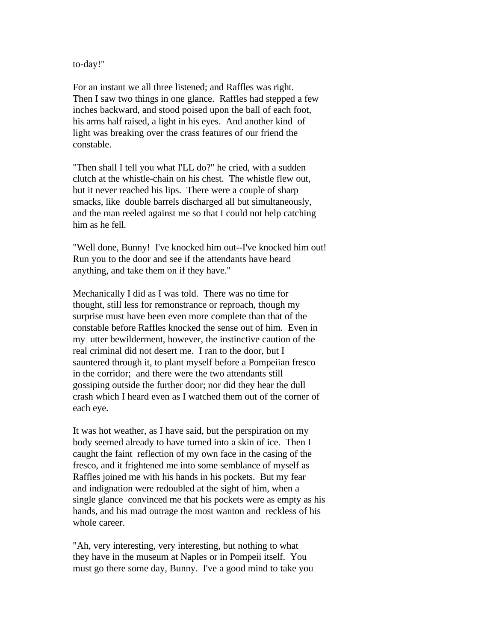to-day!"

For an instant we all three listened; and Raffles was right. Then I saw two things in one glance. Raffles had stepped a few inches backward, and stood poised upon the ball of each foot, his arms half raised, a light in his eyes. And another kind of light was breaking over the crass features of our friend the constable.

"Then shall I tell you what I'LL do?" he cried, with a sudden clutch at the whistle-chain on his chest. The whistle flew out, but it never reached his lips. There were a couple of sharp smacks, like double barrels discharged all but simultaneously, and the man reeled against me so that I could not help catching him as he fell.

"Well done, Bunny! I've knocked him out--I've knocked him out! Run you to the door and see if the attendants have heard anything, and take them on if they have."

Mechanically I did as I was told. There was no time for thought, still less for remonstrance or reproach, though my surprise must have been even more complete than that of the constable before Raffles knocked the sense out of him. Even in my utter bewilderment, however, the instinctive caution of the real criminal did not desert me. I ran to the door, but I sauntered through it, to plant myself before a Pompeiian fresco in the corridor; and there were the two attendants still gossiping outside the further door; nor did they hear the dull crash which I heard even as I watched them out of the corner of each eye.

It was hot weather, as I have said, but the perspiration on my body seemed already to have turned into a skin of ice. Then I caught the faint reflection of my own face in the casing of the fresco, and it frightened me into some semblance of myself as Raffles joined me with his hands in his pockets. But my fear and indignation were redoubled at the sight of him, when a single glance convinced me that his pockets were as empty as his hands, and his mad outrage the most wanton and reckless of his whole career.

"Ah, very interesting, very interesting, but nothing to what they have in the museum at Naples or in Pompeii itself. You must go there some day, Bunny. I've a good mind to take you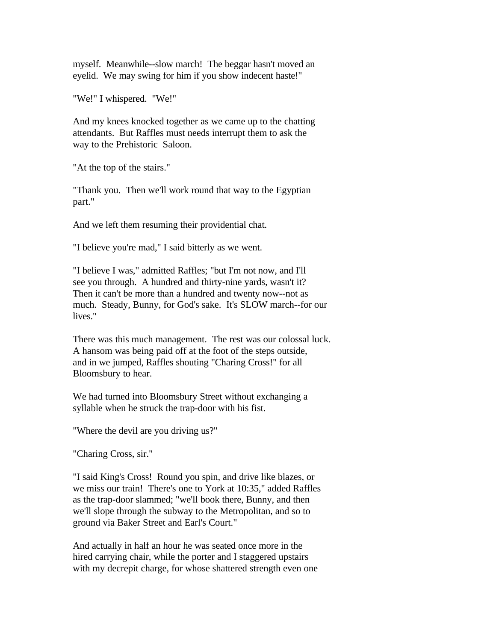myself. Meanwhile--slow march! The beggar hasn't moved an eyelid. We may swing for him if you show indecent haste!"

"We!" I whispered. "We!"

And my knees knocked together as we came up to the chatting attendants. But Raffles must needs interrupt them to ask the way to the Prehistoric Saloon.

"At the top of the stairs."

"Thank you. Then we'll work round that way to the Egyptian part."

And we left them resuming their providential chat.

"I believe you're mad," I said bitterly as we went.

"I believe I was," admitted Raffles; "but I'm not now, and I'll see you through. A hundred and thirty-nine yards, wasn't it? Then it can't be more than a hundred and twenty now--not as much. Steady, Bunny, for God's sake. It's SLOW march--for our lives."

There was this much management. The rest was our colossal luck. A hansom was being paid off at the foot of the steps outside, and in we jumped, Raffles shouting "Charing Cross!" for all Bloomsbury to hear.

We had turned into Bloomsbury Street without exchanging a syllable when he struck the trap-door with his fist.

"Where the devil are you driving us?"

"Charing Cross, sir."

"I said King's Cross! Round you spin, and drive like blazes, or we miss our train! There's one to York at 10:35," added Raffles as the trap-door slammed; "we'll book there, Bunny, and then we'll slope through the subway to the Metropolitan, and so to ground via Baker Street and Earl's Court."

And actually in half an hour he was seated once more in the hired carrying chair, while the porter and I staggered upstairs with my decrepit charge, for whose shattered strength even one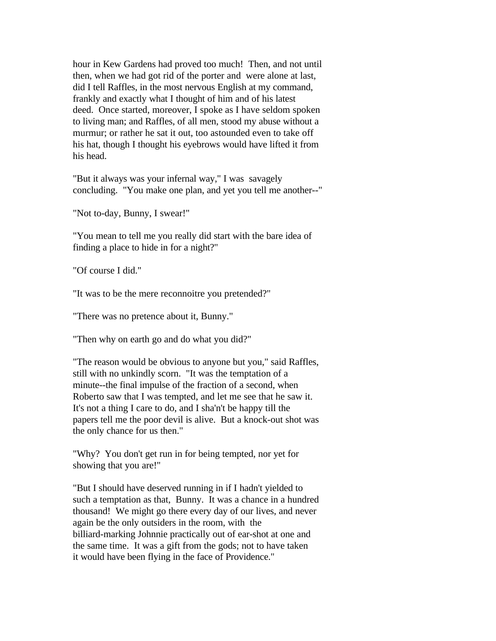hour in Kew Gardens had proved too much! Then, and not until then, when we had got rid of the porter and were alone at last, did I tell Raffles, in the most nervous English at my command, frankly and exactly what I thought of him and of his latest deed. Once started, moreover, I spoke as I have seldom spoken to living man; and Raffles, of all men, stood my abuse without a murmur; or rather he sat it out, too astounded even to take off his hat, though I thought his eyebrows would have lifted it from his head.

"But it always was your infernal way," I was savagely concluding. "You make one plan, and yet you tell me another--"

"Not to-day, Bunny, I swear!"

"You mean to tell me you really did start with the bare idea of finding a place to hide in for a night?"

"Of course I did."

"It was to be the mere reconnoitre you pretended?"

"There was no pretence about it, Bunny."

"Then why on earth go and do what you did?"

"The reason would be obvious to anyone but you," said Raffles, still with no unkindly scorn. "It was the temptation of a minute--the final impulse of the fraction of a second, when Roberto saw that I was tempted, and let me see that he saw it. It's not a thing I care to do, and I sha'n't be happy till the papers tell me the poor devil is alive. But a knock-out shot was the only chance for us then."

"Why? You don't get run in for being tempted, nor yet for showing that you are!"

"But I should have deserved running in if I hadn't yielded to such a temptation as that, Bunny. It was a chance in a hundred thousand! We might go there every day of our lives, and never again be the only outsiders in the room, with the billiard-marking Johnnie practically out of ear-shot at one and the same time. It was a gift from the gods; not to have taken it would have been flying in the face of Providence."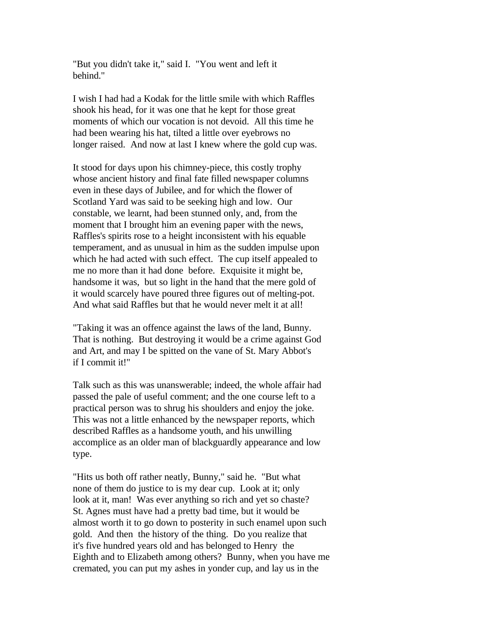"But you didn't take it," said I. "You went and left it behind."

I wish I had had a Kodak for the little smile with which Raffles shook his head, for it was one that he kept for those great moments of which our vocation is not devoid. All this time he had been wearing his hat, tilted a little over eyebrows no longer raised. And now at last I knew where the gold cup was.

It stood for days upon his chimney-piece, this costly trophy whose ancient history and final fate filled newspaper columns even in these days of Jubilee, and for which the flower of Scotland Yard was said to be seeking high and low. Our constable, we learnt, had been stunned only, and, from the moment that I brought him an evening paper with the news, Raffles's spirits rose to a height inconsistent with his equable temperament, and as unusual in him as the sudden impulse upon which he had acted with such effect. The cup itself appealed to me no more than it had done before. Exquisite it might be, handsome it was, but so light in the hand that the mere gold of it would scarcely have poured three figures out of melting-pot. And what said Raffles but that he would never melt it at all!

"Taking it was an offence against the laws of the land, Bunny. That is nothing. But destroying it would be a crime against God and Art, and may I be spitted on the vane of St. Mary Abbot's if I commit it!"

Talk such as this was unanswerable; indeed, the whole affair had passed the pale of useful comment; and the one course left to a practical person was to shrug his shoulders and enjoy the joke. This was not a little enhanced by the newspaper reports, which described Raffles as a handsome youth, and his unwilling accomplice as an older man of blackguardly appearance and low type.

"Hits us both off rather neatly, Bunny," said he. "But what none of them do justice to is my dear cup. Look at it; only look at it, man! Was ever anything so rich and yet so chaste? St. Agnes must have had a pretty bad time, but it would be almost worth it to go down to posterity in such enamel upon such gold. And then the history of the thing. Do you realize that it's five hundred years old and has belonged to Henry the Eighth and to Elizabeth among others? Bunny, when you have me cremated, you can put my ashes in yonder cup, and lay us in the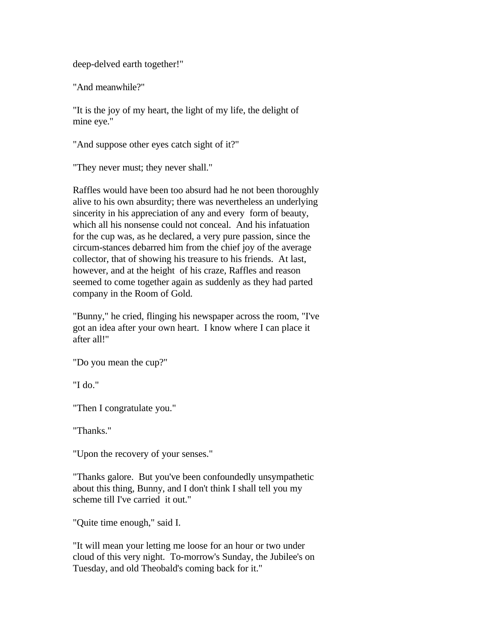deep-delved earth together!"

"And meanwhile?"

"It is the joy of my heart, the light of my life, the delight of mine eye."

"And suppose other eyes catch sight of it?"

"They never must; they never shall."

Raffles would have been too absurd had he not been thoroughly alive to his own absurdity; there was nevertheless an underlying sincerity in his appreciation of any and every form of beauty, which all his nonsense could not conceal. And his infatuation for the cup was, as he declared, a very pure passion, since the circum-stances debarred him from the chief joy of the average collector, that of showing his treasure to his friends. At last, however, and at the height of his craze, Raffles and reason seemed to come together again as suddenly as they had parted company in the Room of Gold.

"Bunny," he cried, flinging his newspaper across the room, "I've got an idea after your own heart. I know where I can place it after all!"

"Do you mean the cup?"

"I do."

"Then I congratulate you."

"Thanks."

"Upon the recovery of your senses."

"Thanks galore. But you've been confoundedly unsympathetic about this thing, Bunny, and I don't think I shall tell you my scheme till I've carried it out."

"Quite time enough," said I.

"It will mean your letting me loose for an hour or two under cloud of this very night. To-morrow's Sunday, the Jubilee's on Tuesday, and old Theobald's coming back for it."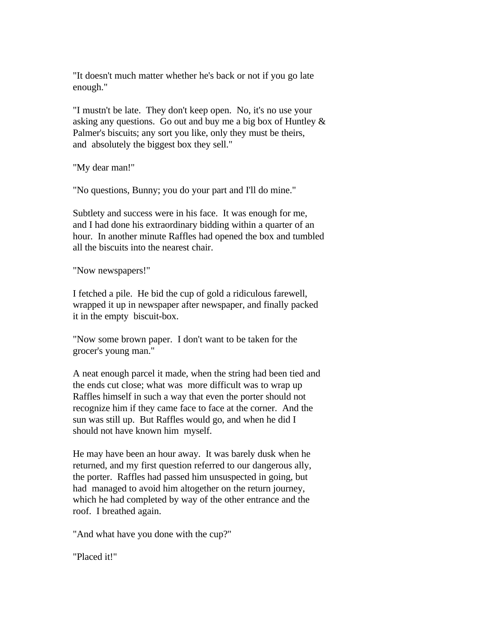"It doesn't much matter whether he's back or not if you go late enough."

"I mustn't be late. They don't keep open. No, it's no use your asking any questions. Go out and buy me a big box of Huntley & Palmer's biscuits; any sort you like, only they must be theirs, and absolutely the biggest box they sell."

"My dear man!"

"No questions, Bunny; you do your part and I'll do mine."

Subtlety and success were in his face. It was enough for me, and I had done his extraordinary bidding within a quarter of an hour. In another minute Raffles had opened the box and tumbled all the biscuits into the nearest chair.

"Now newspapers!"

I fetched a pile. He bid the cup of gold a ridiculous farewell, wrapped it up in newspaper after newspaper, and finally packed it in the empty biscuit-box.

"Now some brown paper. I don't want to be taken for the grocer's young man."

A neat enough parcel it made, when the string had been tied and the ends cut close; what was more difficult was to wrap up Raffles himself in such a way that even the porter should not recognize him if they came face to face at the corner. And the sun was still up. But Raffles would go, and when he did I should not have known him myself.

He may have been an hour away. It was barely dusk when he returned, and my first question referred to our dangerous ally, the porter. Raffles had passed him unsuspected in going, but had managed to avoid him altogether on the return journey, which he had completed by way of the other entrance and the roof. I breathed again.

"And what have you done with the cup?"

"Placed it!"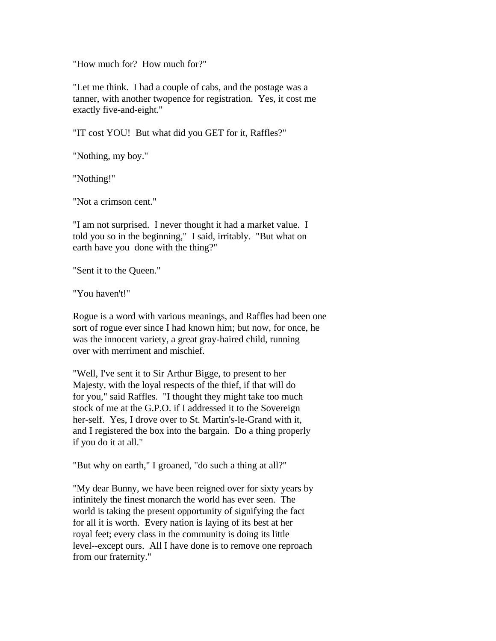"How much for? How much for?"

"Let me think. I had a couple of cabs, and the postage was a tanner, with another twopence for registration. Yes, it cost me exactly five-and-eight."

"IT cost YOU! But what did you GET for it, Raffles?"

"Nothing, my boy."

"Nothing!"

"Not a crimson cent."

"I am not surprised. I never thought it had a market value. I told you so in the beginning," I said, irritably. "But what on earth have you done with the thing?"

"Sent it to the Queen."

"You haven't!"

Rogue is a word with various meanings, and Raffles had been one sort of rogue ever since I had known him; but now, for once, he was the innocent variety, a great gray-haired child, running over with merriment and mischief.

"Well, I've sent it to Sir Arthur Bigge, to present to her Majesty, with the loyal respects of the thief, if that will do for you," said Raffles. "I thought they might take too much stock of me at the G.P.O. if I addressed it to the Sovereign her-self. Yes, I drove over to St. Martin's-le-Grand with it, and I registered the box into the bargain. Do a thing properly if you do it at all."

"But why on earth," I groaned, "do such a thing at all?"

"My dear Bunny, we have been reigned over for sixty years by infinitely the finest monarch the world has ever seen. The world is taking the present opportunity of signifying the fact for all it is worth. Every nation is laying of its best at her royal feet; every class in the community is doing its little level--except ours. All I have done is to remove one reproach from our fraternity."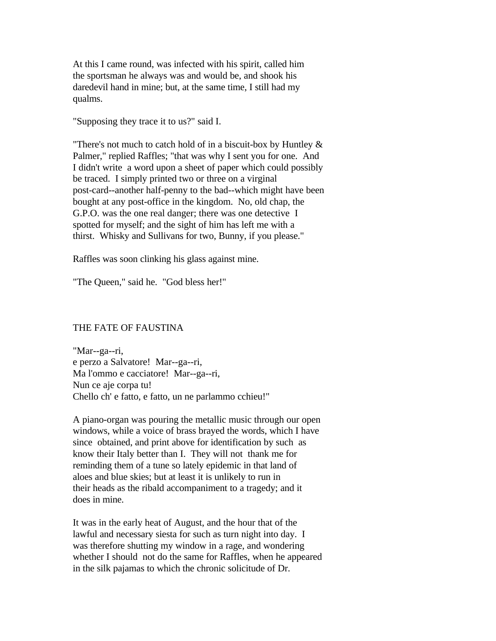At this I came round, was infected with his spirit, called him the sportsman he always was and would be, and shook his daredevil hand in mine; but, at the same time, I still had my qualms.

"Supposing they trace it to us?" said I.

"There's not much to catch hold of in a biscuit-box by Huntley & Palmer," replied Raffles; "that was why I sent you for one. And I didn't write a word upon a sheet of paper which could possibly be traced. I simply printed two or three on a virginal post-card--another half-penny to the bad--which might have been bought at any post-office in the kingdom. No, old chap, the G.P.O. was the one real danger; there was one detective I spotted for myself; and the sight of him has left me with a thirst. Whisky and Sullivans for two, Bunny, if you please."

Raffles was soon clinking his glass against mine.

"The Queen," said he. "God bless her!"

## THE FATE OF FAUSTINA

"Mar--ga--ri, e perzo a Salvatore! Mar--ga--ri, Ma l'ommo e cacciatore! Mar--ga--ri, Nun ce aje corpa tu! Chello ch' e fatto, e fatto, un ne parlammo cchieu!"

A piano-organ was pouring the metallic music through our open windows, while a voice of brass brayed the words, which I have since obtained, and print above for identification by such as know their Italy better than I. They will not thank me for reminding them of a tune so lately epidemic in that land of aloes and blue skies; but at least it is unlikely to run in their heads as the ribald accompaniment to a tragedy; and it does in mine.

It was in the early heat of August, and the hour that of the lawful and necessary siesta for such as turn night into day. I was therefore shutting my window in a rage, and wondering whether I should not do the same for Raffles, when he appeared in the silk pajamas to which the chronic solicitude of Dr.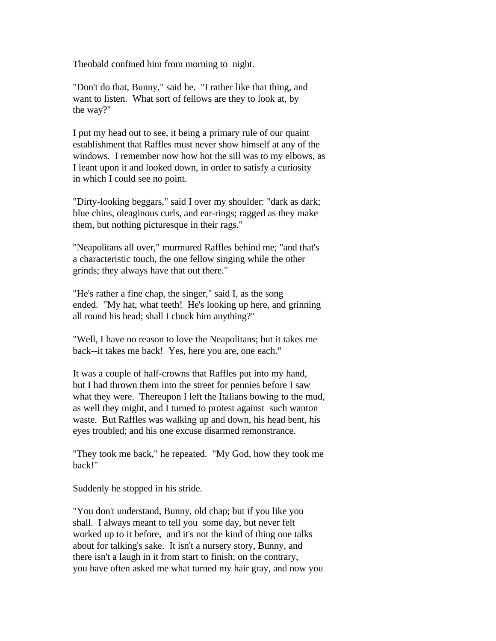Theobald confined him from morning to night.

"Don't do that, Bunny," said he. "I rather like that thing, and want to listen. What sort of fellows are they to look at, by the way?"

I put my head out to see, it being a primary rule of our quaint establishment that Raffles must never show himself at any of the windows. I remember now how hot the sill was to my elbows, as I leant upon it and looked down, in order to satisfy a curiosity in which I could see no point.

"Dirty-looking beggars," said I over my shoulder: "dark as dark; blue chins, oleaginous curls, and ear-rings; ragged as they make them, but nothing picturesque in their rags."

"Neapolitans all over," murmured Raffles behind me; "and that's a characteristic touch, the one fellow singing while the other grinds; they always have that out there."

"He's rather a fine chap, the singer," said I, as the song ended. "My hat, what teeth! He's looking up here, and grinning all round his head; shall I chuck him anything?"

"Well, I have no reason to love the Neapolitans; but it takes me back--it takes me back! Yes, here you are, one each."

It was a couple of half-crowns that Raffles put into my hand, but I had thrown them into the street for pennies before I saw what they were. Thereupon I left the Italians bowing to the mud, as well they might, and I turned to protest against such wanton waste. But Raffles was walking up and down, his head bent, his eyes troubled; and his one excuse disarmed remonstrance.

"They took me back," he repeated. "My God, how they took me back!"

Suddenly he stopped in his stride.

"You don't understand, Bunny, old chap; but if you like you shall. I always meant to tell you some day, but never felt worked up to it before, and it's not the kind of thing one talks about for talking's sake. It isn't a nursery story, Bunny, and there isn't a laugh in it from start to finish; on the contrary, you have often asked me what turned my hair gray, and now you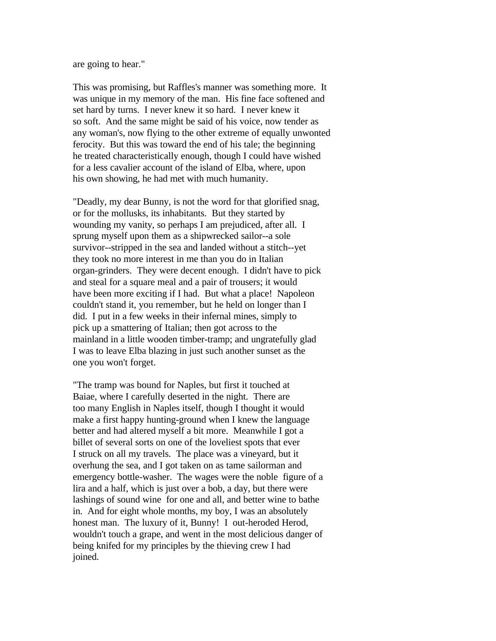are going to hear."

This was promising, but Raffles's manner was something more. It was unique in my memory of the man. His fine face softened and set hard by turns. I never knew it so hard. I never knew it so soft. And the same might be said of his voice, now tender as any woman's, now flying to the other extreme of equally unwonted ferocity. But this was toward the end of his tale; the beginning he treated characteristically enough, though I could have wished for a less cavalier account of the island of Elba, where, upon his own showing, he had met with much humanity.

"Deadly, my dear Bunny, is not the word for that glorified snag, or for the mollusks, its inhabitants. But they started by wounding my vanity, so perhaps I am prejudiced, after all. I sprung myself upon them as a shipwrecked sailor--a sole survivor--stripped in the sea and landed without a stitch--yet they took no more interest in me than you do in Italian organ-grinders. They were decent enough. I didn't have to pick and steal for a square meal and a pair of trousers; it would have been more exciting if I had. But what a place! Napoleon couldn't stand it, you remember, but he held on longer than I did. I put in a few weeks in their infernal mines, simply to pick up a smattering of Italian; then got across to the mainland in a little wooden timber-tramp; and ungratefully glad I was to leave Elba blazing in just such another sunset as the one you won't forget.

"The tramp was bound for Naples, but first it touched at Baiae, where I carefully deserted in the night. There are too many English in Naples itself, though I thought it would make a first happy hunting-ground when I knew the language better and had altered myself a bit more. Meanwhile I got a billet of several sorts on one of the loveliest spots that ever I struck on all my travels. The place was a vineyard, but it overhung the sea, and I got taken on as tame sailorman and emergency bottle-washer. The wages were the noble figure of a lira and a half, which is just over a bob, a day, but there were lashings of sound wine for one and all, and better wine to bathe in. And for eight whole months, my boy, I was an absolutely honest man. The luxury of it, Bunny! I out-heroded Herod, wouldn't touch a grape, and went in the most delicious danger of being knifed for my principles by the thieving crew I had joined.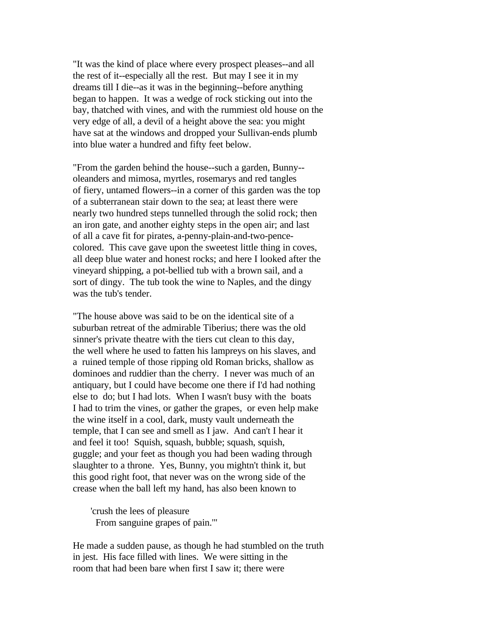"It was the kind of place where every prospect pleases--and all the rest of it--especially all the rest. But may I see it in my dreams till I die--as it was in the beginning--before anything began to happen. It was a wedge of rock sticking out into the bay, thatched with vines, and with the rummiest old house on the very edge of all, a devil of a height above the sea: you might have sat at the windows and dropped your Sullivan-ends plumb into blue water a hundred and fifty feet below.

"From the garden behind the house--such a garden, Bunny- oleanders and mimosa, myrtles, rosemarys and red tangles of fiery, untamed flowers--in a corner of this garden was the top of a subterranean stair down to the sea; at least there were nearly two hundred steps tunnelled through the solid rock; then an iron gate, and another eighty steps in the open air; and last of all a cave fit for pirates, a-penny-plain-and-two-pencecolored. This cave gave upon the sweetest little thing in coves, all deep blue water and honest rocks; and here I looked after the vineyard shipping, a pot-bellied tub with a brown sail, and a sort of dingy. The tub took the wine to Naples, and the dingy was the tub's tender.

"The house above was said to be on the identical site of a suburban retreat of the admirable Tiberius; there was the old sinner's private theatre with the tiers cut clean to this day, the well where he used to fatten his lampreys on his slaves, and a ruined temple of those ripping old Roman bricks, shallow as dominoes and ruddier than the cherry. I never was much of an antiquary, but I could have become one there if I'd had nothing else to do; but I had lots. When I wasn't busy with the boats I had to trim the vines, or gather the grapes, or even help make the wine itself in a cool, dark, musty vault underneath the temple, that I can see and smell as I jaw. And can't I hear it and feel it too! Squish, squash, bubble; squash, squish, guggle; and your feet as though you had been wading through slaughter to a throne. Yes, Bunny, you mightn't think it, but this good right foot, that never was on the wrong side of the crease when the ball left my hand, has also been known to

 'crush the lees of pleasure From sanguine grapes of pain.'"

He made a sudden pause, as though he had stumbled on the truth in jest. His face filled with lines. We were sitting in the room that had been bare when first I saw it; there were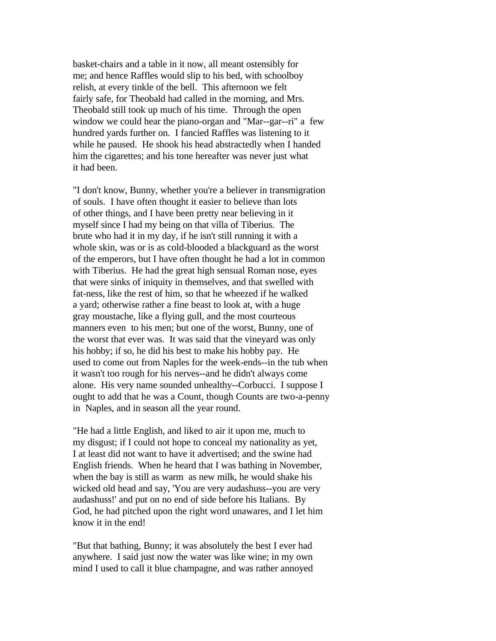basket-chairs and a table in it now, all meant ostensibly for me; and hence Raffles would slip to his bed, with schoolboy relish, at every tinkle of the bell. This afternoon we felt fairly safe, for Theobald had called in the morning, and Mrs. Theobald still took up much of his time. Through the open window we could hear the piano-organ and "Mar--gar--ri" a few hundred yards further on. I fancied Raffles was listening to it while he paused. He shook his head abstractedly when I handed him the cigarettes; and his tone hereafter was never just what it had been.

"I don't know, Bunny, whether you're a believer in transmigration of souls. I have often thought it easier to believe than lots of other things, and I have been pretty near believing in it myself since I had my being on that villa of Tiberius. The brute who had it in my day, if he isn't still running it with a whole skin, was or is as cold-blooded a blackguard as the worst of the emperors, but I have often thought he had a lot in common with Tiberius. He had the great high sensual Roman nose, eyes that were sinks of iniquity in themselves, and that swelled with fat-ness, like the rest of him, so that he wheezed if he walked a yard; otherwise rather a fine beast to look at, with a huge gray moustache, like a flying gull, and the most courteous manners even to his men; but one of the worst, Bunny, one of the worst that ever was. It was said that the vineyard was only his hobby; if so, he did his best to make his hobby pay. He used to come out from Naples for the week-ends--in the tub when it wasn't too rough for his nerves--and he didn't always come alone. His very name sounded unhealthy--Corbucci. I suppose I ought to add that he was a Count, though Counts are two-a-penny in Naples, and in season all the year round.

"He had a little English, and liked to air it upon me, much to my disgust; if I could not hope to conceal my nationality as yet, I at least did not want to have it advertised; and the swine had English friends. When he heard that I was bathing in November, when the bay is still as warm as new milk, he would shake his wicked old head and say, 'You are very audashuss--you are very audashuss!' and put on no end of side before his Italians. By God, he had pitched upon the right word unawares, and I let him know it in the end!

"But that bathing, Bunny; it was absolutely the best I ever had anywhere. I said just now the water was like wine; in my own mind I used to call it blue champagne, and was rather annoyed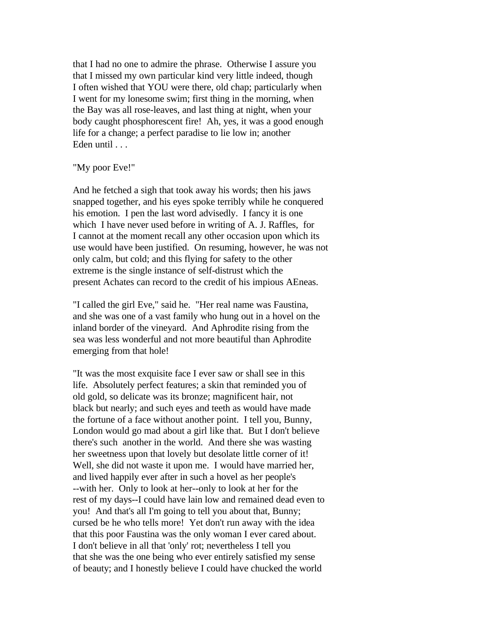that I had no one to admire the phrase. Otherwise I assure you that I missed my own particular kind very little indeed, though I often wished that YOU were there, old chap; particularly when I went for my lonesome swim; first thing in the morning, when the Bay was all rose-leaves, and last thing at night, when your body caught phosphorescent fire! Ah, yes, it was a good enough life for a change; a perfect paradise to lie low in; another Eden until . . .

## "My poor Eve!"

And he fetched a sigh that took away his words; then his jaws snapped together, and his eyes spoke terribly while he conquered his emotion. I pen the last word advisedly. I fancy it is one which I have never used before in writing of A. J. Raffles, for I cannot at the moment recall any other occasion upon which its use would have been justified. On resuming, however, he was not only calm, but cold; and this flying for safety to the other extreme is the single instance of self-distrust which the present Achates can record to the credit of his impious AEneas.

"I called the girl Eve," said he. "Her real name was Faustina, and she was one of a vast family who hung out in a hovel on the inland border of the vineyard. And Aphrodite rising from the sea was less wonderful and not more beautiful than Aphrodite emerging from that hole!

"It was the most exquisite face I ever saw or shall see in this life. Absolutely perfect features; a skin that reminded you of old gold, so delicate was its bronze; magnificent hair, not black but nearly; and such eyes and teeth as would have made the fortune of a face without another point. I tell you, Bunny, London would go mad about a girl like that. But I don't believe there's such another in the world. And there she was wasting her sweetness upon that lovely but desolate little corner of it! Well, she did not waste it upon me. I would have married her, and lived happily ever after in such a hovel as her people's --with her. Only to look at her--only to look at her for the rest of my days--I could have lain low and remained dead even to you! And that's all I'm going to tell you about that, Bunny; cursed be he who tells more! Yet don't run away with the idea that this poor Faustina was the only woman I ever cared about. I don't believe in all that 'only' rot; nevertheless I tell you that she was the one being who ever entirely satisfied my sense of beauty; and I honestly believe I could have chucked the world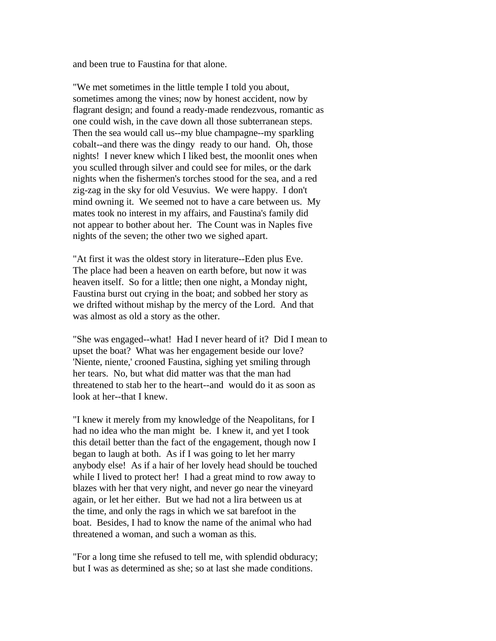and been true to Faustina for that alone.

"We met sometimes in the little temple I told you about, sometimes among the vines; now by honest accident, now by flagrant design; and found a ready-made rendezvous, romantic as one could wish, in the cave down all those subterranean steps. Then the sea would call us--my blue champagne--my sparkling cobalt--and there was the dingy ready to our hand. Oh, those nights! I never knew which I liked best, the moonlit ones when you sculled through silver and could see for miles, or the dark nights when the fishermen's torches stood for the sea, and a red zig-zag in the sky for old Vesuvius. We were happy. I don't mind owning it. We seemed not to have a care between us. My mates took no interest in my affairs, and Faustina's family did not appear to bother about her. The Count was in Naples five nights of the seven; the other two we sighed apart.

"At first it was the oldest story in literature--Eden plus Eve. The place had been a heaven on earth before, but now it was heaven itself. So for a little; then one night, a Monday night, Faustina burst out crying in the boat; and sobbed her story as we drifted without mishap by the mercy of the Lord. And that was almost as old a story as the other.

"She was engaged--what! Had I never heard of it? Did I mean to upset the boat? What was her engagement beside our love? 'Niente, niente,' crooned Faustina, sighing yet smiling through her tears. No, but what did matter was that the man had threatened to stab her to the heart--and would do it as soon as look at her--that I knew.

"I knew it merely from my knowledge of the Neapolitans, for I had no idea who the man might be. I knew it, and yet I took this detail better than the fact of the engagement, though now I began to laugh at both. As if I was going to let her marry anybody else! As if a hair of her lovely head should be touched while I lived to protect her! I had a great mind to row away to blazes with her that very night, and never go near the vineyard again, or let her either. But we had not a lira between us at the time, and only the rags in which we sat barefoot in the boat. Besides, I had to know the name of the animal who had threatened a woman, and such a woman as this.

"For a long time she refused to tell me, with splendid obduracy; but I was as determined as she; so at last she made conditions.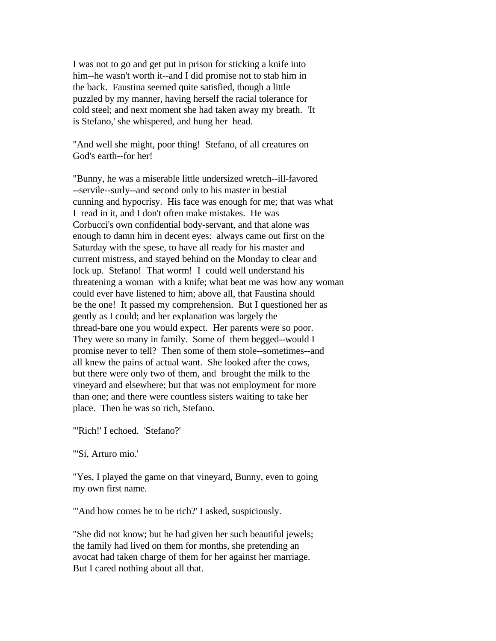I was not to go and get put in prison for sticking a knife into him--he wasn't worth it--and I did promise not to stab him in the back. Faustina seemed quite satisfied, though a little puzzled by my manner, having herself the racial tolerance for cold steel; and next moment she had taken away my breath. 'It is Stefano,' she whispered, and hung her head.

"And well she might, poor thing! Stefano, of all creatures on God's earth--for her!

"Bunny, he was a miserable little undersized wretch--ill-favored --servile--surly--and second only to his master in bestial cunning and hypocrisy. His face was enough for me; that was what I read in it, and I don't often make mistakes. He was Corbucci's own confidential body-servant, and that alone was enough to damn him in decent eyes: always came out first on the Saturday with the spese, to have all ready for his master and current mistress, and stayed behind on the Monday to clear and lock up. Stefano! That worm! I could well understand his threatening a woman with a knife; what beat me was how any woman could ever have listened to him; above all, that Faustina should be the one! It passed my comprehension. But I questioned her as gently as I could; and her explanation was largely the thread-bare one you would expect. Her parents were so poor. They were so many in family. Some of them begged--would I promise never to tell? Then some of them stole--sometimes--and all knew the pains of actual want. She looked after the cows, but there were only two of them, and brought the milk to the vineyard and elsewhere; but that was not employment for more than one; and there were countless sisters waiting to take her place. Then he was so rich, Stefano.

"'Rich!' I echoed. 'Stefano?'

"'Si, Arturo mio.'

"Yes, I played the game on that vineyard, Bunny, even to going my own first name.

"'And how comes he to be rich?' I asked, suspiciously.

"She did not know; but he had given her such beautiful jewels; the family had lived on them for months, she pretending an avocat had taken charge of them for her against her marriage. But I cared nothing about all that.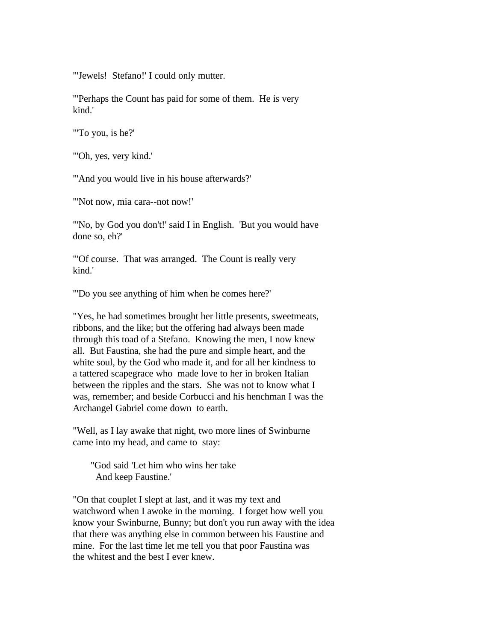"'Jewels! Stefano!' I could only mutter.

"'Perhaps the Count has paid for some of them. He is very kind.'

"'To you, is he?'

"'Oh, yes, very kind.'

"'And you would live in his house afterwards?'

"'Not now, mia cara--not now!'

"'No, by God you don't!' said I in English. 'But you would have done so, eh?'

"'Of course. That was arranged. The Count is really very kind.'

"'Do you see anything of him when he comes here?'

"Yes, he had sometimes brought her little presents, sweetmeats, ribbons, and the like; but the offering had always been made through this toad of a Stefano. Knowing the men, I now knew all. But Faustina, she had the pure and simple heart, and the white soul, by the God who made it, and for all her kindness to a tattered scapegrace who made love to her in broken Italian between the ripples and the stars. She was not to know what I was, remember; and beside Corbucci and his henchman I was the Archangel Gabriel come down to earth.

"Well, as I lay awake that night, two more lines of Swinburne came into my head, and came to stay:

 "God said 'Let him who wins her take And keep Faustine.'

"On that couplet I slept at last, and it was my text and watchword when I awoke in the morning. I forget how well you know your Swinburne, Bunny; but don't you run away with the idea that there was anything else in common between his Faustine and mine. For the last time let me tell you that poor Faustina was the whitest and the best I ever knew.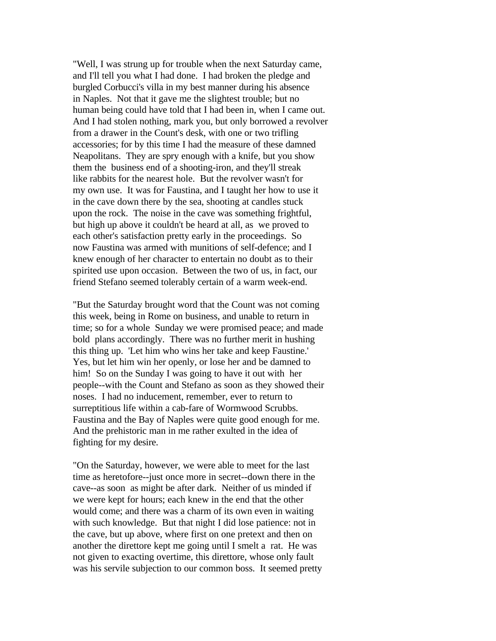"Well, I was strung up for trouble when the next Saturday came, and I'll tell you what I had done. I had broken the pledge and burgled Corbucci's villa in my best manner during his absence in Naples. Not that it gave me the slightest trouble; but no human being could have told that I had been in, when I came out. And I had stolen nothing, mark you, but only borrowed a revolver from a drawer in the Count's desk, with one or two trifling accessories; for by this time I had the measure of these damned Neapolitans. They are spry enough with a knife, but you show them the business end of a shooting-iron, and they'll streak like rabbits for the nearest hole. But the revolver wasn't for my own use. It was for Faustina, and I taught her how to use it in the cave down there by the sea, shooting at candles stuck upon the rock. The noise in the cave was something frightful, but high up above it couldn't be heard at all, as we proved to each other's satisfaction pretty early in the proceedings. So now Faustina was armed with munitions of self-defence; and I knew enough of her character to entertain no doubt as to their spirited use upon occasion. Between the two of us, in fact, our friend Stefano seemed tolerably certain of a warm week-end.

"But the Saturday brought word that the Count was not coming this week, being in Rome on business, and unable to return in time; so for a whole Sunday we were promised peace; and made bold plans accordingly. There was no further merit in hushing this thing up. 'Let him who wins her take and keep Faustine.' Yes, but let him win her openly, or lose her and be damned to him! So on the Sunday I was going to have it out with her people--with the Count and Stefano as soon as they showed their noses. I had no inducement, remember, ever to return to surreptitious life within a cab-fare of Wormwood Scrubbs. Faustina and the Bay of Naples were quite good enough for me. And the prehistoric man in me rather exulted in the idea of fighting for my desire.

"On the Saturday, however, we were able to meet for the last time as heretofore--just once more in secret--down there in the cave--as soon as might be after dark. Neither of us minded if we were kept for hours; each knew in the end that the other would come; and there was a charm of its own even in waiting with such knowledge. But that night I did lose patience: not in the cave, but up above, where first on one pretext and then on another the direttore kept me going until I smelt a rat. He was not given to exacting overtime, this direttore, whose only fault was his servile subjection to our common boss. It seemed pretty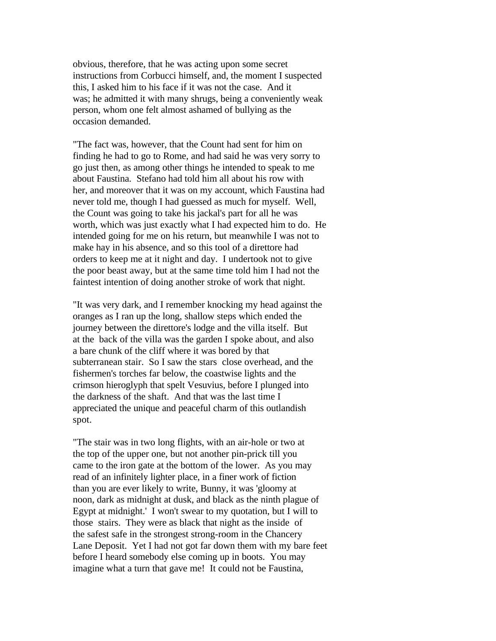obvious, therefore, that he was acting upon some secret instructions from Corbucci himself, and, the moment I suspected this, I asked him to his face if it was not the case. And it was; he admitted it with many shrugs, being a conveniently weak person, whom one felt almost ashamed of bullying as the occasion demanded.

"The fact was, however, that the Count had sent for him on finding he had to go to Rome, and had said he was very sorry to go just then, as among other things he intended to speak to me about Faustina. Stefano had told him all about his row with her, and moreover that it was on my account, which Faustina had never told me, though I had guessed as much for myself. Well, the Count was going to take his jackal's part for all he was worth, which was just exactly what I had expected him to do. He intended going for me on his return, but meanwhile I was not to make hay in his absence, and so this tool of a direttore had orders to keep me at it night and day. I undertook not to give the poor beast away, but at the same time told him I had not the faintest intention of doing another stroke of work that night.

"It was very dark, and I remember knocking my head against the oranges as I ran up the long, shallow steps which ended the journey between the direttore's lodge and the villa itself. But at the back of the villa was the garden I spoke about, and also a bare chunk of the cliff where it was bored by that subterranean stair. So I saw the stars close overhead, and the fishermen's torches far below, the coastwise lights and the crimson hieroglyph that spelt Vesuvius, before I plunged into the darkness of the shaft. And that was the last time I appreciated the unique and peaceful charm of this outlandish spot.

"The stair was in two long flights, with an air-hole or two at the top of the upper one, but not another pin-prick till you came to the iron gate at the bottom of the lower. As you may read of an infinitely lighter place, in a finer work of fiction than you are ever likely to write, Bunny, it was 'gloomy at noon, dark as midnight at dusk, and black as the ninth plague of Egypt at midnight.' I won't swear to my quotation, but I will to those stairs. They were as black that night as the inside of the safest safe in the strongest strong-room in the Chancery Lane Deposit. Yet I had not got far down them with my bare feet before I heard somebody else coming up in boots. You may imagine what a turn that gave me! It could not be Faustina,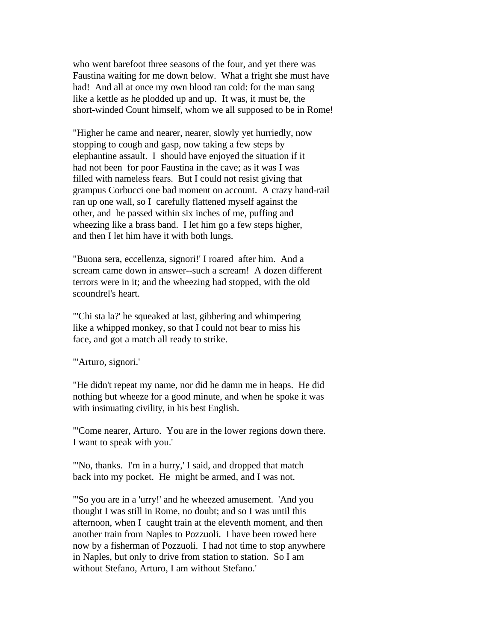who went barefoot three seasons of the four, and yet there was Faustina waiting for me down below. What a fright she must have had! And all at once my own blood ran cold: for the man sang like a kettle as he plodded up and up. It was, it must be, the short-winded Count himself, whom we all supposed to be in Rome!

"Higher he came and nearer, nearer, slowly yet hurriedly, now stopping to cough and gasp, now taking a few steps by elephantine assault. I should have enjoyed the situation if it had not been for poor Faustina in the cave; as it was I was filled with nameless fears. But I could not resist giving that grampus Corbucci one bad moment on account. A crazy hand-rail ran up one wall, so I carefully flattened myself against the other, and he passed within six inches of me, puffing and wheezing like a brass band. I let him go a few steps higher, and then I let him have it with both lungs.

"Buona sera, eccellenza, signori!' I roared after him. And a scream came down in answer--such a scream! A dozen different terrors were in it; and the wheezing had stopped, with the old scoundrel's heart.

"'Chi sta la?' he squeaked at last, gibbering and whimpering like a whipped monkey, so that I could not bear to miss his face, and got a match all ready to strike.

"'Arturo, signori.'

"He didn't repeat my name, nor did he damn me in heaps. He did nothing but wheeze for a good minute, and when he spoke it was with insinuating civility, in his best English.

"'Come nearer, Arturo. You are in the lower regions down there. I want to speak with you.'

"'No, thanks. I'm in a hurry,' I said, and dropped that match back into my pocket. He might be armed, and I was not.

"'So you are in a 'urry!' and he wheezed amusement. 'And you thought I was still in Rome, no doubt; and so I was until this afternoon, when I caught train at the eleventh moment, and then another train from Naples to Pozzuoli. I have been rowed here now by a fisherman of Pozzuoli. I had not time to stop anywhere in Naples, but only to drive from station to station. So I am without Stefano, Arturo, I am without Stefano.'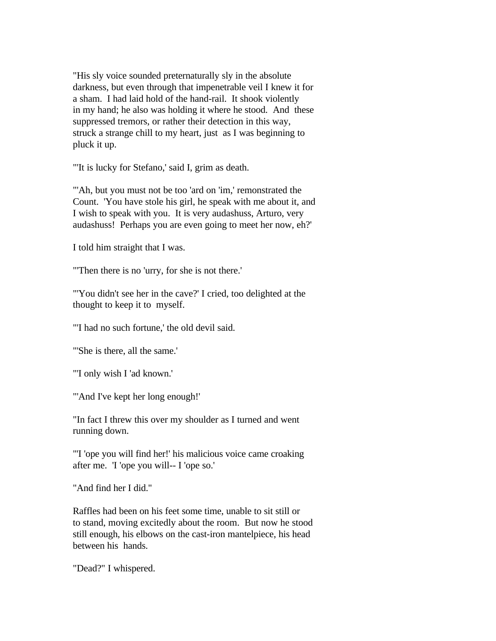"His sly voice sounded preternaturally sly in the absolute darkness, but even through that impenetrable veil I knew it for a sham. I had laid hold of the hand-rail. It shook violently in my hand; he also was holding it where he stood. And these suppressed tremors, or rather their detection in this way, struck a strange chill to my heart, just as I was beginning to pluck it up.

"'It is lucky for Stefano,' said I, grim as death.

"'Ah, but you must not be too 'ard on 'im,' remonstrated the Count. 'You have stole his girl, he speak with me about it, and I wish to speak with you. It is very audashuss, Arturo, very audashuss! Perhaps you are even going to meet her now, eh?'

I told him straight that I was.

"'Then there is no 'urry, for she is not there.'

"'You didn't see her in the cave?' I cried, too delighted at the thought to keep it to myself.

"'I had no such fortune,' the old devil said.

"'She is there, all the same.'

"'I only wish I 'ad known.'

"'And I've kept her long enough!'

"In fact I threw this over my shoulder as I turned and went running down.

"'I 'ope you will find her!' his malicious voice came croaking after me. 'I 'ope you will-- I 'ope so.'

"And find her I did."

Raffles had been on his feet some time, unable to sit still or to stand, moving excitedly about the room. But now he stood still enough, his elbows on the cast-iron mantelpiece, his head between his hands.

"Dead?" I whispered.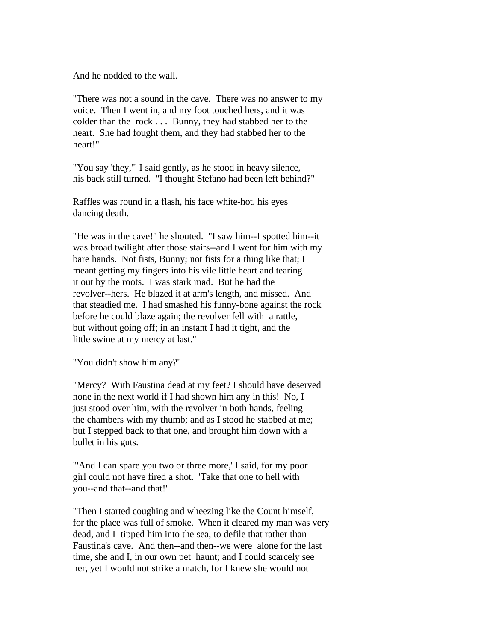And he nodded to the wall.

"There was not a sound in the cave. There was no answer to my voice. Then I went in, and my foot touched hers, and it was colder than the rock . . . Bunny, they had stabbed her to the heart. She had fought them, and they had stabbed her to the heart!"

"You say 'they,'" I said gently, as he stood in heavy silence, his back still turned. "I thought Stefano had been left behind?"

Raffles was round in a flash, his face white-hot, his eyes dancing death.

"He was in the cave!" he shouted. "I saw him--I spotted him--it was broad twilight after those stairs--and I went for him with my bare hands. Not fists, Bunny; not fists for a thing like that; I meant getting my fingers into his vile little heart and tearing it out by the roots. I was stark mad. But he had the revolver--hers. He blazed it at arm's length, and missed. And that steadied me. I had smashed his funny-bone against the rock before he could blaze again; the revolver fell with a rattle, but without going off; in an instant I had it tight, and the little swine at my mercy at last."

"You didn't show him any?"

"Mercy? With Faustina dead at my feet? I should have deserved none in the next world if I had shown him any in this! No, I just stood over him, with the revolver in both hands, feeling the chambers with my thumb; and as I stood he stabbed at me; but I stepped back to that one, and brought him down with a bullet in his guts.

"'And I can spare you two or three more,' I said, for my poor girl could not have fired a shot. 'Take that one to hell with you--and that--and that!'

"Then I started coughing and wheezing like the Count himself, for the place was full of smoke. When it cleared my man was very dead, and I tipped him into the sea, to defile that rather than Faustina's cave. And then--and then--we were alone for the last time, she and I, in our own pet haunt; and I could scarcely see her, yet I would not strike a match, for I knew she would not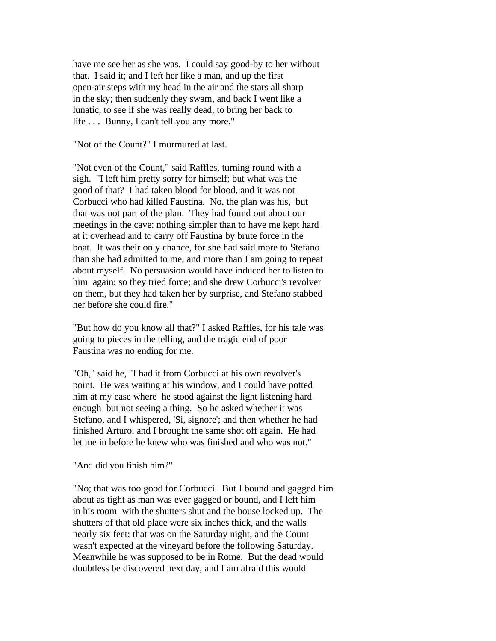have me see her as she was. I could say good-by to her without that. I said it; and I left her like a man, and up the first open-air steps with my head in the air and the stars all sharp in the sky; then suddenly they swam, and back I went like a lunatic, to see if she was really dead, to bring her back to life . . . Bunny, I can't tell you any more."

"Not of the Count?" I murmured at last.

"Not even of the Count," said Raffles, turning round with a sigh. "I left him pretty sorry for himself; but what was the good of that? I had taken blood for blood, and it was not Corbucci who had killed Faustina. No, the plan was his, but that was not part of the plan. They had found out about our meetings in the cave: nothing simpler than to have me kept hard at it overhead and to carry off Faustina by brute force in the boat. It was their only chance, for she had said more to Stefano than she had admitted to me, and more than I am going to repeat about myself. No persuasion would have induced her to listen to him again; so they tried force; and she drew Corbucci's revolver on them, but they had taken her by surprise, and Stefano stabbed her before she could fire."

"But how do you know all that?" I asked Raffles, for his tale was going to pieces in the telling, and the tragic end of poor Faustina was no ending for me.

"Oh," said he, "I had it from Corbucci at his own revolver's point. He was waiting at his window, and I could have potted him at my ease where he stood against the light listening hard enough but not seeing a thing. So he asked whether it was Stefano, and I whispered, 'Si, signore'; and then whether he had finished Arturo, and I brought the same shot off again. He had let me in before he knew who was finished and who was not."

# "And did you finish him?"

"No; that was too good for Corbucci. But I bound and gagged him about as tight as man was ever gagged or bound, and I left him in his room with the shutters shut and the house locked up. The shutters of that old place were six inches thick, and the walls nearly six feet; that was on the Saturday night, and the Count wasn't expected at the vineyard before the following Saturday. Meanwhile he was supposed to be in Rome. But the dead would doubtless be discovered next day, and I am afraid this would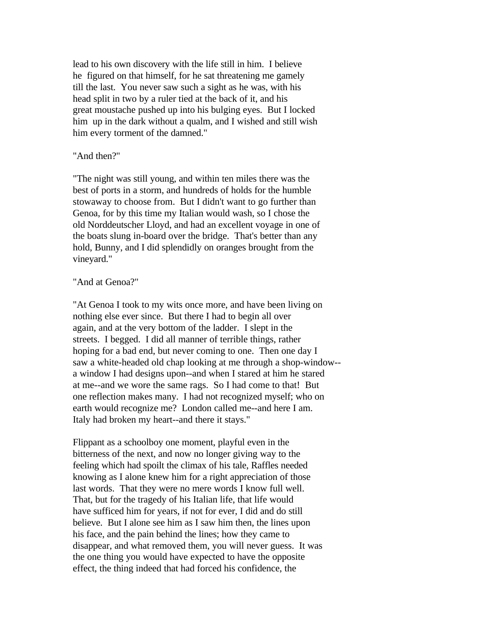lead to his own discovery with the life still in him. I believe he figured on that himself, for he sat threatening me gamely till the last. You never saw such a sight as he was, with his head split in two by a ruler tied at the back of it, and his great moustache pushed up into his bulging eyes. But I locked him up in the dark without a qualm, and I wished and still wish him every torment of the damned."

# "And then?"

"The night was still young, and within ten miles there was the best of ports in a storm, and hundreds of holds for the humble stowaway to choose from. But I didn't want to go further than Genoa, for by this time my Italian would wash, so I chose the old Norddeutscher Lloyd, and had an excellent voyage in one of the boats slung in-board over the bridge. That's better than any hold, Bunny, and I did splendidly on oranges brought from the vineyard."

# "And at Genoa?"

"At Genoa I took to my wits once more, and have been living on nothing else ever since. But there I had to begin all over again, and at the very bottom of the ladder. I slept in the streets. I begged. I did all manner of terrible things, rather hoping for a bad end, but never coming to one. Then one day I saw a white-headed old chap looking at me through a shop-window- a window I had designs upon--and when I stared at him he stared at me--and we wore the same rags. So I had come to that! But one reflection makes many. I had not recognized myself; who on earth would recognize me? London called me--and here I am. Italy had broken my heart--and there it stays."

Flippant as a schoolboy one moment, playful even in the bitterness of the next, and now no longer giving way to the feeling which had spoilt the climax of his tale, Raffles needed knowing as I alone knew him for a right appreciation of those last words. That they were no mere words I know full well. That, but for the tragedy of his Italian life, that life would have sufficed him for years, if not for ever, I did and do still believe. But I alone see him as I saw him then, the lines upon his face, and the pain behind the lines; how they came to disappear, and what removed them, you will never guess. It was the one thing you would have expected to have the opposite effect, the thing indeed that had forced his confidence, the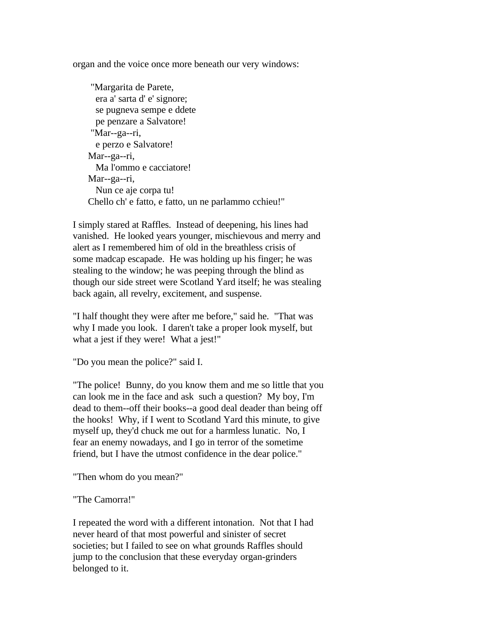organ and the voice once more beneath our very windows:

 "Margarita de Parete, era a' sarta d' e' signore; se pugneva sempe e ddete pe penzare a Salvatore! "Mar--ga--ri, e perzo e Salvatore! Mar--ga--ri, Ma l'ommo e cacciatore! Mar--ga--ri, Nun ce aje corpa tu! Chello ch' e fatto, e fatto, un ne parlammo cchieu!"

I simply stared at Raffles. Instead of deepening, his lines had vanished. He looked years younger, mischievous and merry and alert as I remembered him of old in the breathless crisis of some madcap escapade. He was holding up his finger; he was stealing to the window; he was peeping through the blind as though our side street were Scotland Yard itself; he was stealing back again, all revelry, excitement, and suspense.

"I half thought they were after me before," said he. "That was why I made you look. I daren't take a proper look myself, but what a jest if they were! What a jest!"

"Do you mean the police?" said I.

"The police! Bunny, do you know them and me so little that you can look me in the face and ask such a question? My boy, I'm dead to them--off their books--a good deal deader than being off the hooks! Why, if I went to Scotland Yard this minute, to give myself up, they'd chuck me out for a harmless lunatic. No, I fear an enemy nowadays, and I go in terror of the sometime friend, but I have the utmost confidence in the dear police."

"Then whom do you mean?"

"The Camorra!"

I repeated the word with a different intonation. Not that I had never heard of that most powerful and sinister of secret societies; but I failed to see on what grounds Raffles should jump to the conclusion that these everyday organ-grinders belonged to it.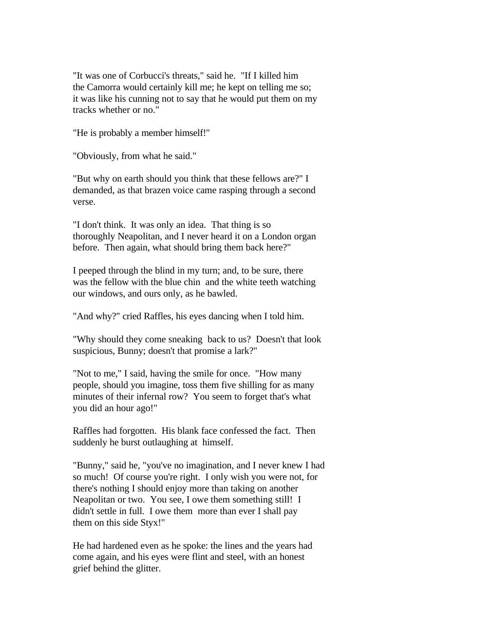"It was one of Corbucci's threats," said he. "If I killed him the Camorra would certainly kill me; he kept on telling me so; it was like his cunning not to say that he would put them on my tracks whether or no."

"He is probably a member himself!"

"Obviously, from what he said."

"But why on earth should you think that these fellows are?" I demanded, as that brazen voice came rasping through a second verse.

"I don't think. It was only an idea. That thing is so thoroughly Neapolitan, and I never heard it on a London organ before. Then again, what should bring them back here?"

I peeped through the blind in my turn; and, to be sure, there was the fellow with the blue chin and the white teeth watching our windows, and ours only, as he bawled.

"And why?" cried Raffles, his eyes dancing when I told him.

"Why should they come sneaking back to us? Doesn't that look suspicious, Bunny; doesn't that promise a lark?"

"Not to me," I said, having the smile for once. "How many people, should you imagine, toss them five shilling for as many minutes of their infernal row? You seem to forget that's what you did an hour ago!"

Raffles had forgotten. His blank face confessed the fact. Then suddenly he burst outlaughing at himself.

"Bunny," said he, "you've no imagination, and I never knew I had so much! Of course you're right. I only wish you were not, for there's nothing I should enjoy more than taking on another Neapolitan or two. You see, I owe them something still! I didn't settle in full. I owe them more than ever I shall pay them on this side Styx!"

He had hardened even as he spoke: the lines and the years had come again, and his eyes were flint and steel, with an honest grief behind the glitter.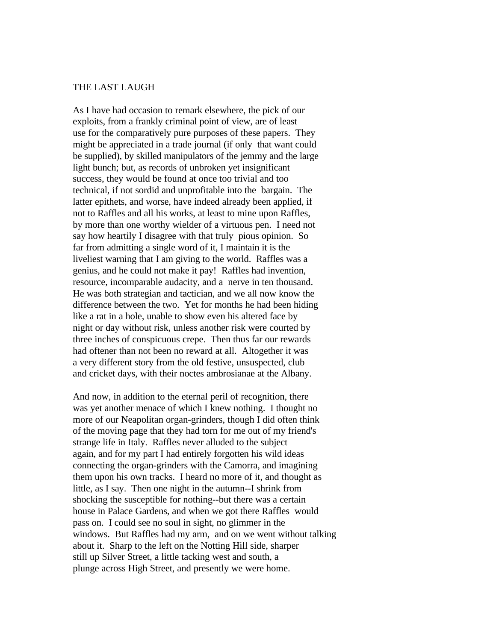# THE LAST LAUGH

As I have had occasion to remark elsewhere, the pick of our exploits, from a frankly criminal point of view, are of least use for the comparatively pure purposes of these papers. They might be appreciated in a trade journal (if only that want could be supplied), by skilled manipulators of the jemmy and the large light bunch; but, as records of unbroken yet insignificant success, they would be found at once too trivial and too technical, if not sordid and unprofitable into the bargain. The latter epithets, and worse, have indeed already been applied, if not to Raffles and all his works, at least to mine upon Raffles, by more than one worthy wielder of a virtuous pen. I need not say how heartily I disagree with that truly pious opinion. So far from admitting a single word of it, I maintain it is the liveliest warning that I am giving to the world. Raffles was a genius, and he could not make it pay! Raffles had invention, resource, incomparable audacity, and a nerve in ten thousand. He was both strategian and tactician, and we all now know the difference between the two. Yet for months he had been hiding like a rat in a hole, unable to show even his altered face by night or day without risk, unless another risk were courted by three inches of conspicuous crepe. Then thus far our rewards had oftener than not been no reward at all. Altogether it was a very different story from the old festive, unsuspected, club and cricket days, with their noctes ambrosianae at the Albany.

And now, in addition to the eternal peril of recognition, there was yet another menace of which I knew nothing. I thought no more of our Neapolitan organ-grinders, though I did often think of the moving page that they had torn for me out of my friend's strange life in Italy. Raffles never alluded to the subject again, and for my part I had entirely forgotten his wild ideas connecting the organ-grinders with the Camorra, and imagining them upon his own tracks. I heard no more of it, and thought as little, as I say. Then one night in the autumn--I shrink from shocking the susceptible for nothing--but there was a certain house in Palace Gardens, and when we got there Raffles would pass on. I could see no soul in sight, no glimmer in the windows. But Raffles had my arm, and on we went without talking about it. Sharp to the left on the Notting Hill side, sharper still up Silver Street, a little tacking west and south, a plunge across High Street, and presently we were home.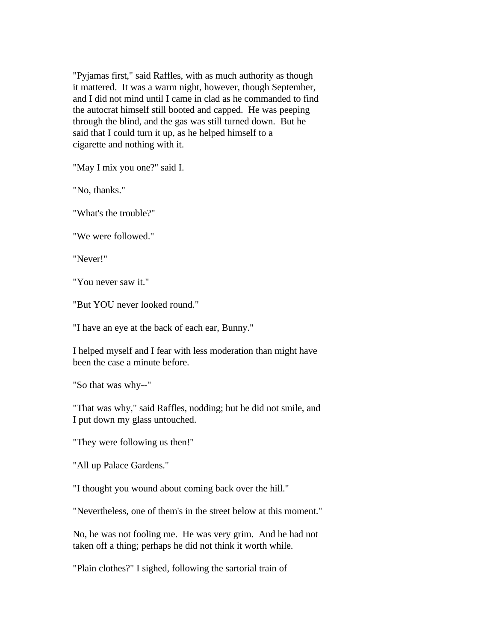"Pyjamas first," said Raffles, with as much authority as though it mattered. It was a warm night, however, though September, and I did not mind until I came in clad as he commanded to find the autocrat himself still booted and capped. He was peeping through the blind, and the gas was still turned down. But he said that I could turn it up, as he helped himself to a cigarette and nothing with it.

"May I mix you one?" said I.

"No, thanks."

"What's the trouble?"

"We were followed."

"Never!"

"You never saw it."

"But YOU never looked round."

"I have an eye at the back of each ear, Bunny."

I helped myself and I fear with less moderation than might have been the case a minute before.

"So that was why--"

"That was why," said Raffles, nodding; but he did not smile, and I put down my glass untouched.

"They were following us then!"

"All up Palace Gardens."

"I thought you wound about coming back over the hill."

"Nevertheless, one of them's in the street below at this moment."

No, he was not fooling me. He was very grim. And he had not taken off a thing; perhaps he did not think it worth while.

"Plain clothes?" I sighed, following the sartorial train of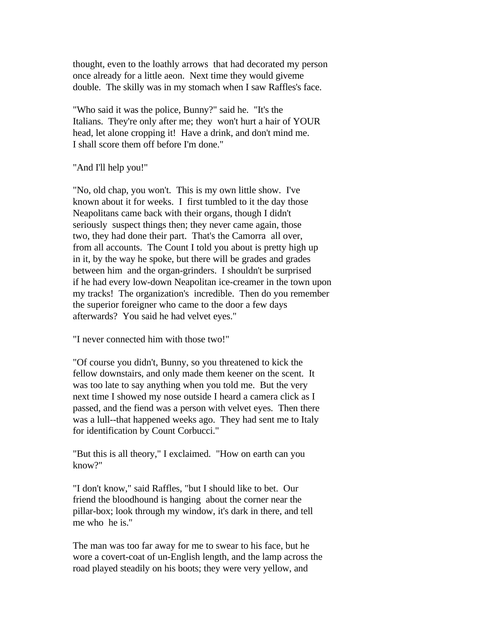thought, even to the loathly arrows that had decorated my person once already for a little aeon. Next time they would giveme double. The skilly was in my stomach when I saw Raffles's face.

"Who said it was the police, Bunny?" said he. "It's the Italians. They're only after me; they won't hurt a hair of YOUR head, let alone cropping it! Have a drink, and don't mind me. I shall score them off before I'm done."

"And I'll help you!"

"No, old chap, you won't. This is my own little show. I've known about it for weeks. I first tumbled to it the day those Neapolitans came back with their organs, though I didn't seriously suspect things then; they never came again, those two, they had done their part. That's the Camorra all over, from all accounts. The Count I told you about is pretty high up in it, by the way he spoke, but there will be grades and grades between him and the organ-grinders. I shouldn't be surprised if he had every low-down Neapolitan ice-creamer in the town upon my tracks! The organization's incredible. Then do you remember the superior foreigner who came to the door a few days afterwards? You said he had velvet eyes."

"I never connected him with those two!"

"Of course you didn't, Bunny, so you threatened to kick the fellow downstairs, and only made them keener on the scent. It was too late to say anything when you told me. But the very next time I showed my nose outside I heard a camera click as I passed, and the fiend was a person with velvet eyes. Then there was a lull--that happened weeks ago. They had sent me to Italy for identification by Count Corbucci."

"But this is all theory," I exclaimed. "How on earth can you know?"

"I don't know," said Raffles, "but I should like to bet. Our friend the bloodhound is hanging about the corner near the pillar-box; look through my window, it's dark in there, and tell me who he is."

The man was too far away for me to swear to his face, but he wore a covert-coat of un-English length, and the lamp across the road played steadily on his boots; they were very yellow, and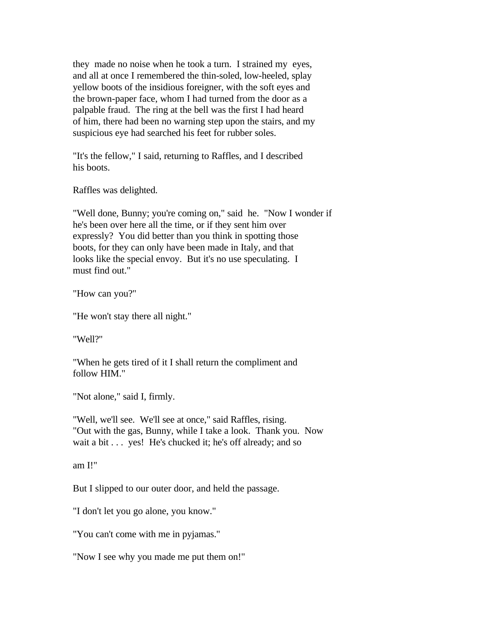they made no noise when he took a turn. I strained my eyes, and all at once I remembered the thin-soled, low-heeled, splay yellow boots of the insidious foreigner, with the soft eyes and the brown-paper face, whom I had turned from the door as a palpable fraud. The ring at the bell was the first I had heard of him, there had been no warning step upon the stairs, and my suspicious eye had searched his feet for rubber soles.

"It's the fellow," I said, returning to Raffles, and I described his boots.

Raffles was delighted.

"Well done, Bunny; you're coming on," said he. "Now I wonder if he's been over here all the time, or if they sent him over expressly? You did better than you think in spotting those boots, for they can only have been made in Italy, and that looks like the special envoy. But it's no use speculating. I must find out."

"How can you?"

"He won't stay there all night."

"Well?"

"When he gets tired of it I shall return the compliment and follow HIM."

"Not alone," said I, firmly.

"Well, we'll see. We'll see at once," said Raffles, rising. "Out with the gas, Bunny, while I take a look. Thank you. Now wait a bit . . . yes! He's chucked it; he's off already; and so

am I!"

But I slipped to our outer door, and held the passage.

"I don't let you go alone, you know."

"You can't come with me in pyjamas."

"Now I see why you made me put them on!"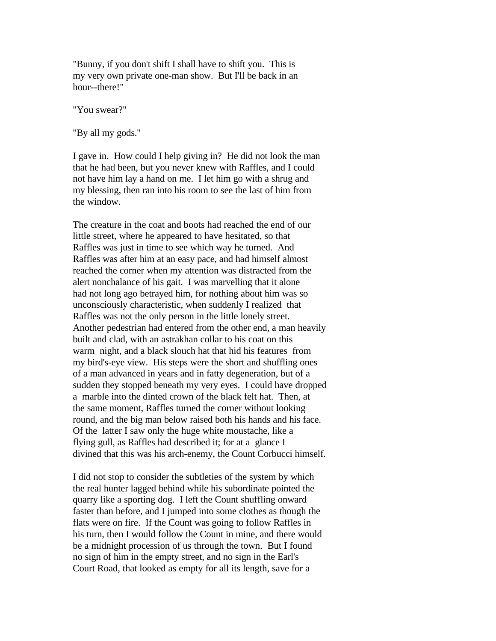"Bunny, if you don't shift I shall have to shift you. This is my very own private one-man show. But I'll be back in an hour--there!"

"You swear?"

"By all my gods."

I gave in. How could I help giving in? He did not look the man that he had been, but you never knew with Raffles, and I could not have him lay a hand on me. I let him go with a shrug and my blessing, then ran into his room to see the last of him from the window.

The creature in the coat and boots had reached the end of our little street, where he appeared to have hesitated, so that Raffles was just in time to see which way he turned. And Raffles was after him at an easy pace, and had himself almost reached the corner when my attention was distracted from the alert nonchalance of his gait. I was marvelling that it alone had not long ago betrayed him, for nothing about him was so unconsciously characteristic, when suddenly I realized that Raffles was not the only person in the little lonely street. Another pedestrian had entered from the other end, a man heavily built and clad, with an astrakhan collar to his coat on this warm night, and a black slouch hat that hid his features from my bird's-eye view. His steps were the short and shuffling ones of a man advanced in years and in fatty degeneration, but of a sudden they stopped beneath my very eyes. I could have dropped a marble into the dinted crown of the black felt hat. Then, at the same moment, Raffles turned the corner without looking round, and the big man below raised both his hands and his face. Of the latter I saw only the huge white moustache, like a flying gull, as Raffles had described it; for at a glance I divined that this was his arch-enemy, the Count Corbucci himself.

I did not stop to consider the subtleties of the system by which the real hunter lagged behind while his subordinate pointed the quarry like a sporting dog. I left the Count shuffling onward faster than before, and I jumped into some clothes as though the flats were on fire. If the Count was going to follow Raffles in his turn, then I would follow the Count in mine, and there would be a midnight procession of us through the town. But I found no sign of him in the empty street, and no sign in the Earl's Court Road, that looked as empty for all its length, save for a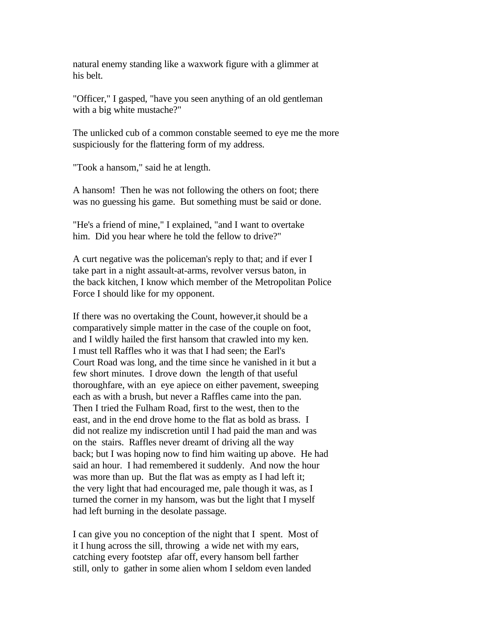natural enemy standing like a waxwork figure with a glimmer at his belt.

"Officer," I gasped, "have you seen anything of an old gentleman with a big white mustache?"

The unlicked cub of a common constable seemed to eye me the more suspiciously for the flattering form of my address.

"Took a hansom," said he at length.

A hansom! Then he was not following the others on foot; there was no guessing his game. But something must be said or done.

"He's a friend of mine," I explained, "and I want to overtake him. Did you hear where he told the fellow to drive?"

A curt negative was the policeman's reply to that; and if ever I take part in a night assault-at-arms, revolver versus baton, in the back kitchen, I know which member of the Metropolitan Police Force I should like for my opponent.

If there was no overtaking the Count, however,it should be a comparatively simple matter in the case of the couple on foot, and I wildly hailed the first hansom that crawled into my ken. I must tell Raffles who it was that I had seen; the Earl's Court Road was long, and the time since he vanished in it but a few short minutes. I drove down the length of that useful thoroughfare, with an eye apiece on either pavement, sweeping each as with a brush, but never a Raffles came into the pan. Then I tried the Fulham Road, first to the west, then to the east, and in the end drove home to the flat as bold as brass. I did not realize my indiscretion until I had paid the man and was on the stairs. Raffles never dreamt of driving all the way back; but I was hoping now to find him waiting up above. He had said an hour. I had remembered it suddenly. And now the hour was more than up. But the flat was as empty as I had left it; the very light that had encouraged me, pale though it was, as I turned the corner in my hansom, was but the light that I myself had left burning in the desolate passage.

I can give you no conception of the night that I spent. Most of it I hung across the sill, throwing a wide net with my ears, catching every footstep afar off, every hansom bell farther still, only to gather in some alien whom I seldom even landed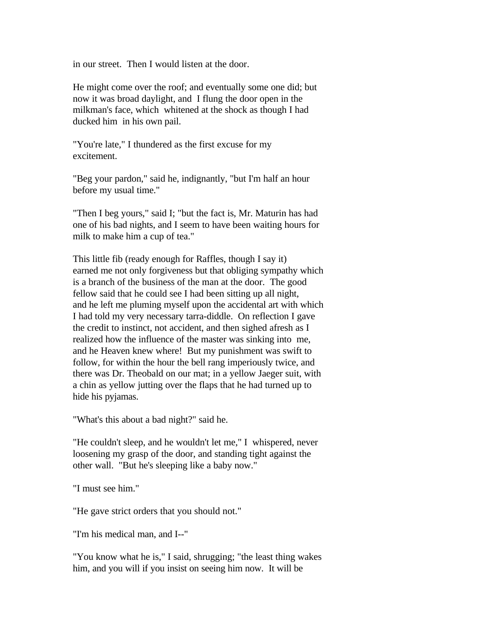in our street. Then I would listen at the door.

He might come over the roof; and eventually some one did; but now it was broad daylight, and I flung the door open in the milkman's face, which whitened at the shock as though I had ducked him in his own pail.

"You're late," I thundered as the first excuse for my excitement.

"Beg your pardon," said he, indignantly, "but I'm half an hour before my usual time."

"Then I beg yours," said I; "but the fact is, Mr. Maturin has had one of his bad nights, and I seem to have been waiting hours for milk to make him a cup of tea."

This little fib (ready enough for Raffles, though I say it) earned me not only forgiveness but that obliging sympathy which is a branch of the business of the man at the door. The good fellow said that he could see I had been sitting up all night, and he left me pluming myself upon the accidental art with which I had told my very necessary tarra-diddle. On reflection I gave the credit to instinct, not accident, and then sighed afresh as I realized how the influence of the master was sinking into me, and he Heaven knew where! But my punishment was swift to follow, for within the hour the bell rang imperiously twice, and there was Dr. Theobald on our mat; in a yellow Jaeger suit, with a chin as yellow jutting over the flaps that he had turned up to hide his pyjamas.

"What's this about a bad night?" said he.

"He couldn't sleep, and he wouldn't let me," I whispered, never loosening my grasp of the door, and standing tight against the other wall. "But he's sleeping like a baby now."

"I must see him."

"He gave strict orders that you should not."

"I'm his medical man, and I--"

"You know what he is," I said, shrugging; "the least thing wakes him, and you will if you insist on seeing him now. It will be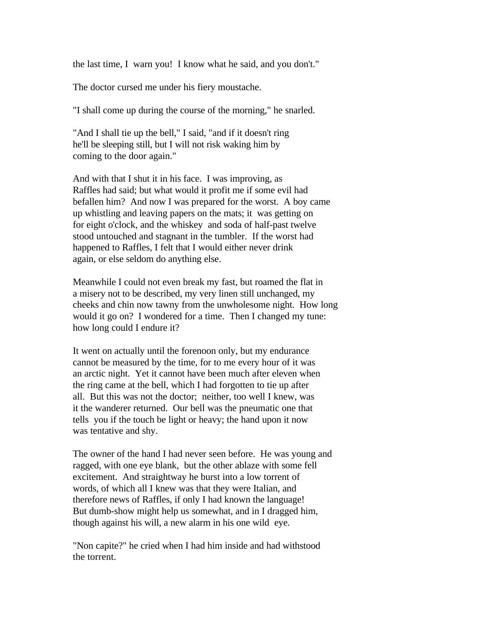the last time, I warn you! I know what he said, and you don't."

The doctor cursed me under his fiery moustache.

"I shall come up during the course of the morning," he snarled.

"And I shall tie up the bell," I said, "and if it doesn't ring he'll be sleeping still, but I will not risk waking him by coming to the door again."

And with that I shut it in his face. I was improving, as Raffles had said; but what would it profit me if some evil had befallen him? And now I was prepared for the worst. A boy came up whistling and leaving papers on the mats; it was getting on for eight o'clock, and the whiskey and soda of half-past twelve stood untouched and stagnant in the tumbler. If the worst had happened to Raffles, I felt that I would either never drink again, or else seldom do anything else.

Meanwhile I could not even break my fast, but roamed the flat in a misery not to be described, my very linen still unchanged, my cheeks and chin now tawny from the unwholesome night. How long would it go on? I wondered for a time. Then I changed my tune: how long could I endure it?

It went on actually until the forenoon only, but my endurance cannot be measured by the time, for to me every hour of it was an arctic night. Yet it cannot have been much after eleven when the ring came at the bell, which I had forgotten to tie up after all. But this was not the doctor; neither, too well I knew, was it the wanderer returned. Our bell was the pneumatic one that tells you if the touch be light or heavy; the hand upon it now was tentative and shy.

The owner of the hand I had never seen before. He was young and ragged, with one eye blank, but the other ablaze with some fell excitement. And straightway he burst into a low torrent of words, of which all I knew was that they were Italian, and therefore news of Raffles, if only I had known the language! But dumb-show might help us somewhat, and in I dragged him, though against his will, a new alarm in his one wild eye.

"Non capite?" he cried when I had him inside and had withstood the torrent.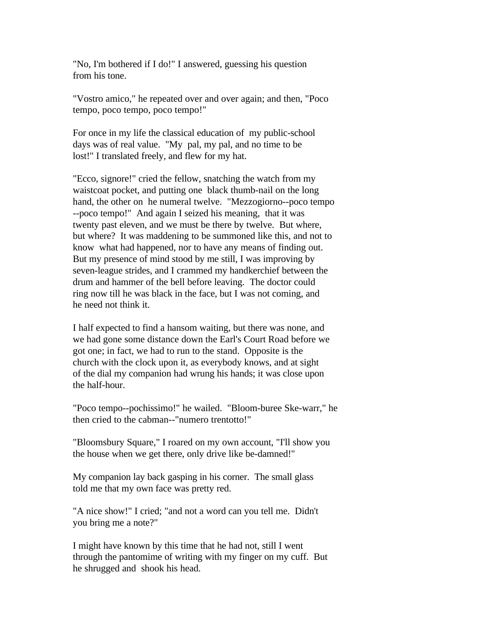"No, I'm bothered if I do!" I answered, guessing his question from his tone.

"Vostro amico," he repeated over and over again; and then, "Poco tempo, poco tempo, poco tempo!"

For once in my life the classical education of my public-school days was of real value. "My pal, my pal, and no time to be lost!" I translated freely, and flew for my hat.

"Ecco, signore!" cried the fellow, snatching the watch from my waistcoat pocket, and putting one black thumb-nail on the long hand, the other on he numeral twelve. "Mezzogiorno--poco tempo --poco tempo!" And again I seized his meaning, that it was twenty past eleven, and we must be there by twelve. But where, but where? It was maddening to be summoned like this, and not to know what had happened, nor to have any means of finding out. But my presence of mind stood by me still, I was improving by seven-league strides, and I crammed my handkerchief between the drum and hammer of the bell before leaving. The doctor could ring now till he was black in the face, but I was not coming, and he need not think it.

I half expected to find a hansom waiting, but there was none, and we had gone some distance down the Earl's Court Road before we got one; in fact, we had to run to the stand. Opposite is the church with the clock upon it, as everybody knows, and at sight of the dial my companion had wrung his hands; it was close upon the half-hour.

"Poco tempo--pochissimo!" he wailed. "Bloom-buree Ske-warr," he then cried to the cabman--"numero trentotto!"

"Bloomsbury Square," I roared on my own account, "I'll show you the house when we get there, only drive like be-damned!"

My companion lay back gasping in his corner. The small glass told me that my own face was pretty red.

"A nice show!" I cried; "and not a word can you tell me. Didn't you bring me a note?"

I might have known by this time that he had not, still I went through the pantomime of writing with my finger on my cuff. But he shrugged and shook his head.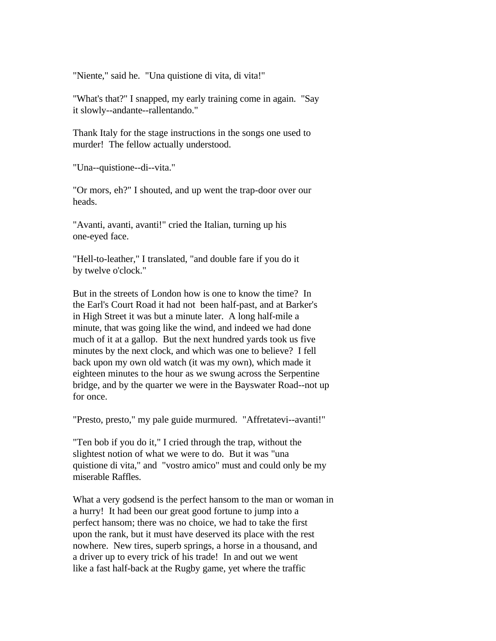"Niente," said he. "Una quistione di vita, di vita!"

"What's that?" I snapped, my early training come in again. "Say it slowly--andante--rallentando."

Thank Italy for the stage instructions in the songs one used to murder! The fellow actually understood.

"Una--quistione--di--vita."

"Or mors, eh?" I shouted, and up went the trap-door over our heads.

"Avanti, avanti, avanti!" cried the Italian, turning up his one-eyed face.

"Hell-to-leather," I translated, "and double fare if you do it by twelve o'clock."

But in the streets of London how is one to know the time? In the Earl's Court Road it had not been half-past, and at Barker's in High Street it was but a minute later. A long half-mile a minute, that was going like the wind, and indeed we had done much of it at a gallop. But the next hundred yards took us five minutes by the next clock, and which was one to believe? I fell back upon my own old watch (it was my own), which made it eighteen minutes to the hour as we swung across the Serpentine bridge, and by the quarter we were in the Bayswater Road--not up for once.

"Presto, presto," my pale guide murmured. "Affretatevi--avanti!"

"Ten bob if you do it," I cried through the trap, without the slightest notion of what we were to do. But it was "una quistione di vita," and "vostro amico" must and could only be my miserable Raffles.

What a very godsend is the perfect hansom to the man or woman in a hurry! It had been our great good fortune to jump into a perfect hansom; there was no choice, we had to take the first upon the rank, but it must have deserved its place with the rest nowhere. New tires, superb springs, a horse in a thousand, and a driver up to every trick of his trade! In and out we went like a fast half-back at the Rugby game, yet where the traffic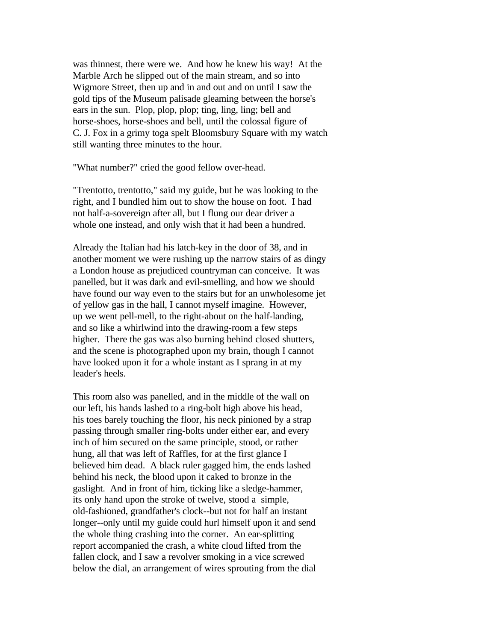was thinnest, there were we. And how he knew his way! At the Marble Arch he slipped out of the main stream, and so into Wigmore Street, then up and in and out and on until I saw the gold tips of the Museum palisade gleaming between the horse's ears in the sun. Plop, plop, plop; ting, ling, ling; bell and horse-shoes, horse-shoes and bell, until the colossal figure of C. J. Fox in a grimy toga spelt Bloomsbury Square with my watch still wanting three minutes to the hour.

"What number?" cried the good fellow over-head.

"Trentotto, trentotto," said my guide, but he was looking to the right, and I bundled him out to show the house on foot. I had not half-a-sovereign after all, but I flung our dear driver a whole one instead, and only wish that it had been a hundred.

Already the Italian had his latch-key in the door of 38, and in another moment we were rushing up the narrow stairs of as dingy a London house as prejudiced countryman can conceive. It was panelled, but it was dark and evil-smelling, and how we should have found our way even to the stairs but for an unwholesome jet of yellow gas in the hall, I cannot myself imagine. However, up we went pell-mell, to the right-about on the half-landing, and so like a whirlwind into the drawing-room a few steps higher. There the gas was also burning behind closed shutters, and the scene is photographed upon my brain, though I cannot have looked upon it for a whole instant as I sprang in at my leader's heels.

This room also was panelled, and in the middle of the wall on our left, his hands lashed to a ring-bolt high above his head, his toes barely touching the floor, his neck pinioned by a strap passing through smaller ring-bolts under either ear, and every inch of him secured on the same principle, stood, or rather hung, all that was left of Raffles, for at the first glance I believed him dead. A black ruler gagged him, the ends lashed behind his neck, the blood upon it caked to bronze in the gaslight. And in front of him, ticking like a sledge-hammer, its only hand upon the stroke of twelve, stood a simple, old-fashioned, grandfather's clock--but not for half an instant longer--only until my guide could hurl himself upon it and send the whole thing crashing into the corner. An ear-splitting report accompanied the crash, a white cloud lifted from the fallen clock, and I saw a revolver smoking in a vice screwed below the dial, an arrangement of wires sprouting from the dial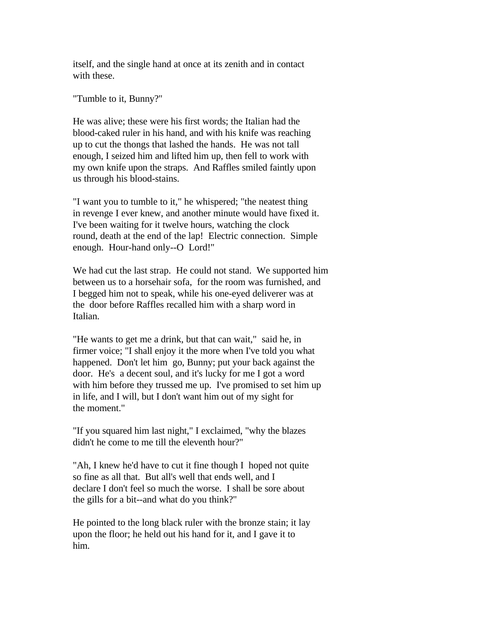itself, and the single hand at once at its zenith and in contact with these.

"Tumble to it, Bunny?"

He was alive; these were his first words; the Italian had the blood-caked ruler in his hand, and with his knife was reaching up to cut the thongs that lashed the hands. He was not tall enough, I seized him and lifted him up, then fell to work with my own knife upon the straps. And Raffles smiled faintly upon us through his blood-stains.

"I want you to tumble to it," he whispered; "the neatest thing in revenge I ever knew, and another minute would have fixed it. I've been waiting for it twelve hours, watching the clock round, death at the end of the lap! Electric connection. Simple enough. Hour-hand only--O Lord!"

We had cut the last strap. He could not stand. We supported him between us to a horsehair sofa, for the room was furnished, and I begged him not to speak, while his one-eyed deliverer was at the door before Raffles recalled him with a sharp word in Italian.

"He wants to get me a drink, but that can wait," said he, in firmer voice; "I shall enjoy it the more when I've told you what happened. Don't let him go, Bunny; put your back against the door. He's a decent soul, and it's lucky for me I got a word with him before they trussed me up. I've promised to set him up in life, and I will, but I don't want him out of my sight for the moment."

"If you squared him last night," I exclaimed, "why the blazes didn't he come to me till the eleventh hour?"

"Ah, I knew he'd have to cut it fine though I hoped not quite so fine as all that. But all's well that ends well, and I declare I don't feel so much the worse. I shall be sore about the gills for a bit--and what do you think?"

He pointed to the long black ruler with the bronze stain; it lay upon the floor; he held out his hand for it, and I gave it to him.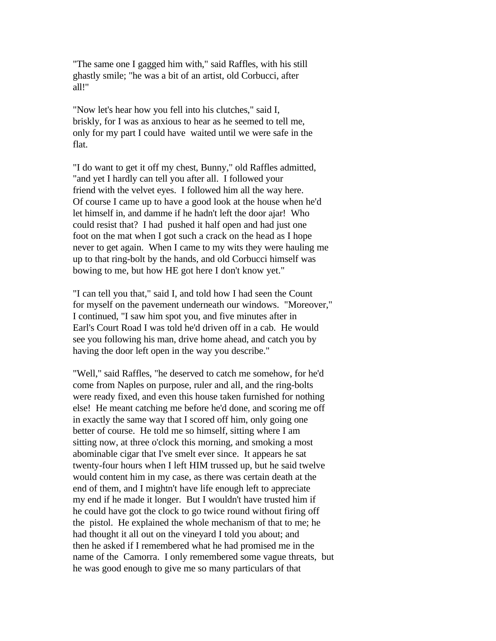"The same one I gagged him with," said Raffles, with his still ghastly smile; "he was a bit of an artist, old Corbucci, after all!"

"Now let's hear how you fell into his clutches," said I, briskly, for I was as anxious to hear as he seemed to tell me, only for my part I could have waited until we were safe in the flat.

"I do want to get it off my chest, Bunny," old Raffles admitted, "and yet I hardly can tell you after all. I followed your friend with the velvet eyes. I followed him all the way here. Of course I came up to have a good look at the house when he'd let himself in, and damme if he hadn't left the door ajar! Who could resist that? I had pushed it half open and had just one foot on the mat when I got such a crack on the head as I hope never to get again. When I came to my wits they were hauling me up to that ring-bolt by the hands, and old Corbucci himself was bowing to me, but how HE got here I don't know yet."

"I can tell you that," said I, and told how I had seen the Count for myself on the pavement underneath our windows. "Moreover," I continued, "I saw him spot you, and five minutes after in Earl's Court Road I was told he'd driven off in a cab. He would see you following his man, drive home ahead, and catch you by having the door left open in the way you describe."

"Well," said Raffles, "he deserved to catch me somehow, for he'd come from Naples on purpose, ruler and all, and the ring-bolts were ready fixed, and even this house taken furnished for nothing else! He meant catching me before he'd done, and scoring me off in exactly the same way that I scored off him, only going one better of course. He told me so himself, sitting where I am sitting now, at three o'clock this morning, and smoking a most abominable cigar that I've smelt ever since. It appears he sat twenty-four hours when I left HIM trussed up, but he said twelve would content him in my case, as there was certain death at the end of them, and I mightn't have life enough left to appreciate my end if he made it longer. But I wouldn't have trusted him if he could have got the clock to go twice round without firing off the pistol. He explained the whole mechanism of that to me; he had thought it all out on the vineyard I told you about; and then he asked if I remembered what he had promised me in the name of the Camorra. I only remembered some vague threats, but he was good enough to give me so many particulars of that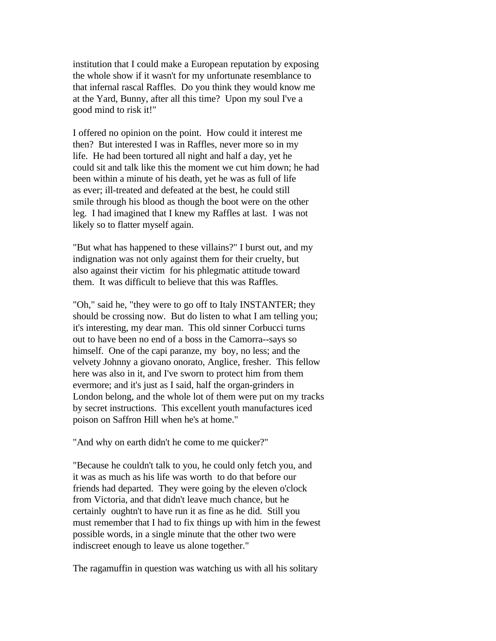institution that I could make a European reputation by exposing the whole show if it wasn't for my unfortunate resemblance to that infernal rascal Raffles. Do you think they would know me at the Yard, Bunny, after all this time? Upon my soul I've a good mind to risk it!"

I offered no opinion on the point. How could it interest me then? But interested I was in Raffles, never more so in my life. He had been tortured all night and half a day, yet he could sit and talk like this the moment we cut him down; he had been within a minute of his death, yet he was as full of life as ever; ill-treated and defeated at the best, he could still smile through his blood as though the boot were on the other leg. I had imagined that I knew my Raffles at last. I was not likely so to flatter myself again.

"But what has happened to these villains?" I burst out, and my indignation was not only against them for their cruelty, but also against their victim for his phlegmatic attitude toward them. It was difficult to believe that this was Raffles.

"Oh," said he, "they were to go off to Italy INSTANTER; they should be crossing now. But do listen to what I am telling you; it's interesting, my dear man. This old sinner Corbucci turns out to have been no end of a boss in the Camorra--says so himself. One of the capi paranze, my boy, no less; and the velvety Johnny a giovano onorato, Anglice, fresher. This fellow here was also in it, and I've sworn to protect him from them evermore; and it's just as I said, half the organ-grinders in London belong, and the whole lot of them were put on my tracks by secret instructions. This excellent youth manufactures iced poison on Saffron Hill when he's at home."

"And why on earth didn't he come to me quicker?"

"Because he couldn't talk to you, he could only fetch you, and it was as much as his life was worth to do that before our friends had departed. They were going by the eleven o'clock from Victoria, and that didn't leave much chance, but he certainly oughtn't to have run it as fine as he did. Still you must remember that I had to fix things up with him in the fewest possible words, in a single minute that the other two were indiscreet enough to leave us alone together."

The ragamuffin in question was watching us with all his solitary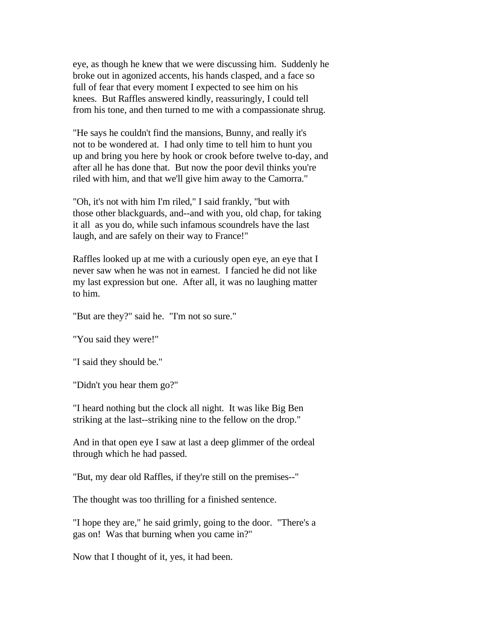eye, as though he knew that we were discussing him. Suddenly he broke out in agonized accents, his hands clasped, and a face so full of fear that every moment I expected to see him on his knees. But Raffles answered kindly, reassuringly, I could tell from his tone, and then turned to me with a compassionate shrug.

"He says he couldn't find the mansions, Bunny, and really it's not to be wondered at. I had only time to tell him to hunt you up and bring you here by hook or crook before twelve to-day, and after all he has done that. But now the poor devil thinks you're riled with him, and that we'll give him away to the Camorra."

"Oh, it's not with him I'm riled," I said frankly, "but with those other blackguards, and--and with you, old chap, for taking it all as you do, while such infamous scoundrels have the last laugh, and are safely on their way to France!"

Raffles looked up at me with a curiously open eye, an eye that I never saw when he was not in earnest. I fancied he did not like my last expression but one. After all, it was no laughing matter to him.

"But are they?" said he. "I'm not so sure."

"You said they were!"

"I said they should be."

"Didn't you hear them go?"

"I heard nothing but the clock all night. It was like Big Ben striking at the last--striking nine to the fellow on the drop."

And in that open eye I saw at last a deep glimmer of the ordeal through which he had passed.

"But, my dear old Raffles, if they're still on the premises--"

The thought was too thrilling for a finished sentence.

"I hope they are," he said grimly, going to the door. "There's a gas on! Was that burning when you came in?"

Now that I thought of it, yes, it had been.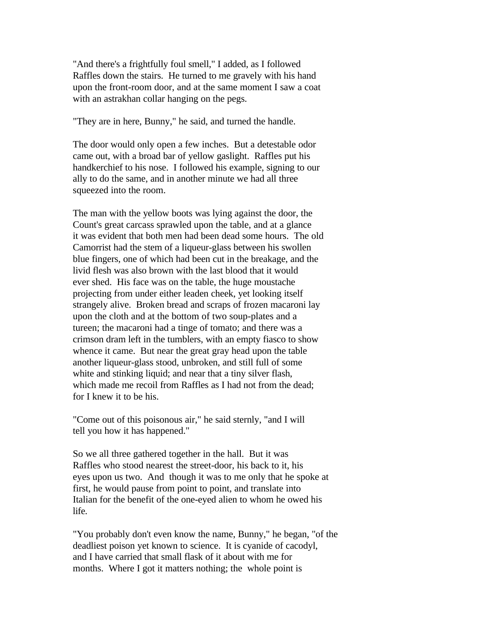"And there's a frightfully foul smell," I added, as I followed Raffles down the stairs. He turned to me gravely with his hand upon the front-room door, and at the same moment I saw a coat with an astrakhan collar hanging on the pegs.

"They are in here, Bunny," he said, and turned the handle.

The door would only open a few inches. But a detestable odor came out, with a broad bar of yellow gaslight. Raffles put his handkerchief to his nose. I followed his example, signing to our ally to do the same, and in another minute we had all three squeezed into the room.

The man with the yellow boots was lying against the door, the Count's great carcass sprawled upon the table, and at a glance it was evident that both men had been dead some hours. The old Camorrist had the stem of a liqueur-glass between his swollen blue fingers, one of which had been cut in the breakage, and the livid flesh was also brown with the last blood that it would ever shed. His face was on the table, the huge moustache projecting from under either leaden cheek, yet looking itself strangely alive. Broken bread and scraps of frozen macaroni lay upon the cloth and at the bottom of two soup-plates and a tureen; the macaroni had a tinge of tomato; and there was a crimson dram left in the tumblers, with an empty fiasco to show whence it came. But near the great gray head upon the table another liqueur-glass stood, unbroken, and still full of some white and stinking liquid; and near that a tiny silver flash, which made me recoil from Raffles as I had not from the dead; for I knew it to be his.

"Come out of this poisonous air," he said sternly, "and I will tell you how it has happened."

So we all three gathered together in the hall. But it was Raffles who stood nearest the street-door, his back to it, his eyes upon us two. And though it was to me only that he spoke at first, he would pause from point to point, and translate into Italian for the benefit of the one-eyed alien to whom he owed his life.

"You probably don't even know the name, Bunny," he began, "of the deadliest poison yet known to science. It is cyanide of cacodyl, and I have carried that small flask of it about with me for months. Where I got it matters nothing; the whole point is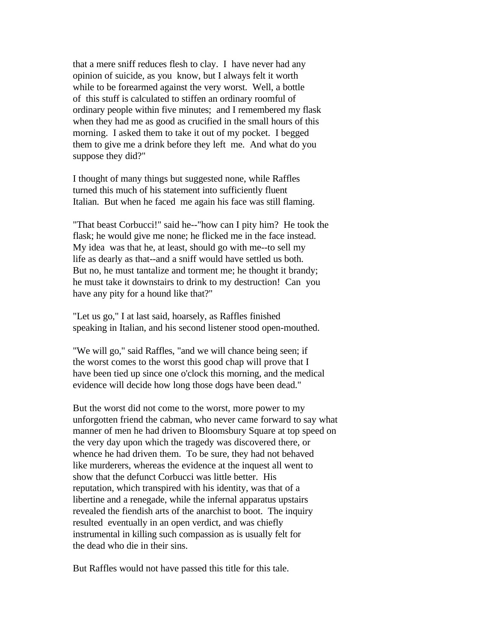that a mere sniff reduces flesh to clay. I have never had any opinion of suicide, as you know, but I always felt it worth while to be forearmed against the very worst. Well, a bottle of this stuff is calculated to stiffen an ordinary roomful of ordinary people within five minutes; and I remembered my flask when they had me as good as crucified in the small hours of this morning. I asked them to take it out of my pocket. I begged them to give me a drink before they left me. And what do you suppose they did?"

I thought of many things but suggested none, while Raffles turned this much of his statement into sufficiently fluent Italian. But when he faced me again his face was still flaming.

"That beast Corbucci!" said he--"how can I pity him? He took the flask; he would give me none; he flicked me in the face instead. My idea was that he, at least, should go with me--to sell my life as dearly as that--and a sniff would have settled us both. But no, he must tantalize and torment me; he thought it brandy; he must take it downstairs to drink to my destruction! Can you have any pity for a hound like that?"

"Let us go," I at last said, hoarsely, as Raffles finished speaking in Italian, and his second listener stood open-mouthed.

"We will go," said Raffles, "and we will chance being seen; if the worst comes to the worst this good chap will prove that I have been tied up since one o'clock this morning, and the medical evidence will decide how long those dogs have been dead."

But the worst did not come to the worst, more power to my unforgotten friend the cabman, who never came forward to say what manner of men he had driven to Bloomsbury Square at top speed on the very day upon which the tragedy was discovered there, or whence he had driven them. To be sure, they had not behaved like murderers, whereas the evidence at the inquest all went to show that the defunct Corbucci was little better. His reputation, which transpired with his identity, was that of a libertine and a renegade, while the infernal apparatus upstairs revealed the fiendish arts of the anarchist to boot. The inquiry resulted eventually in an open verdict, and was chiefly instrumental in killing such compassion as is usually felt for the dead who die in their sins.

But Raffles would not have passed this title for this tale.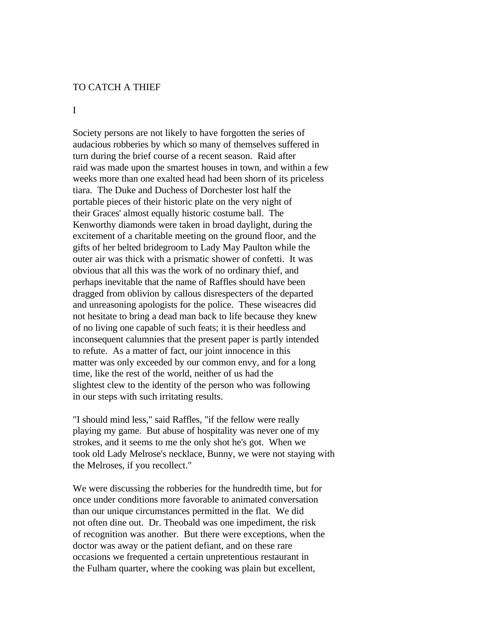## TO CATCH A THIEF

#### I

Society persons are not likely to have forgotten the series of audacious robberies by which so many of themselves suffered in turn during the brief course of a recent season. Raid after raid was made upon the smartest houses in town, and within a few weeks more than one exalted head had been shorn of its priceless tiara. The Duke and Duchess of Dorchester lost half the portable pieces of their historic plate on the very night of their Graces' almost equally historic costume ball. The Kenworthy diamonds were taken in broad daylight, during the excitement of a charitable meeting on the ground floor, and the gifts of her belted bridegroom to Lady May Paulton while the outer air was thick with a prismatic shower of confetti. It was obvious that all this was the work of no ordinary thief, and perhaps inevitable that the name of Raffles should have been dragged from oblivion by callous disrespecters of the departed and unreasoning apologists for the police. These wiseacres did not hesitate to bring a dead man back to life because they knew of no living one capable of such feats; it is their heedless and inconsequent calumnies that the present paper is partly intended to refute. As a matter of fact, our joint innocence in this matter was only exceeded by our common envy, and for a long time, like the rest of the world, neither of us had the slightest clew to the identity of the person who was following in our steps with such irritating results.

"I should mind less," said Raffles, "if the fellow were really playing my game. But abuse of hospitality was never one of my strokes, and it seems to me the only shot he's got. When we took old Lady Melrose's necklace, Bunny, we were not staying with the Melroses, if you recollect."

We were discussing the robberies for the hundredth time, but for once under conditions more favorable to animated conversation than our unique circumstances permitted in the flat. We did not often dine out. Dr. Theobald was one impediment, the risk of recognition was another. But there were exceptions, when the doctor was away or the patient defiant, and on these rare occasions we frequented a certain unpretentious restaurant in the Fulham quarter, where the cooking was plain but excellent,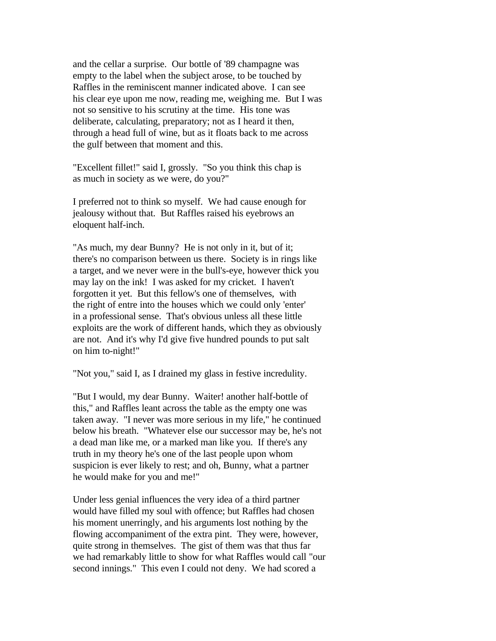and the cellar a surprise. Our bottle of '89 champagne was empty to the label when the subject arose, to be touched by Raffles in the reminiscent manner indicated above. I can see his clear eye upon me now, reading me, weighing me. But I was not so sensitive to his scrutiny at the time. His tone was deliberate, calculating, preparatory; not as I heard it then, through a head full of wine, but as it floats back to me across the gulf between that moment and this.

"Excellent fillet!" said I, grossly. "So you think this chap is as much in society as we were, do you?"

I preferred not to think so myself. We had cause enough for jealousy without that. But Raffles raised his eyebrows an eloquent half-inch.

"As much, my dear Bunny? He is not only in it, but of it; there's no comparison between us there. Society is in rings like a target, and we never were in the bull's-eye, however thick you may lay on the ink! I was asked for my cricket. I haven't forgotten it yet. But this fellow's one of themselves, with the right of entre into the houses which we could only 'enter' in a professional sense. That's obvious unless all these little exploits are the work of different hands, which they as obviously are not. And it's why I'd give five hundred pounds to put salt on him to-night!"

"Not you," said I, as I drained my glass in festive incredulity.

"But I would, my dear Bunny. Waiter! another half-bottle of this," and Raffles leant across the table as the empty one was taken away. "I never was more serious in my life," he continued below his breath. "Whatever else our successor may be, he's not a dead man like me, or a marked man like you. If there's any truth in my theory he's one of the last people upon whom suspicion is ever likely to rest; and oh, Bunny, what a partner he would make for you and me!"

Under less genial influences the very idea of a third partner would have filled my soul with offence; but Raffles had chosen his moment unerringly, and his arguments lost nothing by the flowing accompaniment of the extra pint. They were, however, quite strong in themselves. The gist of them was that thus far we had remarkably little to show for what Raffles would call "our second innings." This even I could not deny. We had scored a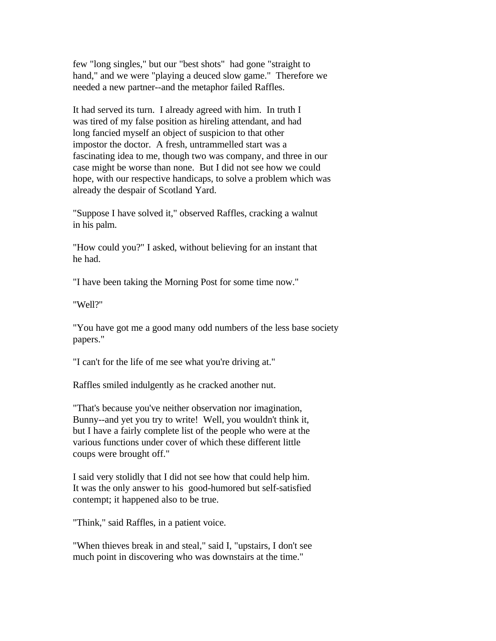few "long singles," but our "best shots" had gone "straight to hand," and we were "playing a deuced slow game." Therefore we needed a new partner--and the metaphor failed Raffles.

It had served its turn. I already agreed with him. In truth I was tired of my false position as hireling attendant, and had long fancied myself an object of suspicion to that other impostor the doctor. A fresh, untrammelled start was a fascinating idea to me, though two was company, and three in our case might be worse than none. But I did not see how we could hope, with our respective handicaps, to solve a problem which was already the despair of Scotland Yard.

"Suppose I have solved it," observed Raffles, cracking a walnut in his palm.

"How could you?" I asked, without believing for an instant that he had.

"I have been taking the Morning Post for some time now."

"Well?"

"You have got me a good many odd numbers of the less base society papers."

"I can't for the life of me see what you're driving at."

Raffles smiled indulgently as he cracked another nut.

"That's because you've neither observation nor imagination, Bunny--and yet you try to write! Well, you wouldn't think it, but I have a fairly complete list of the people who were at the various functions under cover of which these different little coups were brought off."

I said very stolidly that I did not see how that could help him. It was the only answer to his good-humored but self-satisfied contempt; it happened also to be true.

"Think," said Raffles, in a patient voice.

"When thieves break in and steal," said I, "upstairs, I don't see much point in discovering who was downstairs at the time."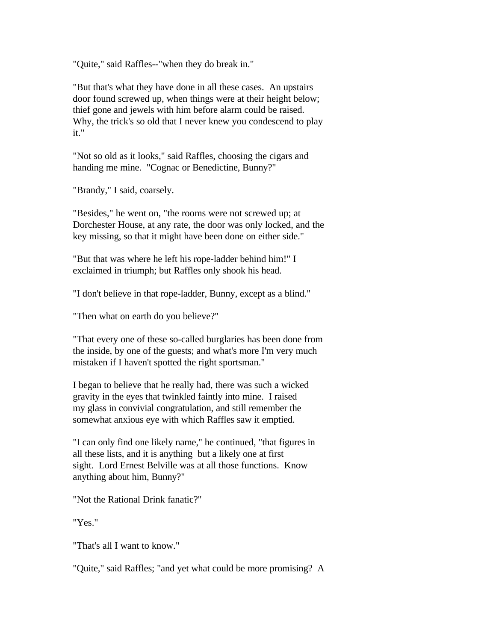"Quite," said Raffles--"when they do break in."

"But that's what they have done in all these cases. An upstairs door found screwed up, when things were at their height below; thief gone and jewels with him before alarm could be raised. Why, the trick's so old that I never knew you condescend to play it."

"Not so old as it looks," said Raffles, choosing the cigars and handing me mine. "Cognac or Benedictine, Bunny?"

"Brandy," I said, coarsely.

"Besides," he went on, "the rooms were not screwed up; at Dorchester House, at any rate, the door was only locked, and the key missing, so that it might have been done on either side."

"But that was where he left his rope-ladder behind him!" I exclaimed in triumph; but Raffles only shook his head.

"I don't believe in that rope-ladder, Bunny, except as a blind."

"Then what on earth do you believe?"

"That every one of these so-called burglaries has been done from the inside, by one of the guests; and what's more I'm very much mistaken if I haven't spotted the right sportsman."

I began to believe that he really had, there was such a wicked gravity in the eyes that twinkled faintly into mine. I raised my glass in convivial congratulation, and still remember the somewhat anxious eye with which Raffles saw it emptied.

"I can only find one likely name," he continued, "that figures in all these lists, and it is anything but a likely one at first sight. Lord Ernest Belville was at all those functions. Know anything about him, Bunny?"

"Not the Rational Drink fanatic?"

"Yes."

"That's all I want to know."

"Quite," said Raffles; "and yet what could be more promising? A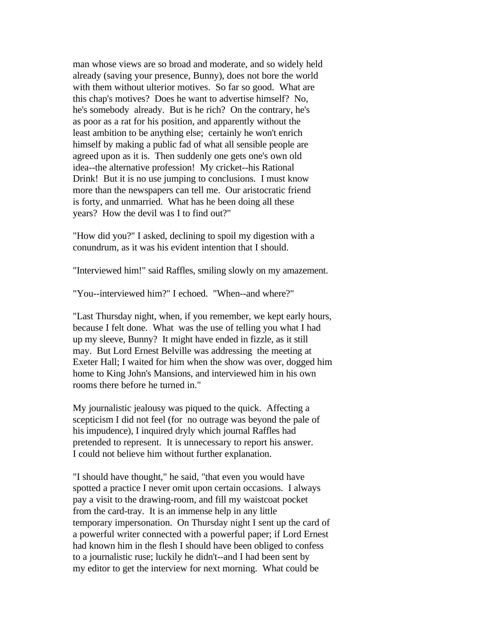man whose views are so broad and moderate, and so widely held already (saving your presence, Bunny), does not bore the world with them without ulterior motives. So far so good. What are this chap's motives? Does he want to advertise himself? No, he's somebody already. But is he rich? On the contrary, he's as poor as a rat for his position, and apparently without the least ambition to be anything else; certainly he won't enrich himself by making a public fad of what all sensible people are agreed upon as it is. Then suddenly one gets one's own old idea--the alternative profession! My cricket--his Rational Drink! But it is no use jumping to conclusions. I must know more than the newspapers can tell me. Our aristocratic friend is forty, and unmarried. What has he been doing all these years? How the devil was I to find out?"

"How did you?" I asked, declining to spoil my digestion with a conundrum, as it was his evident intention that I should.

"Interviewed him!" said Raffles, smiling slowly on my amazement.

"You--interviewed him?" I echoed. "When--and where?"

"Last Thursday night, when, if you remember, we kept early hours, because I felt done. What was the use of telling you what I had up my sleeve, Bunny? It might have ended in fizzle, as it still may. But Lord Ernest Belville was addressing the meeting at Exeter Hall; I waited for him when the show was over, dogged him home to King John's Mansions, and interviewed him in his own rooms there before he turned in."

My journalistic jealousy was piqued to the quick. Affecting a scepticism I did not feel (for no outrage was beyond the pale of his impudence), I inquired dryly which journal Raffles had pretended to represent. It is unnecessary to report his answer. I could not believe him without further explanation.

"I should have thought," he said, "that even you would have spotted a practice I never omit upon certain occasions. I always pay a visit to the drawing-room, and fill my waistcoat pocket from the card-tray. It is an immense help in any little temporary impersonation. On Thursday night I sent up the card of a powerful writer connected with a powerful paper; if Lord Ernest had known him in the flesh I should have been obliged to confess to a journalistic ruse; luckily he didn't--and I had been sent by my editor to get the interview for next morning. What could be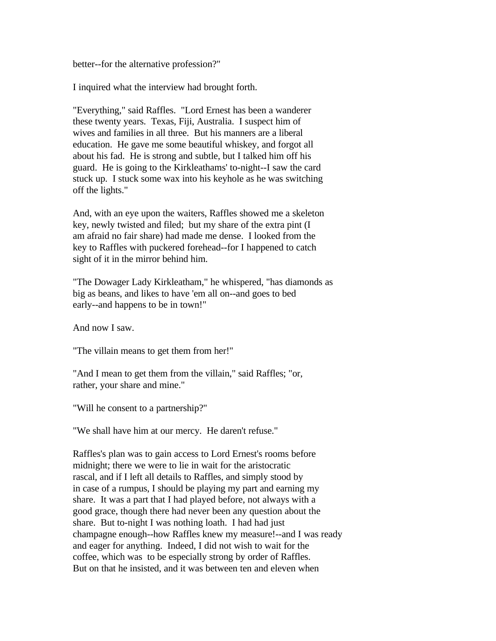better--for the alternative profession?"

I inquired what the interview had brought forth.

"Everything," said Raffles. "Lord Ernest has been a wanderer these twenty years. Texas, Fiji, Australia. I suspect him of wives and families in all three. But his manners are a liberal education. He gave me some beautiful whiskey, and forgot all about his fad. He is strong and subtle, but I talked him off his guard. He is going to the Kirkleathams' to-night--I saw the card stuck up. I stuck some wax into his keyhole as he was switching off the lights."

And, with an eye upon the waiters, Raffles showed me a skeleton key, newly twisted and filed; but my share of the extra pint (I am afraid no fair share) had made me dense. I looked from the key to Raffles with puckered forehead--for I happened to catch sight of it in the mirror behind him.

"The Dowager Lady Kirkleatham," he whispered, "has diamonds as big as beans, and likes to have 'em all on--and goes to bed early--and happens to be in town!"

And now I saw.

"The villain means to get them from her!"

"And I mean to get them from the villain," said Raffles; "or, rather, your share and mine."

"Will he consent to a partnership?"

"We shall have him at our mercy. He daren't refuse."

Raffles's plan was to gain access to Lord Ernest's rooms before midnight; there we were to lie in wait for the aristocratic rascal, and if I left all details to Raffles, and simply stood by in case of a rumpus, I should be playing my part and earning my share. It was a part that I had played before, not always with a good grace, though there had never been any question about the share. But to-night I was nothing loath. I had had just champagne enough--how Raffles knew my measure!--and I was ready and eager for anything. Indeed, I did not wish to wait for the coffee, which was to be especially strong by order of Raffles. But on that he insisted, and it was between ten and eleven when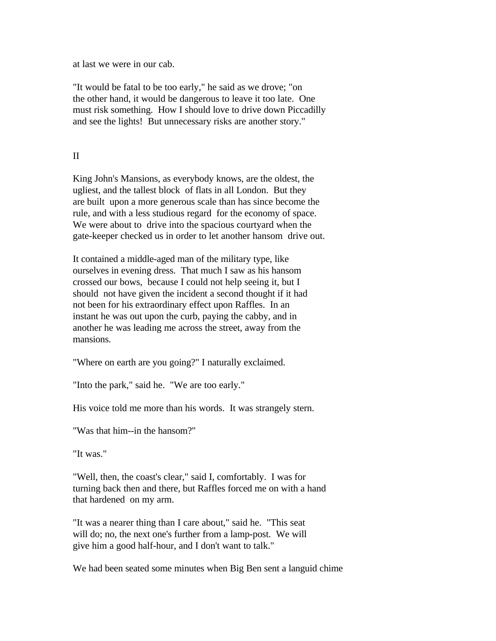at last we were in our cab.

"It would be fatal to be too early," he said as we drove; "on the other hand, it would be dangerous to leave it too late. One must risk something. How I should love to drive down Piccadilly and see the lights! But unnecessary risks are another story."

### II

King John's Mansions, as everybody knows, are the oldest, the ugliest, and the tallest block of flats in all London. But they are built upon a more generous scale than has since become the rule, and with a less studious regard for the economy of space. We were about to drive into the spacious courtyard when the gate-keeper checked us in order to let another hansom drive out.

It contained a middle-aged man of the military type, like ourselves in evening dress. That much I saw as his hansom crossed our bows, because I could not help seeing it, but I should not have given the incident a second thought if it had not been for his extraordinary effect upon Raffles. In an instant he was out upon the curb, paying the cabby, and in another he was leading me across the street, away from the mansions.

"Where on earth are you going?" I naturally exclaimed.

"Into the park," said he. "We are too early."

His voice told me more than his words. It was strangely stern.

"Was that him--in the hansom?"

"It was."

"Well, then, the coast's clear," said I, comfortably. I was for turning back then and there, but Raffles forced me on with a hand that hardened on my arm.

"It was a nearer thing than I care about," said he. "This seat will do; no, the next one's further from a lamp-post. We will give him a good half-hour, and I don't want to talk."

We had been seated some minutes when Big Ben sent a languid chime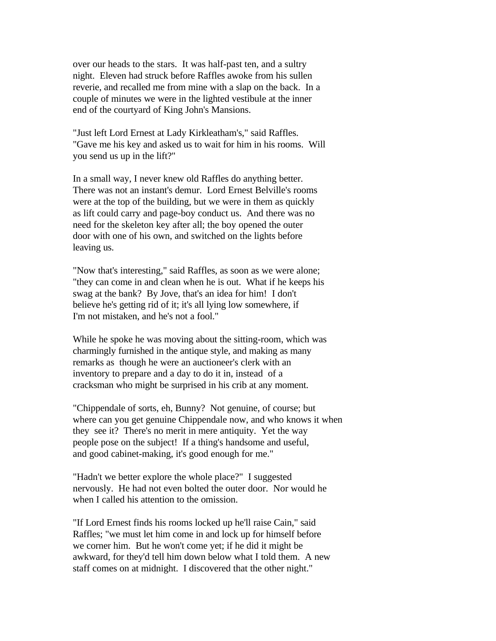over our heads to the stars. It was half-past ten, and a sultry night. Eleven had struck before Raffles awoke from his sullen reverie, and recalled me from mine with a slap on the back. In a couple of minutes we were in the lighted vestibule at the inner end of the courtyard of King John's Mansions.

"Just left Lord Ernest at Lady Kirkleatham's," said Raffles. "Gave me his key and asked us to wait for him in his rooms. Will you send us up in the lift?"

In a small way, I never knew old Raffles do anything better. There was not an instant's demur. Lord Ernest Belville's rooms were at the top of the building, but we were in them as quickly as lift could carry and page-boy conduct us. And there was no need for the skeleton key after all; the boy opened the outer door with one of his own, and switched on the lights before leaving us.

"Now that's interesting," said Raffles, as soon as we were alone; "they can come in and clean when he is out. What if he keeps his swag at the bank? By Jove, that's an idea for him! I don't believe he's getting rid of it; it's all lying low somewhere, if I'm not mistaken, and he's not a fool."

While he spoke he was moving about the sitting-room, which was charmingly furnished in the antique style, and making as many remarks as though he were an auctioneer's clerk with an inventory to prepare and a day to do it in, instead of a cracksman who might be surprised in his crib at any moment.

"Chippendale of sorts, eh, Bunny? Not genuine, of course; but where can you get genuine Chippendale now, and who knows it when they see it? There's no merit in mere antiquity. Yet the way people pose on the subject! If a thing's handsome and useful, and good cabinet-making, it's good enough for me."

"Hadn't we better explore the whole place?" I suggested nervously. He had not even bolted the outer door. Nor would he when I called his attention to the omission.

"If Lord Ernest finds his rooms locked up he'll raise Cain," said Raffles; "we must let him come in and lock up for himself before we corner him. But he won't come yet; if he did it might be awkward, for they'd tell him down below what I told them. A new staff comes on at midnight. I discovered that the other night."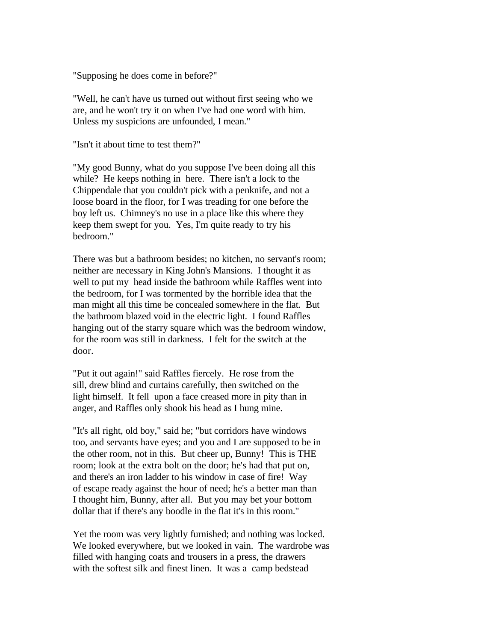"Supposing he does come in before?"

"Well, he can't have us turned out without first seeing who we are, and he won't try it on when I've had one word with him. Unless my suspicions are unfounded, I mean."

"Isn't it about time to test them?"

"My good Bunny, what do you suppose I've been doing all this while? He keeps nothing in here. There isn't a lock to the Chippendale that you couldn't pick with a penknife, and not a loose board in the floor, for I was treading for one before the boy left us. Chimney's no use in a place like this where they keep them swept for you. Yes, I'm quite ready to try his bedroom."

There was but a bathroom besides; no kitchen, no servant's room; neither are necessary in King John's Mansions. I thought it as well to put my head inside the bathroom while Raffles went into the bedroom, for I was tormented by the horrible idea that the man might all this time be concealed somewhere in the flat. But the bathroom blazed void in the electric light. I found Raffles hanging out of the starry square which was the bedroom window, for the room was still in darkness. I felt for the switch at the door.

"Put it out again!" said Raffles fiercely. He rose from the sill, drew blind and curtains carefully, then switched on the light himself. It fell upon a face creased more in pity than in anger, and Raffles only shook his head as I hung mine.

"It's all right, old boy," said he; "but corridors have windows too, and servants have eyes; and you and I are supposed to be in the other room, not in this. But cheer up, Bunny! This is THE room; look at the extra bolt on the door; he's had that put on, and there's an iron ladder to his window in case of fire! Way of escape ready against the hour of need; he's a better man than I thought him, Bunny, after all. But you may bet your bottom dollar that if there's any boodle in the flat it's in this room."

Yet the room was very lightly furnished; and nothing was locked. We looked everywhere, but we looked in vain. The wardrobe was filled with hanging coats and trousers in a press, the drawers with the softest silk and finest linen. It was a camp bedstead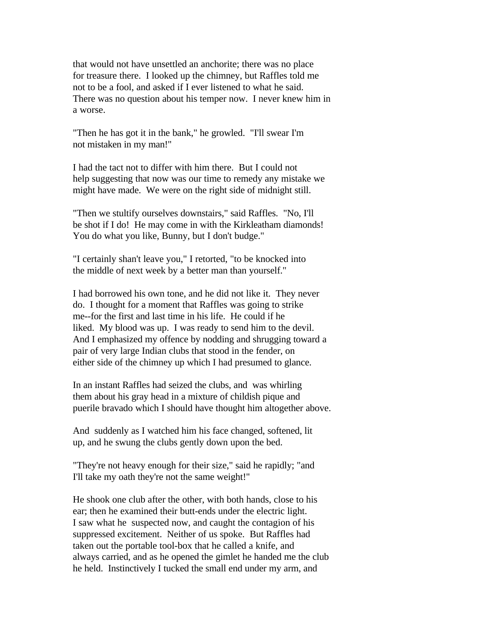that would not have unsettled an anchorite; there was no place for treasure there. I looked up the chimney, but Raffles told me not to be a fool, and asked if I ever listened to what he said. There was no question about his temper now. I never knew him in a worse.

"Then he has got it in the bank," he growled. "I'll swear I'm not mistaken in my man!"

I had the tact not to differ with him there. But I could not help suggesting that now was our time to remedy any mistake we might have made. We were on the right side of midnight still.

"Then we stultify ourselves downstairs," said Raffles. "No, I'll be shot if I do! He may come in with the Kirkleatham diamonds! You do what you like, Bunny, but I don't budge."

"I certainly shan't leave you," I retorted, "to be knocked into the middle of next week by a better man than yourself."

I had borrowed his own tone, and he did not like it. They never do. I thought for a moment that Raffles was going to strike me--for the first and last time in his life. He could if he liked. My blood was up. I was ready to send him to the devil. And I emphasized my offence by nodding and shrugging toward a pair of very large Indian clubs that stood in the fender, on either side of the chimney up which I had presumed to glance.

In an instant Raffles had seized the clubs, and was whirling them about his gray head in a mixture of childish pique and puerile bravado which I should have thought him altogether above.

And suddenly as I watched him his face changed, softened, lit up, and he swung the clubs gently down upon the bed.

"They're not heavy enough for their size," said he rapidly; "and I'll take my oath they're not the same weight!"

He shook one club after the other, with both hands, close to his ear; then he examined their butt-ends under the electric light. I saw what he suspected now, and caught the contagion of his suppressed excitement. Neither of us spoke. But Raffles had taken out the portable tool-box that he called a knife, and always carried, and as he opened the gimlet he handed me the club he held. Instinctively I tucked the small end under my arm, and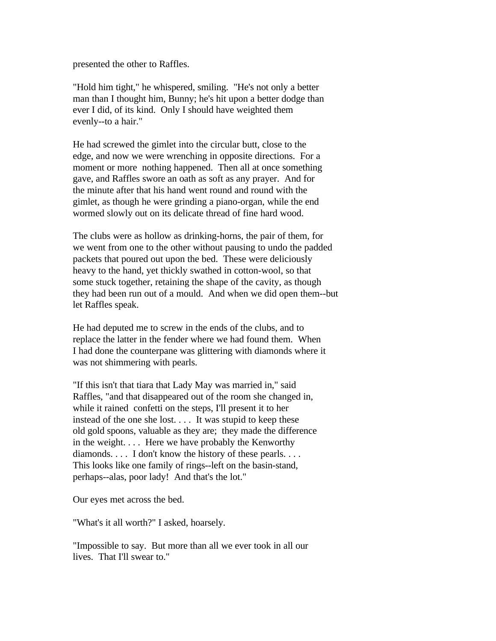presented the other to Raffles.

"Hold him tight," he whispered, smiling. "He's not only a better man than I thought him, Bunny; he's hit upon a better dodge than ever I did, of its kind. Only I should have weighted them evenly--to a hair."

He had screwed the gimlet into the circular butt, close to the edge, and now we were wrenching in opposite directions. For a moment or more nothing happened. Then all at once something gave, and Raffles swore an oath as soft as any prayer. And for the minute after that his hand went round and round with the gimlet, as though he were grinding a piano-organ, while the end wormed slowly out on its delicate thread of fine hard wood.

The clubs were as hollow as drinking-horns, the pair of them, for we went from one to the other without pausing to undo the padded packets that poured out upon the bed. These were deliciously heavy to the hand, yet thickly swathed in cotton-wool, so that some stuck together, retaining the shape of the cavity, as though they had been run out of a mould. And when we did open them--but let Raffles speak.

He had deputed me to screw in the ends of the clubs, and to replace the latter in the fender where we had found them. When I had done the counterpane was glittering with diamonds where it was not shimmering with pearls.

"If this isn't that tiara that Lady May was married in," said Raffles, "and that disappeared out of the room she changed in, while it rained confetti on the steps, I'll present it to her instead of the one she lost. . . . It was stupid to keep these old gold spoons, valuable as they are; they made the difference in the weight. . . . Here we have probably the Kenworthy diamonds. . . . I don't know the history of these pearls. . . . This looks like one family of rings--left on the basin-stand, perhaps--alas, poor lady! And that's the lot."

Our eyes met across the bed.

"What's it all worth?" I asked, hoarsely.

"Impossible to say. But more than all we ever took in all our lives. That I'll swear to."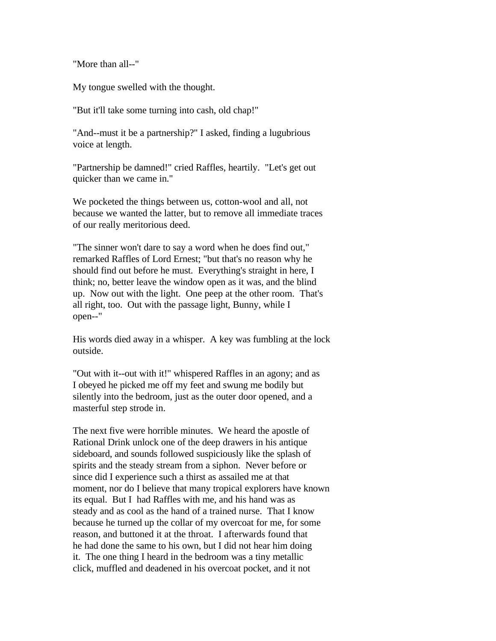"More than all--"

My tongue swelled with the thought.

"But it'll take some turning into cash, old chap!"

"And--must it be a partnership?" I asked, finding a lugubrious voice at length.

"Partnership be damned!" cried Raffles, heartily. "Let's get out quicker than we came in."

We pocketed the things between us, cotton-wool and all, not because we wanted the latter, but to remove all immediate traces of our really meritorious deed.

"The sinner won't dare to say a word when he does find out," remarked Raffles of Lord Ernest; "but that's no reason why he should find out before he must. Everything's straight in here, I think; no, better leave the window open as it was, and the blind up. Now out with the light. One peep at the other room. That's all right, too. Out with the passage light, Bunny, while I open--"

His words died away in a whisper. A key was fumbling at the lock outside.

"Out with it--out with it!" whispered Raffles in an agony; and as I obeyed he picked me off my feet and swung me bodily but silently into the bedroom, just as the outer door opened, and a masterful step strode in.

The next five were horrible minutes. We heard the apostle of Rational Drink unlock one of the deep drawers in his antique sideboard, and sounds followed suspiciously like the splash of spirits and the steady stream from a siphon. Never before or since did I experience such a thirst as assailed me at that moment, nor do I believe that many tropical explorers have known its equal. But I had Raffles with me, and his hand was as steady and as cool as the hand of a trained nurse. That I know because he turned up the collar of my overcoat for me, for some reason, and buttoned it at the throat. I afterwards found that he had done the same to his own, but I did not hear him doing it. The one thing I heard in the bedroom was a tiny metallic click, muffled and deadened in his overcoat pocket, and it not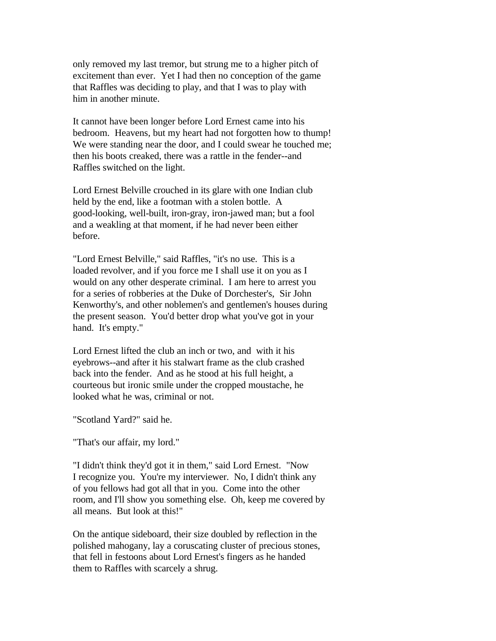only removed my last tremor, but strung me to a higher pitch of excitement than ever. Yet I had then no conception of the game that Raffles was deciding to play, and that I was to play with him in another minute.

It cannot have been longer before Lord Ernest came into his bedroom. Heavens, but my heart had not forgotten how to thump! We were standing near the door, and I could swear he touched me; then his boots creaked, there was a rattle in the fender--and Raffles switched on the light.

Lord Ernest Belville crouched in its glare with one Indian club held by the end, like a footman with a stolen bottle. A good-looking, well-built, iron-gray, iron-jawed man; but a fool and a weakling at that moment, if he had never been either before.

"Lord Ernest Belville," said Raffles, "it's no use. This is a loaded revolver, and if you force me I shall use it on you as I would on any other desperate criminal. I am here to arrest you for a series of robberies at the Duke of Dorchester's, Sir John Kenworthy's, and other noblemen's and gentlemen's houses during the present season. You'd better drop what you've got in your hand. It's empty."

Lord Ernest lifted the club an inch or two, and with it his eyebrows--and after it his stalwart frame as the club crashed back into the fender. And as he stood at his full height, a courteous but ironic smile under the cropped moustache, he looked what he was, criminal or not.

"Scotland Yard?" said he.

"That's our affair, my lord."

"I didn't think they'd got it in them," said Lord Ernest. "Now I recognize you. You're my interviewer. No, I didn't think any of you fellows had got all that in you. Come into the other room, and I'll show you something else. Oh, keep me covered by all means. But look at this!"

On the antique sideboard, their size doubled by reflection in the polished mahogany, lay a coruscating cluster of precious stones, that fell in festoons about Lord Ernest's fingers as he handed them to Raffles with scarcely a shrug.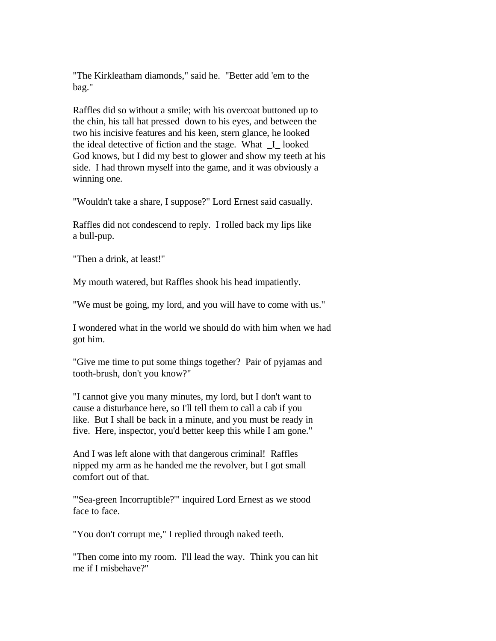"The Kirkleatham diamonds," said he. "Better add 'em to the bag."

Raffles did so without a smile; with his overcoat buttoned up to the chin, his tall hat pressed down to his eyes, and between the two his incisive features and his keen, stern glance, he looked the ideal detective of fiction and the stage. What \_I\_ looked God knows, but I did my best to glower and show my teeth at his side. I had thrown myself into the game, and it was obviously a winning one.

"Wouldn't take a share, I suppose?" Lord Ernest said casually.

Raffles did not condescend to reply. I rolled back my lips like a bull-pup.

"Then a drink, at least!"

My mouth watered, but Raffles shook his head impatiently.

"We must be going, my lord, and you will have to come with us."

I wondered what in the world we should do with him when we had got him.

"Give me time to put some things together? Pair of pyjamas and tooth-brush, don't you know?"

"I cannot give you many minutes, my lord, but I don't want to cause a disturbance here, so I'll tell them to call a cab if you like. But I shall be back in a minute, and you must be ready in five. Here, inspector, you'd better keep this while I am gone."

And I was left alone with that dangerous criminal! Raffles nipped my arm as he handed me the revolver, but I got small comfort out of that.

"'Sea-green Incorruptible?'" inquired Lord Ernest as we stood face to face.

"You don't corrupt me," I replied through naked teeth.

"Then come into my room. I'll lead the way. Think you can hit me if I misbehave?"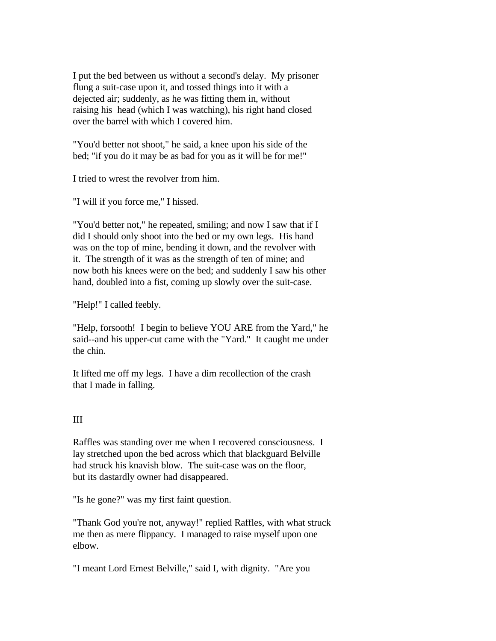I put the bed between us without a second's delay. My prisoner flung a suit-case upon it, and tossed things into it with a dejected air; suddenly, as he was fitting them in, without raising his head (which I was watching), his right hand closed over the barrel with which I covered him.

"You'd better not shoot," he said, a knee upon his side of the bed; "if you do it may be as bad for you as it will be for me!"

I tried to wrest the revolver from him.

"I will if you force me," I hissed.

"You'd better not," he repeated, smiling; and now I saw that if I did I should only shoot into the bed or my own legs. His hand was on the top of mine, bending it down, and the revolver with it. The strength of it was as the strength of ten of mine; and now both his knees were on the bed; and suddenly I saw his other hand, doubled into a fist, coming up slowly over the suit-case.

"Help!" I called feebly.

"Help, forsooth! I begin to believe YOU ARE from the Yard," he said--and his upper-cut came with the "Yard." It caught me under the chin.

It lifted me off my legs. I have a dim recollection of the crash that I made in falling.

# III

Raffles was standing over me when I recovered consciousness. I lay stretched upon the bed across which that blackguard Belville had struck his knavish blow. The suit-case was on the floor, but its dastardly owner had disappeared.

"Is he gone?" was my first faint question.

"Thank God you're not, anyway!" replied Raffles, with what struck me then as mere flippancy. I managed to raise myself upon one elbow.

"I meant Lord Ernest Belville," said I, with dignity. "Are you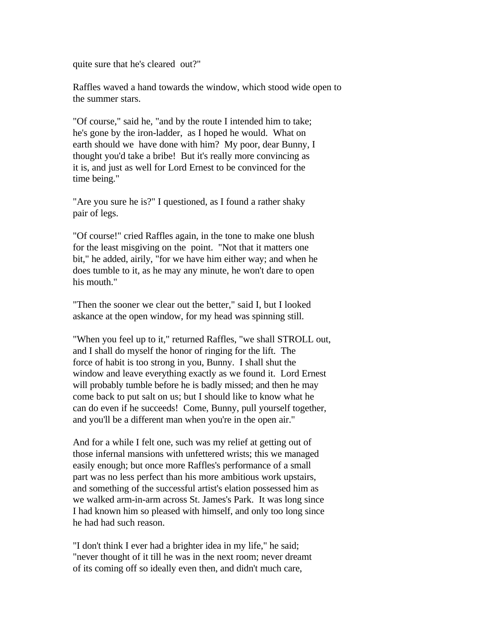quite sure that he's cleared out?"

Raffles waved a hand towards the window, which stood wide open to the summer stars.

"Of course," said he, "and by the route I intended him to take; he's gone by the iron-ladder, as I hoped he would. What on earth should we have done with him? My poor, dear Bunny, I thought you'd take a bribe! But it's really more convincing as it is, and just as well for Lord Ernest to be convinced for the time being."

"Are you sure he is?" I questioned, as I found a rather shaky pair of legs.

"Of course!" cried Raffles again, in the tone to make one blush for the least misgiving on the point. "Not that it matters one bit," he added, airily, "for we have him either way; and when he does tumble to it, as he may any minute, he won't dare to open his mouth."

"Then the sooner we clear out the better," said I, but I looked askance at the open window, for my head was spinning still.

"When you feel up to it," returned Raffles, "we shall STROLL out, and I shall do myself the honor of ringing for the lift. The force of habit is too strong in you, Bunny. I shall shut the window and leave everything exactly as we found it. Lord Ernest will probably tumble before he is badly missed; and then he may come back to put salt on us; but I should like to know what he can do even if he succeeds! Come, Bunny, pull yourself together, and you'll be a different man when you're in the open air."

And for a while I felt one, such was my relief at getting out of those infernal mansions with unfettered wrists; this we managed easily enough; but once more Raffles's performance of a small part was no less perfect than his more ambitious work upstairs, and something of the successful artist's elation possessed him as we walked arm-in-arm across St. James's Park. It was long since I had known him so pleased with himself, and only too long since he had had such reason.

"I don't think I ever had a brighter idea in my life," he said; "never thought of it till he was in the next room; never dreamt of its coming off so ideally even then, and didn't much care,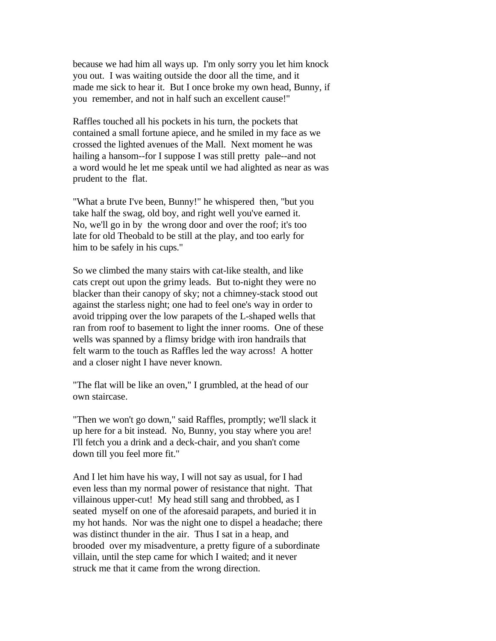because we had him all ways up. I'm only sorry you let him knock you out. I was waiting outside the door all the time, and it made me sick to hear it. But I once broke my own head, Bunny, if you remember, and not in half such an excellent cause!"

Raffles touched all his pockets in his turn, the pockets that contained a small fortune apiece, and he smiled in my face as we crossed the lighted avenues of the Mall. Next moment he was hailing a hansom--for I suppose I was still pretty pale--and not a word would he let me speak until we had alighted as near as was prudent to the flat.

"What a brute I've been, Bunny!" he whispered then, "but you take half the swag, old boy, and right well you've earned it. No, we'll go in by the wrong door and over the roof; it's too late for old Theobald to be still at the play, and too early for him to be safely in his cups."

So we climbed the many stairs with cat-like stealth, and like cats crept out upon the grimy leads. But to-night they were no blacker than their canopy of sky; not a chimney-stack stood out against the starless night; one had to feel one's way in order to avoid tripping over the low parapets of the L-shaped wells that ran from roof to basement to light the inner rooms. One of these wells was spanned by a flimsy bridge with iron handrails that felt warm to the touch as Raffles led the way across! A hotter and a closer night I have never known.

"The flat will be like an oven," I grumbled, at the head of our own staircase.

"Then we won't go down," said Raffles, promptly; we'll slack it up here for a bit instead. No, Bunny, you stay where you are! I'll fetch you a drink and a deck-chair, and you shan't come down till you feel more fit."

And I let him have his way, I will not say as usual, for I had even less than my normal power of resistance that night. That villainous upper-cut! My head still sang and throbbed, as I seated myself on one of the aforesaid parapets, and buried it in my hot hands. Nor was the night one to dispel a headache; there was distinct thunder in the air. Thus I sat in a heap, and brooded over my misadventure, a pretty figure of a subordinate villain, until the step came for which I waited; and it never struck me that it came from the wrong direction.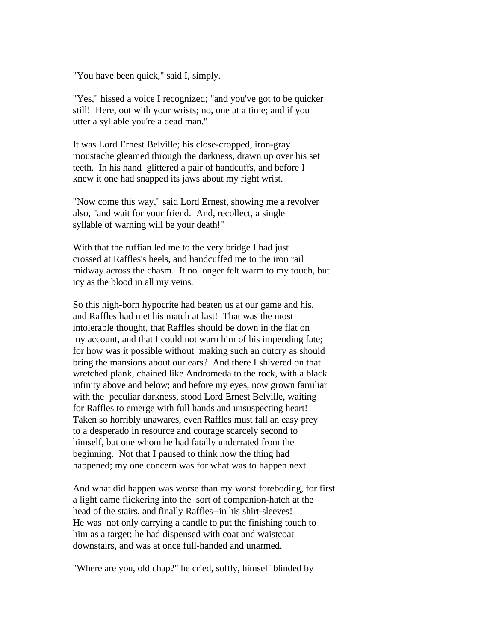"You have been quick," said I, simply.

"Yes," hissed a voice I recognized; "and you've got to be quicker still! Here, out with your wrists; no, one at a time; and if you utter a syllable you're a dead man."

It was Lord Ernest Belville; his close-cropped, iron-gray moustache gleamed through the darkness, drawn up over his set teeth. In his hand glittered a pair of handcuffs, and before I knew it one had snapped its jaws about my right wrist.

"Now come this way," said Lord Ernest, showing me a revolver also, "and wait for your friend. And, recollect, a single syllable of warning will be your death!"

With that the ruffian led me to the very bridge I had just crossed at Raffles's heels, and handcuffed me to the iron rail midway across the chasm. It no longer felt warm to my touch, but icy as the blood in all my veins.

So this high-born hypocrite had beaten us at our game and his, and Raffles had met his match at last! That was the most intolerable thought, that Raffles should be down in the flat on my account, and that I could not warn him of his impending fate; for how was it possible without making such an outcry as should bring the mansions about our ears? And there I shivered on that wretched plank, chained like Andromeda to the rock, with a black infinity above and below; and before my eyes, now grown familiar with the peculiar darkness, stood Lord Ernest Belville, waiting for Raffles to emerge with full hands and unsuspecting heart! Taken so horribly unawares, even Raffles must fall an easy prey to a desperado in resource and courage scarcely second to himself, but one whom he had fatally underrated from the beginning. Not that I paused to think how the thing had happened; my one concern was for what was to happen next.

And what did happen was worse than my worst foreboding, for first a light came flickering into the sort of companion-hatch at the head of the stairs, and finally Raffles--in his shirt-sleeves! He was not only carrying a candle to put the finishing touch to him as a target; he had dispensed with coat and waistcoat downstairs, and was at once full-handed and unarmed.

"Where are you, old chap?" he cried, softly, himself blinded by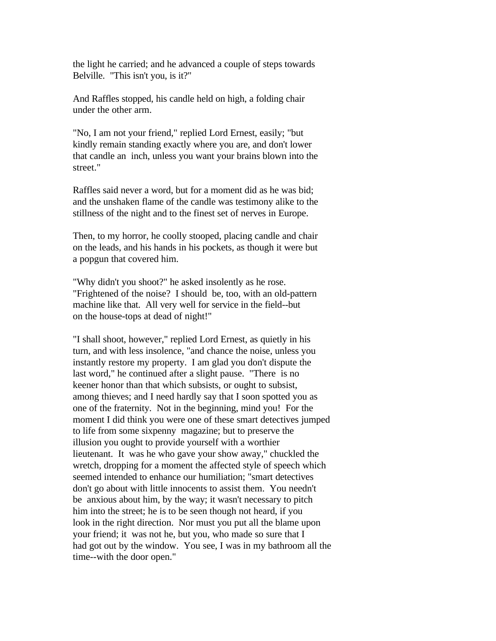the light he carried; and he advanced a couple of steps towards Belville. "This isn't you, is it?"

And Raffles stopped, his candle held on high, a folding chair under the other arm.

"No, I am not your friend," replied Lord Ernest, easily; "but kindly remain standing exactly where you are, and don't lower that candle an inch, unless you want your brains blown into the street."

Raffles said never a word, but for a moment did as he was bid; and the unshaken flame of the candle was testimony alike to the stillness of the night and to the finest set of nerves in Europe.

Then, to my horror, he coolly stooped, placing candle and chair on the leads, and his hands in his pockets, as though it were but a popgun that covered him.

"Why didn't you shoot?" he asked insolently as he rose. "Frightened of the noise? I should be, too, with an old-pattern machine like that. All very well for service in the field--but on the house-tops at dead of night!"

"I shall shoot, however," replied Lord Ernest, as quietly in his turn, and with less insolence, "and chance the noise, unless you instantly restore my property. I am glad you don't dispute the last word," he continued after a slight pause. "There is no keener honor than that which subsists, or ought to subsist, among thieves; and I need hardly say that I soon spotted you as one of the fraternity. Not in the beginning, mind you! For the moment I did think you were one of these smart detectives jumped to life from some sixpenny magazine; but to preserve the illusion you ought to provide yourself with a worthier lieutenant. It was he who gave your show away," chuckled the wretch, dropping for a moment the affected style of speech which seemed intended to enhance our humiliation; "smart detectives don't go about with little innocents to assist them. You needn't be anxious about him, by the way; it wasn't necessary to pitch him into the street; he is to be seen though not heard, if you look in the right direction. Nor must you put all the blame upon your friend; it was not he, but you, who made so sure that I had got out by the window. You see, I was in my bathroom all the time--with the door open."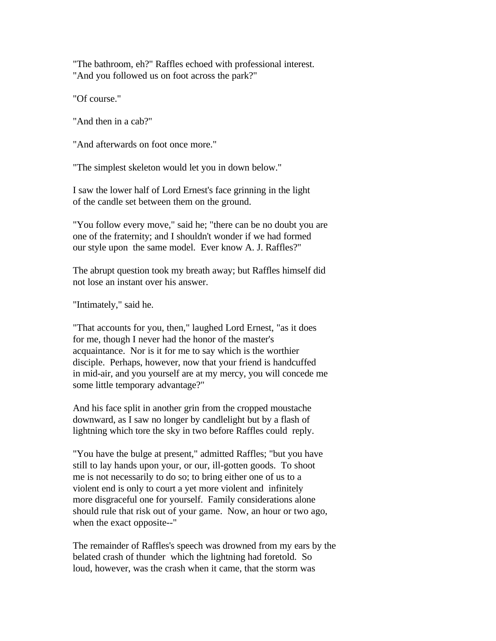"The bathroom, eh?" Raffles echoed with professional interest. "And you followed us on foot across the park?"

"Of course."

"And then in a cab?"

"And afterwards on foot once more."

"The simplest skeleton would let you in down below."

I saw the lower half of Lord Ernest's face grinning in the light of the candle set between them on the ground.

"You follow every move," said he; "there can be no doubt you are one of the fraternity; and I shouldn't wonder if we had formed our style upon the same model. Ever know A. J. Raffles?"

The abrupt question took my breath away; but Raffles himself did not lose an instant over his answer.

"Intimately," said he.

"That accounts for you, then," laughed Lord Ernest, "as it does for me, though I never had the honor of the master's acquaintance. Nor is it for me to say which is the worthier disciple. Perhaps, however, now that your friend is handcuffed in mid-air, and you yourself are at my mercy, you will concede me some little temporary advantage?"

And his face split in another grin from the cropped moustache downward, as I saw no longer by candlelight but by a flash of lightning which tore the sky in two before Raffles could reply.

"You have the bulge at present," admitted Raffles; "but you have still to lay hands upon your, or our, ill-gotten goods. To shoot me is not necessarily to do so; to bring either one of us to a violent end is only to court a yet more violent and infinitely more disgraceful one for yourself. Family considerations alone should rule that risk out of your game. Now, an hour or two ago, when the exact opposite--"

The remainder of Raffles's speech was drowned from my ears by the belated crash of thunder which the lightning had foretold. So loud, however, was the crash when it came, that the storm was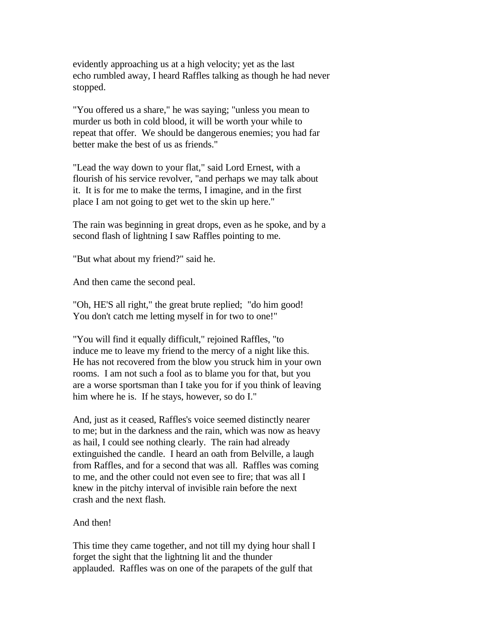evidently approaching us at a high velocity; yet as the last echo rumbled away, I heard Raffles talking as though he had never stopped.

"You offered us a share," he was saying; "unless you mean to murder us both in cold blood, it will be worth your while to repeat that offer. We should be dangerous enemies; you had far better make the best of us as friends."

"Lead the way down to your flat," said Lord Ernest, with a flourish of his service revolver, "and perhaps we may talk about it. It is for me to make the terms, I imagine, and in the first place I am not going to get wet to the skin up here."

The rain was beginning in great drops, even as he spoke, and by a second flash of lightning I saw Raffles pointing to me.

"But what about my friend?" said he.

And then came the second peal.

"Oh, HE'S all right," the great brute replied; "do him good! You don't catch me letting myself in for two to one!"

"You will find it equally difficult," rejoined Raffles, "to induce me to leave my friend to the mercy of a night like this. He has not recovered from the blow you struck him in your own rooms. I am not such a fool as to blame you for that, but you are a worse sportsman than I take you for if you think of leaving him where he is. If he stays, however, so do I."

And, just as it ceased, Raffles's voice seemed distinctly nearer to me; but in the darkness and the rain, which was now as heavy as hail, I could see nothing clearly. The rain had already extinguished the candle. I heard an oath from Belville, a laugh from Raffles, and for a second that was all. Raffles was coming to me, and the other could not even see to fire; that was all I knew in the pitchy interval of invisible rain before the next crash and the next flash.

## And then!

This time they came together, and not till my dying hour shall I forget the sight that the lightning lit and the thunder applauded. Raffles was on one of the parapets of the gulf that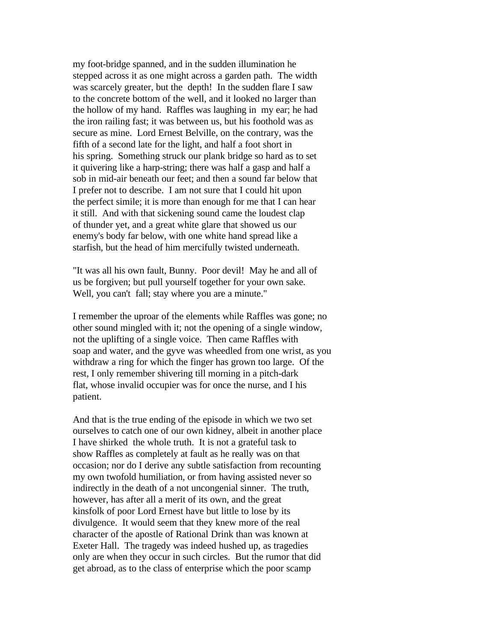my foot-bridge spanned, and in the sudden illumination he stepped across it as one might across a garden path. The width was scarcely greater, but the depth! In the sudden flare I saw to the concrete bottom of the well, and it looked no larger than the hollow of my hand. Raffles was laughing in my ear; he had the iron railing fast; it was between us, but his foothold was as secure as mine. Lord Ernest Belville, on the contrary, was the fifth of a second late for the light, and half a foot short in his spring. Something struck our plank bridge so hard as to set it quivering like a harp-string; there was half a gasp and half a sob in mid-air beneath our feet; and then a sound far below that I prefer not to describe. I am not sure that I could hit upon the perfect simile; it is more than enough for me that I can hear it still. And with that sickening sound came the loudest clap of thunder yet, and a great white glare that showed us our enemy's body far below, with one white hand spread like a starfish, but the head of him mercifully twisted underneath.

"It was all his own fault, Bunny. Poor devil! May he and all of us be forgiven; but pull yourself together for your own sake. Well, you can't fall; stay where you are a minute."

I remember the uproar of the elements while Raffles was gone; no other sound mingled with it; not the opening of a single window, not the uplifting of a single voice. Then came Raffles with soap and water, and the gyve was wheedled from one wrist, as you withdraw a ring for which the finger has grown too large. Of the rest, I only remember shivering till morning in a pitch-dark flat, whose invalid occupier was for once the nurse, and I his patient.

And that is the true ending of the episode in which we two set ourselves to catch one of our own kidney, albeit in another place I have shirked the whole truth. It is not a grateful task to show Raffles as completely at fault as he really was on that occasion; nor do I derive any subtle satisfaction from recounting my own twofold humiliation, or from having assisted never so indirectly in the death of a not uncongenial sinner. The truth, however, has after all a merit of its own, and the great kinsfolk of poor Lord Ernest have but little to lose by its divulgence. It would seem that they knew more of the real character of the apostle of Rational Drink than was known at Exeter Hall. The tragedy was indeed hushed up, as tragedies only are when they occur in such circles. But the rumor that did get abroad, as to the class of enterprise which the poor scamp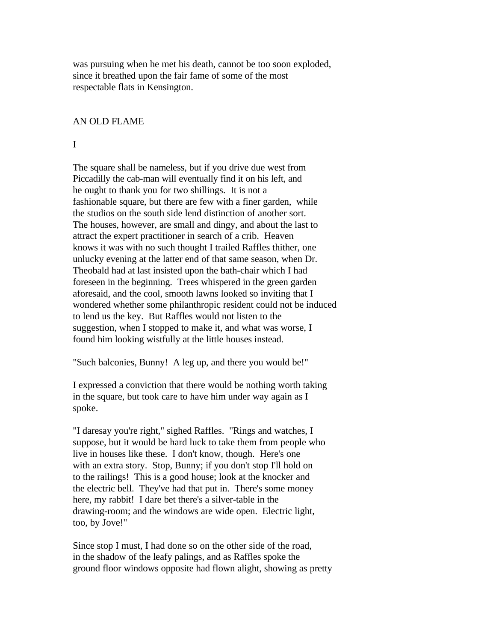was pursuing when he met his death, cannot be too soon exploded, since it breathed upon the fair fame of some of the most respectable flats in Kensington.

#### AN OLD FLAME

I

The square shall be nameless, but if you drive due west from Piccadilly the cab-man will eventually find it on his left, and he ought to thank you for two shillings. It is not a fashionable square, but there are few with a finer garden, while the studios on the south side lend distinction of another sort. The houses, however, are small and dingy, and about the last to attract the expert practitioner in search of a crib. Heaven knows it was with no such thought I trailed Raffles thither, one unlucky evening at the latter end of that same season, when Dr. Theobald had at last insisted upon the bath-chair which I had foreseen in the beginning. Trees whispered in the green garden aforesaid, and the cool, smooth lawns looked so inviting that I wondered whether some philanthropic resident could not be induced to lend us the key. But Raffles would not listen to the suggestion, when I stopped to make it, and what was worse, I found him looking wistfully at the little houses instead.

"Such balconies, Bunny! A leg up, and there you would be!"

I expressed a conviction that there would be nothing worth taking in the square, but took care to have him under way again as I spoke.

"I daresay you're right," sighed Raffles. "Rings and watches, I suppose, but it would be hard luck to take them from people who live in houses like these. I don't know, though. Here's one with an extra story. Stop, Bunny; if you don't stop I'll hold on to the railings! This is a good house; look at the knocker and the electric bell. They've had that put in. There's some money here, my rabbit! I dare bet there's a silver-table in the drawing-room; and the windows are wide open. Electric light, too, by Jove!"

Since stop I must, I had done so on the other side of the road, in the shadow of the leafy palings, and as Raffles spoke the ground floor windows opposite had flown alight, showing as pretty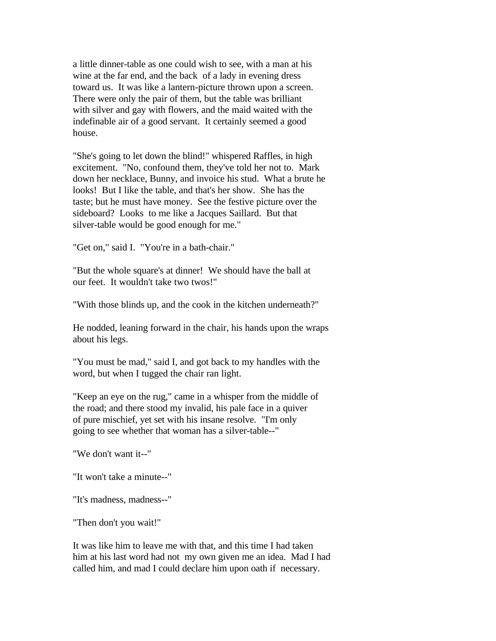a little dinner-table as one could wish to see, with a man at his wine at the far end, and the back of a lady in evening dress toward us. It was like a lantern-picture thrown upon a screen. There were only the pair of them, but the table was brilliant with silver and gay with flowers, and the maid waited with the indefinable air of a good servant. It certainly seemed a good house.

"She's going to let down the blind!" whispered Raffles, in high excitement. "No, confound them, they've told her not to. Mark down her necklace, Bunny, and invoice his stud. What a brute he looks! But I like the table, and that's her show. She has the taste; but he must have money. See the festive picture over the sideboard? Looks to me like a Jacques Saillard. But that silver-table would be good enough for me."

"Get on," said I. "You're in a bath-chair."

"But the whole square's at dinner! We should have the ball at our feet. It wouldn't take two twos!"

"With those blinds up, and the cook in the kitchen underneath?"

He nodded, leaning forward in the chair, his hands upon the wraps about his legs.

"You must be mad," said I, and got back to my handles with the word, but when I tugged the chair ran light.

"Keep an eye on the rug," came in a whisper from the middle of the road; and there stood my invalid, his pale face in a quiver of pure mischief, yet set with his insane resolve. "I'm only going to see whether that woman has a silver-table--"

"We don't want it--"

"It won't take a minute--"

"It's madness, madness--"

"Then don't you wait!"

It was like him to leave me with that, and this time I had taken him at his last word had not my own given me an idea. Mad I had called him, and mad I could declare him upon oath if necessary.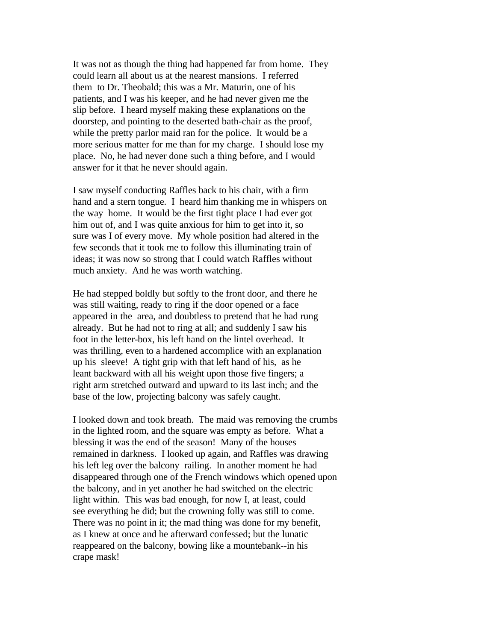It was not as though the thing had happened far from home. They could learn all about us at the nearest mansions. I referred them to Dr. Theobald; this was a Mr. Maturin, one of his patients, and I was his keeper, and he had never given me the slip before. I heard myself making these explanations on the doorstep, and pointing to the deserted bath-chair as the proof, while the pretty parlor maid ran for the police. It would be a more serious matter for me than for my charge. I should lose my place. No, he had never done such a thing before, and I would answer for it that he never should again.

I saw myself conducting Raffles back to his chair, with a firm hand and a stern tongue. I heard him thanking me in whispers on the way home. It would be the first tight place I had ever got him out of, and I was quite anxious for him to get into it, so sure was I of every move. My whole position had altered in the few seconds that it took me to follow this illuminating train of ideas; it was now so strong that I could watch Raffles without much anxiety. And he was worth watching.

He had stepped boldly but softly to the front door, and there he was still waiting, ready to ring if the door opened or a face appeared in the area, and doubtless to pretend that he had rung already. But he had not to ring at all; and suddenly I saw his foot in the letter-box, his left hand on the lintel overhead. It was thrilling, even to a hardened accomplice with an explanation up his sleeve! A tight grip with that left hand of his, as he leant backward with all his weight upon those five fingers; a right arm stretched outward and upward to its last inch; and the base of the low, projecting balcony was safely caught.

I looked down and took breath. The maid was removing the crumbs in the lighted room, and the square was empty as before. What a blessing it was the end of the season! Many of the houses remained in darkness. I looked up again, and Raffles was drawing his left leg over the balcony railing. In another moment he had disappeared through one of the French windows which opened upon the balcony, and in yet another he had switched on the electric light within. This was bad enough, for now I, at least, could see everything he did; but the crowning folly was still to come. There was no point in it; the mad thing was done for my benefit, as I knew at once and he afterward confessed; but the lunatic reappeared on the balcony, bowing like a mountebank--in his crape mask!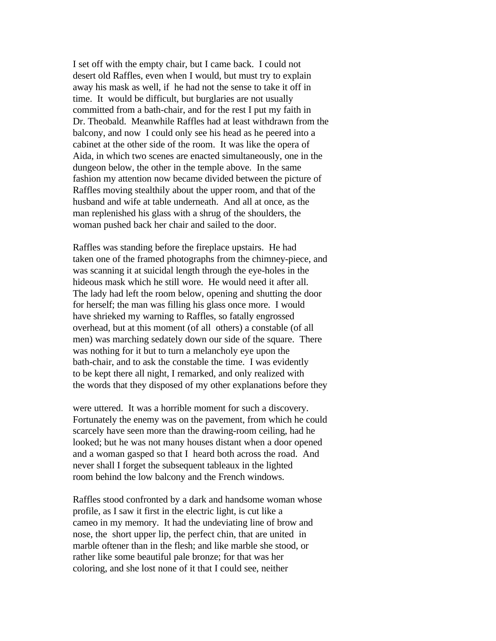I set off with the empty chair, but I came back. I could not desert old Raffles, even when I would, but must try to explain away his mask as well, if he had not the sense to take it off in time. It would be difficult, but burglaries are not usually committed from a bath-chair, and for the rest I put my faith in Dr. Theobald. Meanwhile Raffles had at least withdrawn from the balcony, and now I could only see his head as he peered into a cabinet at the other side of the room. It was like the opera of Aida, in which two scenes are enacted simultaneously, one in the dungeon below, the other in the temple above. In the same fashion my attention now became divided between the picture of Raffles moving stealthily about the upper room, and that of the husband and wife at table underneath. And all at once, as the man replenished his glass with a shrug of the shoulders, the woman pushed back her chair and sailed to the door.

Raffles was standing before the fireplace upstairs. He had taken one of the framed photographs from the chimney-piece, and was scanning it at suicidal length through the eye-holes in the hideous mask which he still wore. He would need it after all. The lady had left the room below, opening and shutting the door for herself; the man was filling his glass once more. I would have shrieked my warning to Raffles, so fatally engrossed overhead, but at this moment (of all others) a constable (of all men) was marching sedately down our side of the square. There was nothing for it but to turn a melancholy eye upon the bath-chair, and to ask the constable the time. I was evidently to be kept there all night, I remarked, and only realized with the words that they disposed of my other explanations before they

were uttered. It was a horrible moment for such a discovery. Fortunately the enemy was on the pavement, from which he could scarcely have seen more than the drawing-room ceiling, had he looked; but he was not many houses distant when a door opened and a woman gasped so that I heard both across the road. And never shall I forget the subsequent tableaux in the lighted room behind the low balcony and the French windows.

Raffles stood confronted by a dark and handsome woman whose profile, as I saw it first in the electric light, is cut like a cameo in my memory. It had the undeviating line of brow and nose, the short upper lip, the perfect chin, that are united in marble oftener than in the flesh; and like marble she stood, or rather like some beautiful pale bronze; for that was her coloring, and she lost none of it that I could see, neither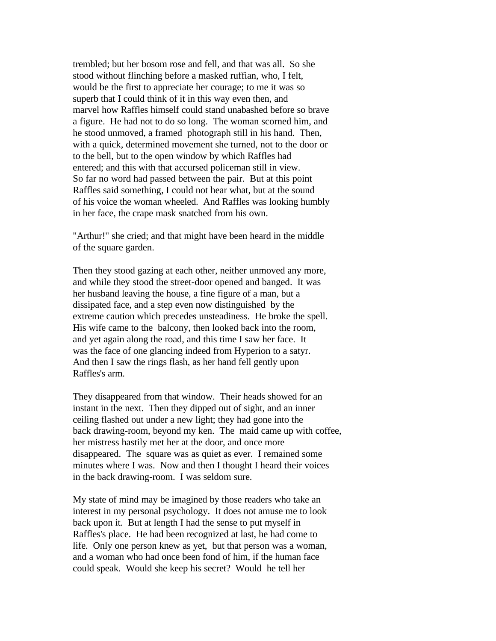trembled; but her bosom rose and fell, and that was all. So she stood without flinching before a masked ruffian, who, I felt, would be the first to appreciate her courage; to me it was so superb that I could think of it in this way even then, and marvel how Raffles himself could stand unabashed before so brave a figure. He had not to do so long. The woman scorned him, and he stood unmoved, a framed photograph still in his hand. Then, with a quick, determined movement she turned, not to the door or to the bell, but to the open window by which Raffles had entered; and this with that accursed policeman still in view. So far no word had passed between the pair. But at this point Raffles said something, I could not hear what, but at the sound of his voice the woman wheeled. And Raffles was looking humbly in her face, the crape mask snatched from his own.

"Arthur!" she cried; and that might have been heard in the middle of the square garden.

Then they stood gazing at each other, neither unmoved any more, and while they stood the street-door opened and banged. It was her husband leaving the house, a fine figure of a man, but a dissipated face, and a step even now distinguished by the extreme caution which precedes unsteadiness. He broke the spell. His wife came to the balcony, then looked back into the room, and yet again along the road, and this time I saw her face. It was the face of one glancing indeed from Hyperion to a satyr. And then I saw the rings flash, as her hand fell gently upon Raffles's arm.

They disappeared from that window. Their heads showed for an instant in the next. Then they dipped out of sight, and an inner ceiling flashed out under a new light; they had gone into the back drawing-room, beyond my ken. The maid came up with coffee, her mistress hastily met her at the door, and once more disappeared. The square was as quiet as ever. I remained some minutes where I was. Now and then I thought I heard their voices in the back drawing-room. I was seldom sure.

My state of mind may be imagined by those readers who take an interest in my personal psychology. It does not amuse me to look back upon it. But at length I had the sense to put myself in Raffles's place. He had been recognized at last, he had come to life. Only one person knew as yet, but that person was a woman, and a woman who had once been fond of him, if the human face could speak. Would she keep his secret? Would he tell her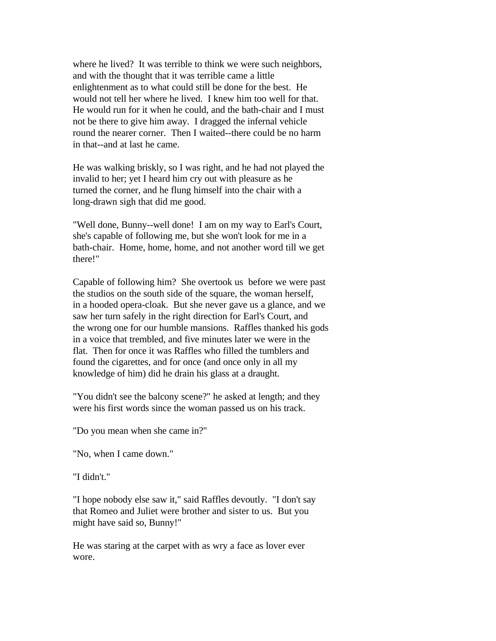where he lived? It was terrible to think we were such neighbors, and with the thought that it was terrible came a little enlightenment as to what could still be done for the best. He would not tell her where he lived. I knew him too well for that. He would run for it when he could, and the bath-chair and I must not be there to give him away. I dragged the infernal vehicle round the nearer corner. Then I waited--there could be no harm in that--and at last he came.

He was walking briskly, so I was right, and he had not played the invalid to her; yet I heard him cry out with pleasure as he turned the corner, and he flung himself into the chair with a long-drawn sigh that did me good.

"Well done, Bunny--well done! I am on my way to Earl's Court, she's capable of following me, but she won't look for me in a bath-chair. Home, home, home, and not another word till we get there!"

Capable of following him? She overtook us before we were past the studios on the south side of the square, the woman herself, in a hooded opera-cloak. But she never gave us a glance, and we saw her turn safely in the right direction for Earl's Court, and the wrong one for our humble mansions. Raffles thanked his gods in a voice that trembled, and five minutes later we were in the flat. Then for once it was Raffles who filled the tumblers and found the cigarettes, and for once (and once only in all my knowledge of him) did he drain his glass at a draught.

"You didn't see the balcony scene?" he asked at length; and they were his first words since the woman passed us on his track.

"Do you mean when she came in?"

"No, when I came down."

"I didn't."

"I hope nobody else saw it," said Raffles devoutly. "I don't say that Romeo and Juliet were brother and sister to us. But you might have said so, Bunny!"

He was staring at the carpet with as wry a face as lover ever wore.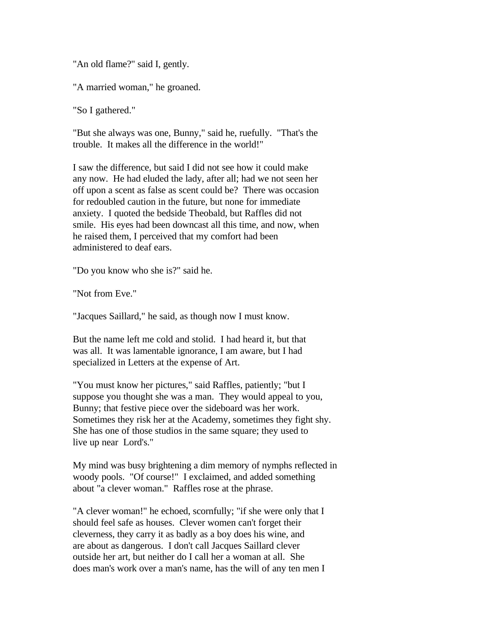"An old flame?" said I, gently.

"A married woman," he groaned.

"So I gathered."

"But she always was one, Bunny," said he, ruefully. "That's the trouble. It makes all the difference in the world!"

I saw the difference, but said I did not see how it could make any now. He had eluded the lady, after all; had we not seen her off upon a scent as false as scent could be? There was occasion for redoubled caution in the future, but none for immediate anxiety. I quoted the bedside Theobald, but Raffles did not smile. His eyes had been downcast all this time, and now, when he raised them, I perceived that my comfort had been administered to deaf ears.

"Do you know who she is?" said he.

"Not from Eve."

"Jacques Saillard," he said, as though now I must know.

But the name left me cold and stolid. I had heard it, but that was all. It was lamentable ignorance, I am aware, but I had specialized in Letters at the expense of Art.

"You must know her pictures," said Raffles, patiently; "but I suppose you thought she was a man. They would appeal to you, Bunny; that festive piece over the sideboard was her work. Sometimes they risk her at the Academy, sometimes they fight shy. She has one of those studios in the same square; they used to live up near Lord's."

My mind was busy brightening a dim memory of nymphs reflected in woody pools. "Of course!" I exclaimed, and added something about "a clever woman." Raffles rose at the phrase.

"A clever woman!" he echoed, scornfully; "if she were only that I should feel safe as houses. Clever women can't forget their cleverness, they carry it as badly as a boy does his wine, and are about as dangerous. I don't call Jacques Saillard clever outside her art, but neither do I call her a woman at all. She does man's work over a man's name, has the will of any ten men I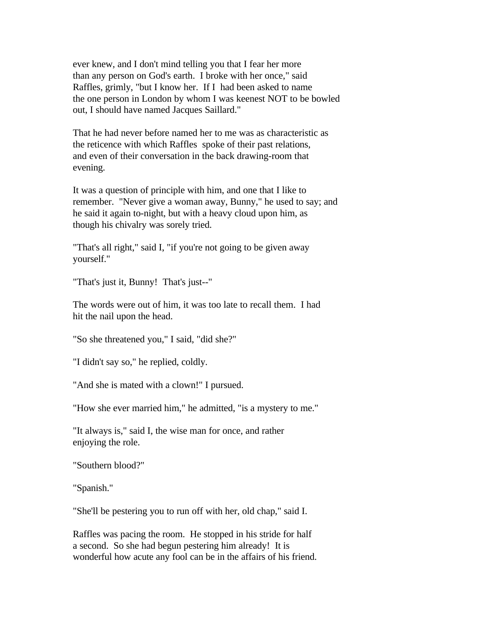ever knew, and I don't mind telling you that I fear her more than any person on God's earth. I broke with her once," said Raffles, grimly, "but I know her. If I had been asked to name the one person in London by whom I was keenest NOT to be bowled out, I should have named Jacques Saillard."

That he had never before named her to me was as characteristic as the reticence with which Raffles spoke of their past relations, and even of their conversation in the back drawing-room that evening.

It was a question of principle with him, and one that I like to remember. "Never give a woman away, Bunny," he used to say; and he said it again to-night, but with a heavy cloud upon him, as though his chivalry was sorely tried.

"That's all right," said I, "if you're not going to be given away yourself."

"That's just it, Bunny! That's just--"

The words were out of him, it was too late to recall them. I had hit the nail upon the head.

"So she threatened you," I said, "did she?"

"I didn't say so," he replied, coldly.

"And she is mated with a clown!" I pursued.

"How she ever married him," he admitted, "is a mystery to me."

"It always is," said I, the wise man for once, and rather enjoying the role.

"Southern blood?"

"Spanish."

"She'll be pestering you to run off with her, old chap," said I.

Raffles was pacing the room. He stopped in his stride for half a second. So she had begun pestering him already! It is wonderful how acute any fool can be in the affairs of his friend.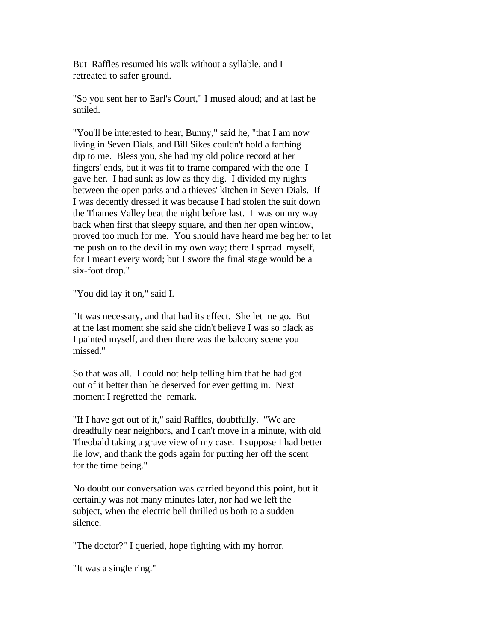But Raffles resumed his walk without a syllable, and I retreated to safer ground.

"So you sent her to Earl's Court," I mused aloud; and at last he smiled.

"You'll be interested to hear, Bunny," said he, "that I am now living in Seven Dials, and Bill Sikes couldn't hold a farthing dip to me. Bless you, she had my old police record at her fingers' ends, but it was fit to frame compared with the one I gave her. I had sunk as low as they dig. I divided my nights between the open parks and a thieves' kitchen in Seven Dials. If I was decently dressed it was because I had stolen the suit down the Thames Valley beat the night before last. I was on my way back when first that sleepy square, and then her open window, proved too much for me. You should have heard me beg her to let me push on to the devil in my own way; there I spread myself, for I meant every word; but I swore the final stage would be a six-foot drop."

"You did lay it on," said I.

"It was necessary, and that had its effect. She let me go. But at the last moment she said she didn't believe I was so black as I painted myself, and then there was the balcony scene you missed."

So that was all. I could not help telling him that he had got out of it better than he deserved for ever getting in. Next moment I regretted the remark.

"If I have got out of it," said Raffles, doubtfully. "We are dreadfully near neighbors, and I can't move in a minute, with old Theobald taking a grave view of my case. I suppose I had better lie low, and thank the gods again for putting her off the scent for the time being."

No doubt our conversation was carried beyond this point, but it certainly was not many minutes later, nor had we left the subject, when the electric bell thrilled us both to a sudden silence.

"The doctor?" I queried, hope fighting with my horror.

"It was a single ring."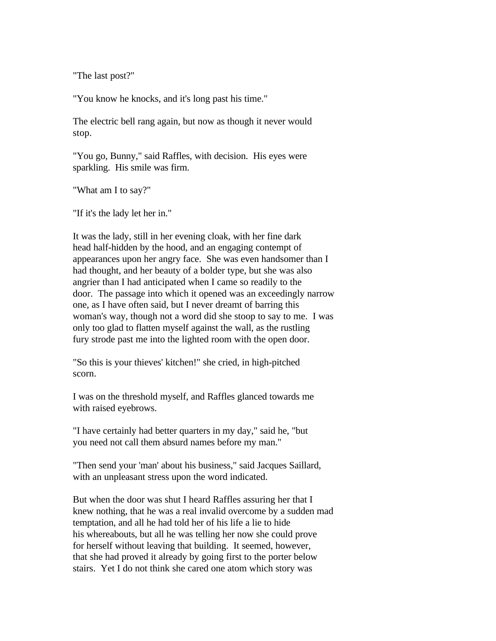"The last post?"

"You know he knocks, and it's long past his time."

The electric bell rang again, but now as though it never would stop.

"You go, Bunny," said Raffles, with decision. His eyes were sparkling. His smile was firm.

"What am I to say?"

"If it's the lady let her in."

It was the lady, still in her evening cloak, with her fine dark head half-hidden by the hood, and an engaging contempt of appearances upon her angry face. She was even handsomer than I had thought, and her beauty of a bolder type, but she was also angrier than I had anticipated when I came so readily to the door. The passage into which it opened was an exceedingly narrow one, as I have often said, but I never dreamt of barring this woman's way, though not a word did she stoop to say to me. I was only too glad to flatten myself against the wall, as the rustling fury strode past me into the lighted room with the open door.

"So this is your thieves' kitchen!" she cried, in high-pitched scorn.

I was on the threshold myself, and Raffles glanced towards me with raised eyebrows.

"I have certainly had better quarters in my day," said he, "but you need not call them absurd names before my man."

"Then send your 'man' about his business," said Jacques Saillard, with an unpleasant stress upon the word indicated.

But when the door was shut I heard Raffles assuring her that I knew nothing, that he was a real invalid overcome by a sudden mad temptation, and all he had told her of his life a lie to hide his whereabouts, but all he was telling her now she could prove for herself without leaving that building. It seemed, however, that she had proved it already by going first to the porter below stairs. Yet I do not think she cared one atom which story was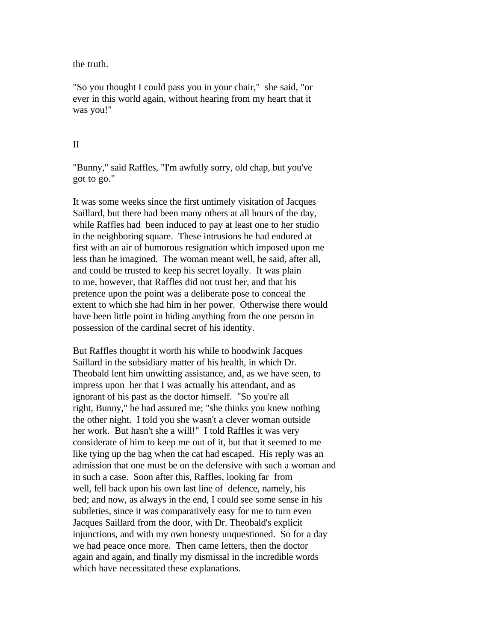the truth.

"So you thought I could pass you in your chair," she said, "or ever in this world again, without hearing from my heart that it was you!"

#### II

"Bunny," said Raffles, "I'm awfully sorry, old chap, but you've got to go."

It was some weeks since the first untimely visitation of Jacques Saillard, but there had been many others at all hours of the day, while Raffles had been induced to pay at least one to her studio in the neighboring square. These intrusions he had endured at first with an air of humorous resignation which imposed upon me less than he imagined. The woman meant well, he said, after all, and could be trusted to keep his secret loyally. It was plain to me, however, that Raffles did not trust her, and that his pretence upon the point was a deliberate pose to conceal the extent to which she had him in her power. Otherwise there would have been little point in hiding anything from the one person in possession of the cardinal secret of his identity.

But Raffles thought it worth his while to hoodwink Jacques Saillard in the subsidiary matter of his health, in which Dr. Theobald lent him unwitting assistance, and, as we have seen, to impress upon her that I was actually his attendant, and as ignorant of his past as the doctor himself. "So you're all right, Bunny," he had assured me; "she thinks you knew nothing the other night. I told you she wasn't a clever woman outside her work. But hasn't she a will!" I told Raffles it was very considerate of him to keep me out of it, but that it seemed to me like tying up the bag when the cat had escaped. His reply was an admission that one must be on the defensive with such a woman and in such a case. Soon after this, Raffles, looking far from well, fell back upon his own last line of defence, namely, his bed; and now, as always in the end, I could see some sense in his subtleties, since it was comparatively easy for me to turn even Jacques Saillard from the door, with Dr. Theobald's explicit injunctions, and with my own honesty unquestioned. So for a day we had peace once more. Then came letters, then the doctor again and again, and finally my dismissal in the incredible words which have necessitated these explanations.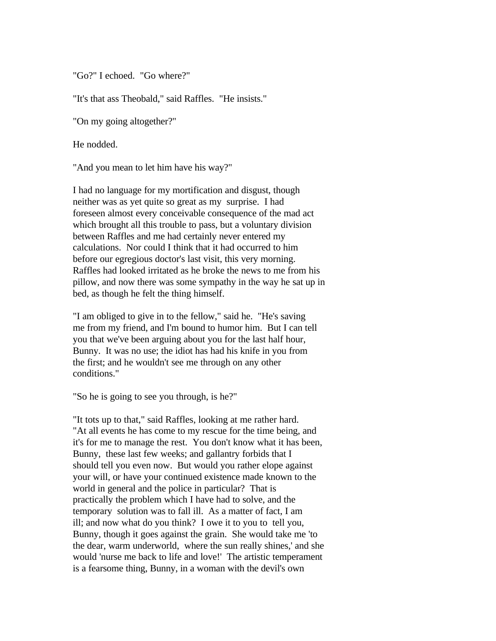"Go?" I echoed. "Go where?"

"It's that ass Theobald," said Raffles. "He insists."

"On my going altogether?"

He nodded.

"And you mean to let him have his way?"

I had no language for my mortification and disgust, though neither was as yet quite so great as my surprise. I had foreseen almost every conceivable consequence of the mad act which brought all this trouble to pass, but a voluntary division between Raffles and me had certainly never entered my calculations. Nor could I think that it had occurred to him before our egregious doctor's last visit, this very morning. Raffles had looked irritated as he broke the news to me from his pillow, and now there was some sympathy in the way he sat up in bed, as though he felt the thing himself.

"I am obliged to give in to the fellow," said he. "He's saving me from my friend, and I'm bound to humor him. But I can tell you that we've been arguing about you for the last half hour, Bunny. It was no use; the idiot has had his knife in you from the first; and he wouldn't see me through on any other conditions."

"So he is going to see you through, is he?"

"It tots up to that," said Raffles, looking at me rather hard. "At all events he has come to my rescue for the time being, and it's for me to manage the rest. You don't know what it has been, Bunny, these last few weeks; and gallantry forbids that I should tell you even now. But would you rather elope against your will, or have your continued existence made known to the world in general and the police in particular? That is practically the problem which I have had to solve, and the temporary solution was to fall ill. As a matter of fact, I am ill; and now what do you think? I owe it to you to tell you, Bunny, though it goes against the grain. She would take me 'to the dear, warm underworld, where the sun really shines,' and she would 'nurse me back to life and love!' The artistic temperament is a fearsome thing, Bunny, in a woman with the devil's own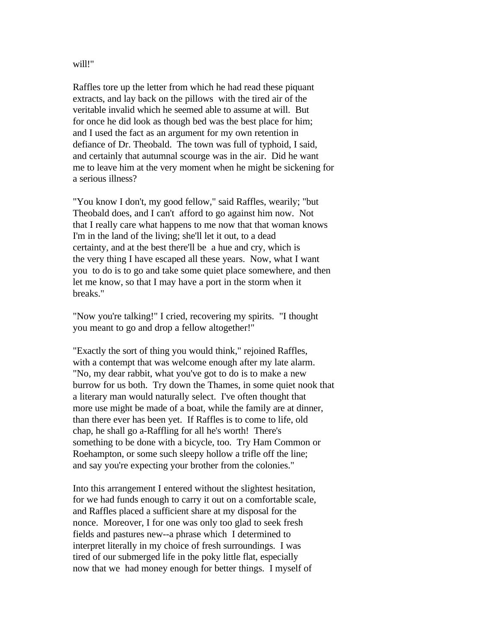#### will!"

Raffles tore up the letter from which he had read these piquant extracts, and lay back on the pillows with the tired air of the veritable invalid which he seemed able to assume at will. But for once he did look as though bed was the best place for him; and I used the fact as an argument for my own retention in defiance of Dr. Theobald. The town was full of typhoid, I said, and certainly that autumnal scourge was in the air. Did he want me to leave him at the very moment when he might be sickening for a serious illness?

"You know I don't, my good fellow," said Raffles, wearily; "but Theobald does, and I can't afford to go against him now. Not that I really care what happens to me now that that woman knows I'm in the land of the living; she'll let it out, to a dead certainty, and at the best there'll be a hue and cry, which is the very thing I have escaped all these years. Now, what I want you to do is to go and take some quiet place somewhere, and then let me know, so that I may have a port in the storm when it breaks."

"Now you're talking!" I cried, recovering my spirits. "I thought you meant to go and drop a fellow altogether!"

"Exactly the sort of thing you would think," rejoined Raffles, with a contempt that was welcome enough after my late alarm. "No, my dear rabbit, what you've got to do is to make a new burrow for us both. Try down the Thames, in some quiet nook that a literary man would naturally select. I've often thought that more use might be made of a boat, while the family are at dinner, than there ever has been yet. If Raffles is to come to life, old chap, he shall go a-Raffling for all he's worth! There's something to be done with a bicycle, too. Try Ham Common or Roehampton, or some such sleepy hollow a trifle off the line; and say you're expecting your brother from the colonies."

Into this arrangement I entered without the slightest hesitation, for we had funds enough to carry it out on a comfortable scale, and Raffles placed a sufficient share at my disposal for the nonce. Moreover, I for one was only too glad to seek fresh fields and pastures new--a phrase which I determined to interpret literally in my choice of fresh surroundings. I was tired of our submerged life in the poky little flat, especially now that we had money enough for better things. I myself of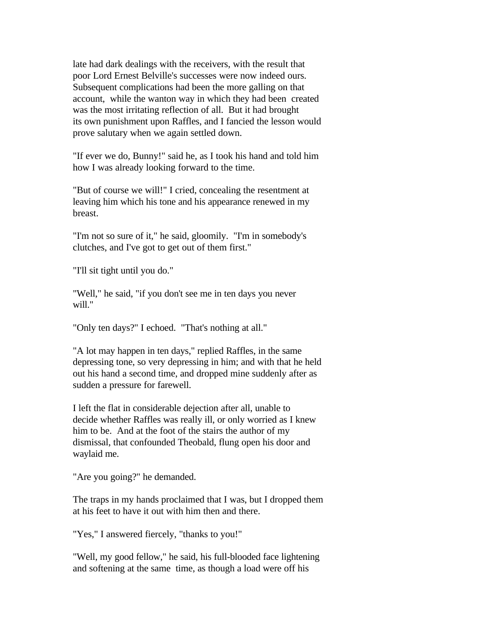late had dark dealings with the receivers, with the result that poor Lord Ernest Belville's successes were now indeed ours. Subsequent complications had been the more galling on that account, while the wanton way in which they had been created was the most irritating reflection of all. But it had brought its own punishment upon Raffles, and I fancied the lesson would prove salutary when we again settled down.

"If ever we do, Bunny!" said he, as I took his hand and told him how I was already looking forward to the time.

"But of course we will!" I cried, concealing the resentment at leaving him which his tone and his appearance renewed in my breast.

"I'm not so sure of it," he said, gloomily. "I'm in somebody's clutches, and I've got to get out of them first."

"I'll sit tight until you do."

"Well," he said, "if you don't see me in ten days you never will."

"Only ten days?" I echoed. "That's nothing at all."

"A lot may happen in ten days," replied Raffles, in the same depressing tone, so very depressing in him; and with that he held out his hand a second time, and dropped mine suddenly after as sudden a pressure for farewell.

I left the flat in considerable dejection after all, unable to decide whether Raffles was really ill, or only worried as I knew him to be. And at the foot of the stairs the author of my dismissal, that confounded Theobald, flung open his door and waylaid me.

"Are you going?" he demanded.

The traps in my hands proclaimed that I was, but I dropped them at his feet to have it out with him then and there.

"Yes," I answered fiercely, "thanks to you!"

"Well, my good fellow," he said, his full-blooded face lightening and softening at the same time, as though a load were off his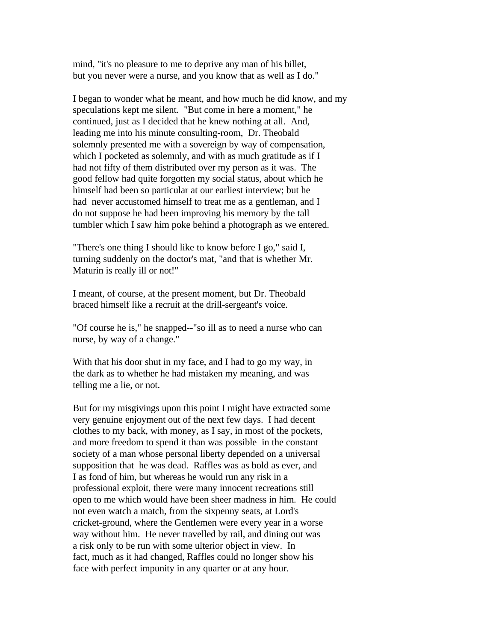mind, "it's no pleasure to me to deprive any man of his billet, but you never were a nurse, and you know that as well as I do."

I began to wonder what he meant, and how much he did know, and my speculations kept me silent. "But come in here a moment," he continued, just as I decided that he knew nothing at all. And, leading me into his minute consulting-room, Dr. Theobald solemnly presented me with a sovereign by way of compensation, which I pocketed as solemnly, and with as much gratitude as if I had not fifty of them distributed over my person as it was. The good fellow had quite forgotten my social status, about which he himself had been so particular at our earliest interview; but he had never accustomed himself to treat me as a gentleman, and I do not suppose he had been improving his memory by the tall tumbler which I saw him poke behind a photograph as we entered.

"There's one thing I should like to know before I go," said I, turning suddenly on the doctor's mat, "and that is whether Mr. Maturin is really ill or not!"

I meant, of course, at the present moment, but Dr. Theobald braced himself like a recruit at the drill-sergeant's voice.

"Of course he is," he snapped--"so ill as to need a nurse who can nurse, by way of a change."

With that his door shut in my face, and I had to go my way, in the dark as to whether he had mistaken my meaning, and was telling me a lie, or not.

But for my misgivings upon this point I might have extracted some very genuine enjoyment out of the next few days. I had decent clothes to my back, with money, as I say, in most of the pockets, and more freedom to spend it than was possible in the constant society of a man whose personal liberty depended on a universal supposition that he was dead. Raffles was as bold as ever, and I as fond of him, but whereas he would run any risk in a professional exploit, there were many innocent recreations still open to me which would have been sheer madness in him. He could not even watch a match, from the sixpenny seats, at Lord's cricket-ground, where the Gentlemen were every year in a worse way without him. He never travelled by rail, and dining out was a risk only to be run with some ulterior object in view. In fact, much as it had changed, Raffles could no longer show his face with perfect impunity in any quarter or at any hour.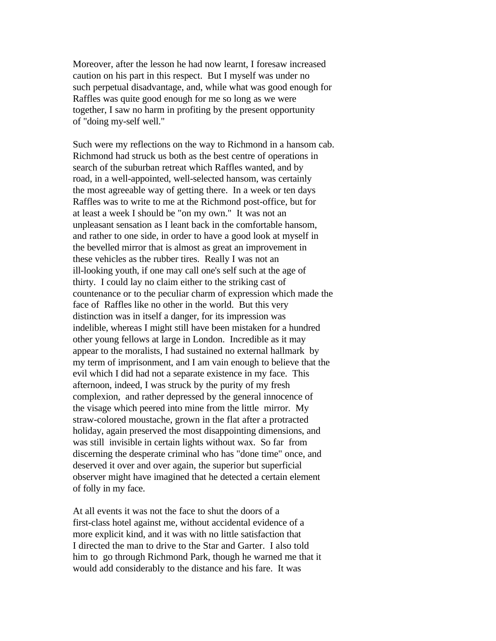Moreover, after the lesson he had now learnt, I foresaw increased caution on his part in this respect. But I myself was under no such perpetual disadvantage, and, while what was good enough for Raffles was quite good enough for me so long as we were together, I saw no harm in profiting by the present opportunity of "doing my-self well."

Such were my reflections on the way to Richmond in a hansom cab. Richmond had struck us both as the best centre of operations in search of the suburban retreat which Raffles wanted, and by road, in a well-appointed, well-selected hansom, was certainly the most agreeable way of getting there. In a week or ten days Raffles was to write to me at the Richmond post-office, but for at least a week I should be "on my own." It was not an unpleasant sensation as I leant back in the comfortable hansom, and rather to one side, in order to have a good look at myself in the bevelled mirror that is almost as great an improvement in these vehicles as the rubber tires. Really I was not an ill-looking youth, if one may call one's self such at the age of thirty. I could lay no claim either to the striking cast of countenance or to the peculiar charm of expression which made the face of Raffles like no other in the world. But this very distinction was in itself a danger, for its impression was indelible, whereas I might still have been mistaken for a hundred other young fellows at large in London. Incredible as it may appear to the moralists, I had sustained no external hallmark by my term of imprisonment, and I am vain enough to believe that the evil which I did had not a separate existence in my face. This afternoon, indeed, I was struck by the purity of my fresh complexion, and rather depressed by the general innocence of the visage which peered into mine from the little mirror. My straw-colored moustache, grown in the flat after a protracted holiday, again preserved the most disappointing dimensions, and was still invisible in certain lights without wax. So far from discerning the desperate criminal who has "done time" once, and deserved it over and over again, the superior but superficial observer might have imagined that he detected a certain element of folly in my face.

At all events it was not the face to shut the doors of a first-class hotel against me, without accidental evidence of a more explicit kind, and it was with no little satisfaction that I directed the man to drive to the Star and Garter. I also told him to go through Richmond Park, though he warned me that it would add considerably to the distance and his fare. It was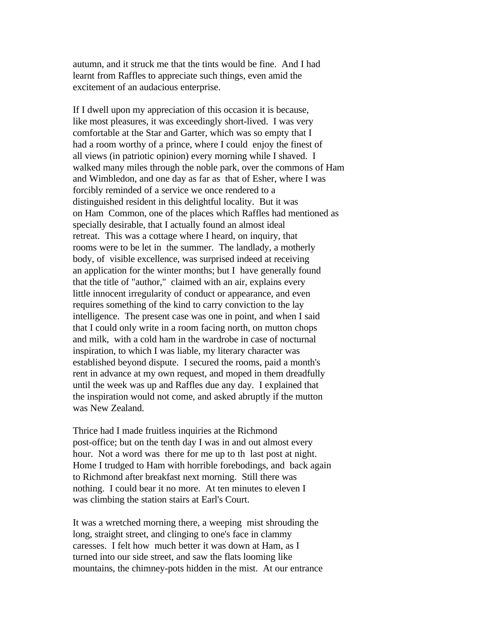autumn, and it struck me that the tints would be fine. And I had learnt from Raffles to appreciate such things, even amid the excitement of an audacious enterprise.

If I dwell upon my appreciation of this occasion it is because, like most pleasures, it was exceedingly short-lived. I was very comfortable at the Star and Garter, which was so empty that I had a room worthy of a prince, where I could enjoy the finest of all views (in patriotic opinion) every morning while I shaved. I walked many miles through the noble park, over the commons of Ham and Wimbledon, and one day as far as that of Esher, where I was forcibly reminded of a service we once rendered to a distinguished resident in this delightful locality. But it was on Ham Common, one of the places which Raffles had mentioned as specially desirable, that I actually found an almost ideal retreat. This was a cottage where I heard, on inquiry, that rooms were to be let in the summer. The landlady, a motherly body, of visible excellence, was surprised indeed at receiving an application for the winter months; but I have generally found that the title of "author," claimed with an air, explains every little innocent irregularity of conduct or appearance, and even requires something of the kind to carry conviction to the lay intelligence. The present case was one in point, and when I said that I could only write in a room facing north, on mutton chops and milk, with a cold ham in the wardrobe in case of nocturnal inspiration, to which I was liable, my literary character was established beyond dispute. I secured the rooms, paid a month's rent in advance at my own request, and moped in them dreadfully until the week was up and Raffles due any day. I explained that the inspiration would not come, and asked abruptly if the mutton was New Zealand.

Thrice had I made fruitless inquiries at the Richmond post-office; but on the tenth day I was in and out almost every hour. Not a word was there for me up to th last post at night. Home I trudged to Ham with horrible forebodings, and back again to Richmond after breakfast next morning. Still there was nothing. I could bear it no more. At ten minutes to eleven I was climbing the station stairs at Earl's Court.

It was a wretched morning there, a weeping mist shrouding the long, straight street, and clinging to one's face in clammy caresses. I felt how much better it was down at Ham, as I turned into our side street, and saw the flats looming like mountains, the chimney-pots hidden in the mist. At our entrance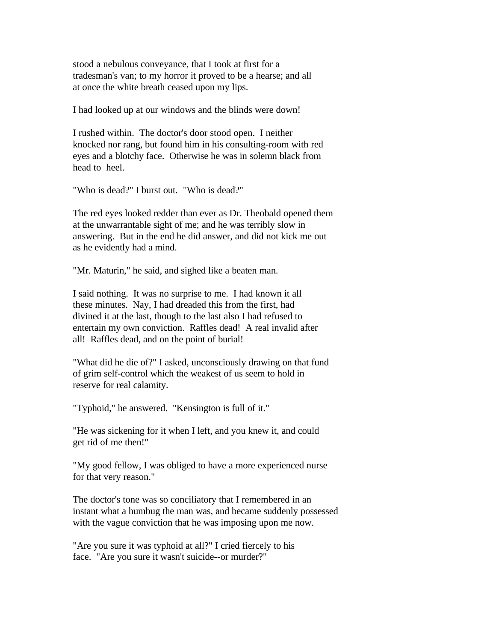stood a nebulous conveyance, that I took at first for a tradesman's van; to my horror it proved to be a hearse; and all at once the white breath ceased upon my lips.

I had looked up at our windows and the blinds were down!

I rushed within. The doctor's door stood open. I neither knocked nor rang, but found him in his consulting-room with red eyes and a blotchy face. Otherwise he was in solemn black from head to heel.

"Who is dead?" I burst out. "Who is dead?"

The red eyes looked redder than ever as Dr. Theobald opened them at the unwarrantable sight of me; and he was terribly slow in answering. But in the end he did answer, and did not kick me out as he evidently had a mind.

"Mr. Maturin," he said, and sighed like a beaten man.

I said nothing. It was no surprise to me. I had known it all these minutes. Nay, I had dreaded this from the first, had divined it at the last, though to the last also I had refused to entertain my own conviction. Raffles dead! A real invalid after all! Raffles dead, and on the point of burial!

"What did he die of?" I asked, unconsciously drawing on that fund of grim self-control which the weakest of us seem to hold in reserve for real calamity.

"Typhoid," he answered. "Kensington is full of it."

"He was sickening for it when I left, and you knew it, and could get rid of me then!"

"My good fellow, I was obliged to have a more experienced nurse for that very reason."

The doctor's tone was so conciliatory that I remembered in an instant what a humbug the man was, and became suddenly possessed with the vague conviction that he was imposing upon me now.

"Are you sure it was typhoid at all?" I cried fiercely to his face. "Are you sure it wasn't suicide--or murder?"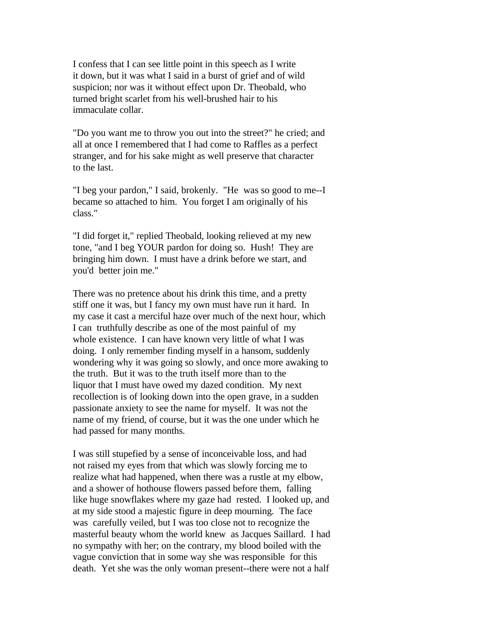I confess that I can see little point in this speech as I write it down, but it was what I said in a burst of grief and of wild suspicion; nor was it without effect upon Dr. Theobald, who turned bright scarlet from his well-brushed hair to his immaculate collar.

"Do you want me to throw you out into the street?" he cried; and all at once I remembered that I had come to Raffles as a perfect stranger, and for his sake might as well preserve that character to the last.

"I beg your pardon," I said, brokenly. "He was so good to me--I became so attached to him. You forget I am originally of his class."

"I did forget it," replied Theobald, looking relieved at my new tone, "and I beg YOUR pardon for doing so. Hush! They are bringing him down. I must have a drink before we start, and you'd better join me."

There was no pretence about his drink this time, and a pretty stiff one it was, but I fancy my own must have run it hard. In my case it cast a merciful haze over much of the next hour, which I can truthfully describe as one of the most painful of my whole existence. I can have known very little of what I was doing. I only remember finding myself in a hansom, suddenly wondering why it was going so slowly, and once more awaking to the truth. But it was to the truth itself more than to the liquor that I must have owed my dazed condition. My next recollection is of looking down into the open grave, in a sudden passionate anxiety to see the name for myself. It was not the name of my friend, of course, but it was the one under which he had passed for many months.

I was still stupefied by a sense of inconceivable loss, and had not raised my eyes from that which was slowly forcing me to realize what had happened, when there was a rustle at my elbow, and a shower of hothouse flowers passed before them, falling like huge snowflakes where my gaze had rested. I looked up, and at my side stood a majestic figure in deep mourning. The face was carefully veiled, but I was too close not to recognize the masterful beauty whom the world knew as Jacques Saillard. I had no sympathy with her; on the contrary, my blood boiled with the vague conviction that in some way she was responsible for this death. Yet she was the only woman present--there were not a half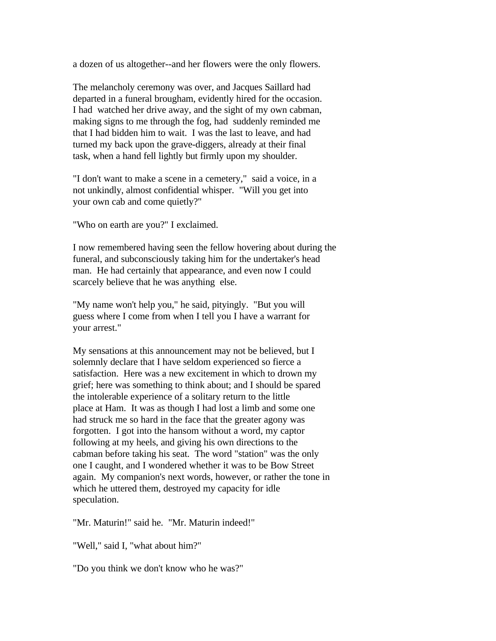a dozen of us altogether--and her flowers were the only flowers.

The melancholy ceremony was over, and Jacques Saillard had departed in a funeral brougham, evidently hired for the occasion. I had watched her drive away, and the sight of my own cabman, making signs to me through the fog, had suddenly reminded me that I had bidden him to wait. I was the last to leave, and had turned my back upon the grave-diggers, already at their final task, when a hand fell lightly but firmly upon my shoulder.

"I don't want to make a scene in a cemetery," said a voice, in a not unkindly, almost confidential whisper. "Will you get into your own cab and come quietly?"

"Who on earth are you?" I exclaimed.

I now remembered having seen the fellow hovering about during the funeral, and subconsciously taking him for the undertaker's head man. He had certainly that appearance, and even now I could scarcely believe that he was anything else.

"My name won't help you," he said, pityingly. "But you will guess where I come from when I tell you I have a warrant for your arrest."

My sensations at this announcement may not be believed, but I solemnly declare that I have seldom experienced so fierce a satisfaction. Here was a new excitement in which to drown my grief; here was something to think about; and I should be spared the intolerable experience of a solitary return to the little place at Ham. It was as though I had lost a limb and some one had struck me so hard in the face that the greater agony was forgotten. I got into the hansom without a word, my captor following at my heels, and giving his own directions to the cabman before taking his seat. The word "station" was the only one I caught, and I wondered whether it was to be Bow Street again. My companion's next words, however, or rather the tone in which he uttered them, destroyed my capacity for idle speculation.

"Mr. Maturin!" said he. "Mr. Maturin indeed!"

"Well," said I, "what about him?"

"Do you think we don't know who he was?"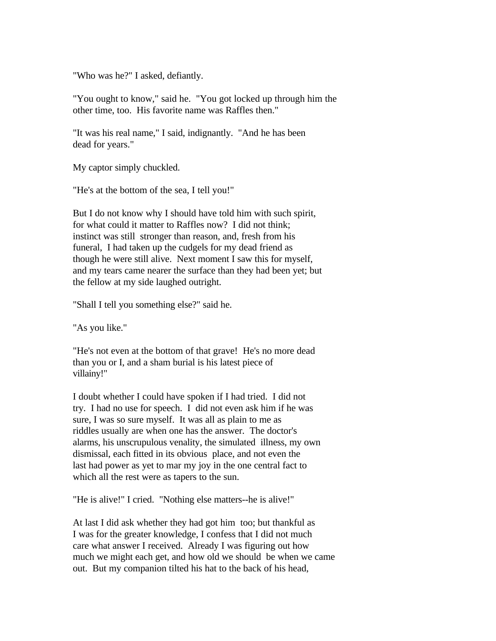"Who was he?" I asked, defiantly.

"You ought to know," said he. "You got locked up through him the other time, too. His favorite name was Raffles then."

"It was his real name," I said, indignantly. "And he has been dead for years."

My captor simply chuckled.

"He's at the bottom of the sea, I tell you!"

But I do not know why I should have told him with such spirit, for what could it matter to Raffles now? I did not think; instinct was still stronger than reason, and, fresh from his funeral, I had taken up the cudgels for my dead friend as though he were still alive. Next moment I saw this for myself, and my tears came nearer the surface than they had been yet; but the fellow at my side laughed outright.

"Shall I tell you something else?" said he.

"As you like."

"He's not even at the bottom of that grave! He's no more dead than you or I, and a sham burial is his latest piece of villainy!"

I doubt whether I could have spoken if I had tried. I did not try. I had no use for speech. I did not even ask him if he was sure, I was so sure myself. It was all as plain to me as riddles usually are when one has the answer. The doctor's alarms, his unscrupulous venality, the simulated illness, my own dismissal, each fitted in its obvious place, and not even the last had power as yet to mar my joy in the one central fact to which all the rest were as tapers to the sun.

"He is alive!" I cried. "Nothing else matters--he is alive!"

At last I did ask whether they had got him too; but thankful as I was for the greater knowledge, I confess that I did not much care what answer I received. Already I was figuring out how much we might each get, and how old we should be when we came out. But my companion tilted his hat to the back of his head,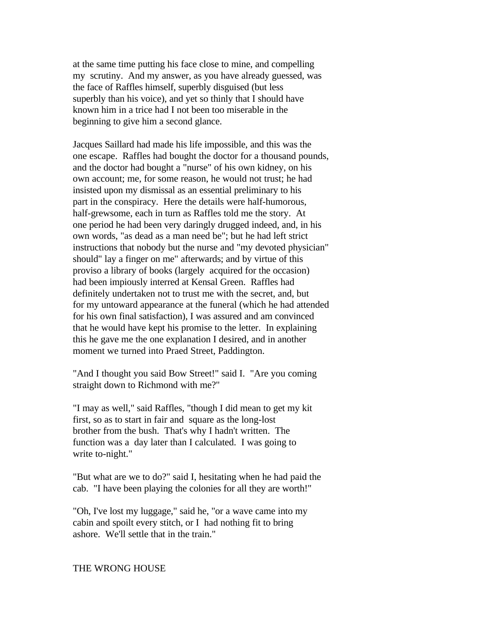at the same time putting his face close to mine, and compelling my scrutiny. And my answer, as you have already guessed, was the face of Raffles himself, superbly disguised (but less superbly than his voice), and yet so thinly that I should have known him in a trice had I not been too miserable in the beginning to give him a second glance.

Jacques Saillard had made his life impossible, and this was the one escape. Raffles had bought the doctor for a thousand pounds, and the doctor had bought a "nurse" of his own kidney, on his own account; me, for some reason, he would not trust; he had insisted upon my dismissal as an essential preliminary to his part in the conspiracy. Here the details were half-humorous, half-grewsome, each in turn as Raffles told me the story. At one period he had been very daringly drugged indeed, and, in his own words, "as dead as a man need be"; but he had left strict instructions that nobody but the nurse and "my devoted physician" should" lay a finger on me" afterwards; and by virtue of this proviso a library of books (largely acquired for the occasion) had been impiously interred at Kensal Green. Raffles had definitely undertaken not to trust me with the secret, and, but for my untoward appearance at the funeral (which he had attended for his own final satisfaction), I was assured and am convinced that he would have kept his promise to the letter. In explaining this he gave me the one explanation I desired, and in another moment we turned into Praed Street, Paddington.

"And I thought you said Bow Street!" said I. "Are you coming straight down to Richmond with me?"

"I may as well," said Raffles, "though I did mean to get my kit first, so as to start in fair and square as the long-lost brother from the bush. That's why I hadn't written. The function was a day later than I calculated. I was going to write to-night."

"But what are we to do?" said I, hesitating when he had paid the cab. "I have been playing the colonies for all they are worth!"

"Oh, I've lost my luggage," said he, "or a wave came into my cabin and spoilt every stitch, or I had nothing fit to bring ashore. We'll settle that in the train."

### THE WRONG HOUSE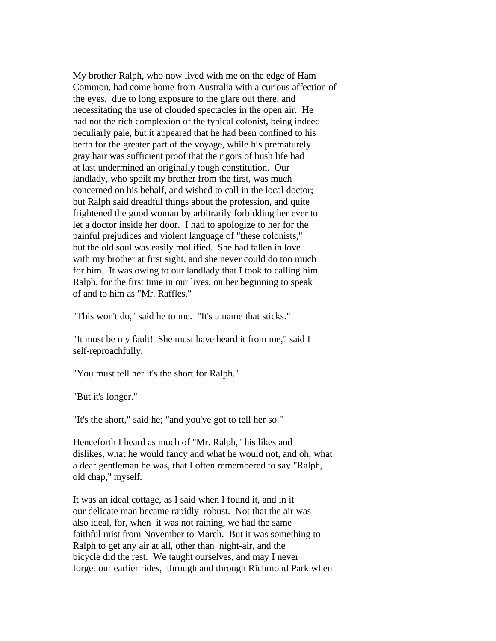My brother Ralph, who now lived with me on the edge of Ham Common, had come home from Australia with a curious affection of the eyes, due to long exposure to the glare out there, and necessitating the use of clouded spectacles in the open air. He had not the rich complexion of the typical colonist, being indeed peculiarly pale, but it appeared that he had been confined to his berth for the greater part of the voyage, while his prematurely gray hair was sufficient proof that the rigors of bush life had at last undermined an originally tough constitution. Our landlady, who spoilt my brother from the first, was much concerned on his behalf, and wished to call in the local doctor; but Ralph said dreadful things about the profession, and quite frightened the good woman by arbitrarily forbidding her ever to let a doctor inside her door. I had to apologize to her for the painful prejudices and violent language of "these colonists," but the old soul was easily mollified. She had fallen in love with my brother at first sight, and she never could do too much for him. It was owing to our landlady that I took to calling him Ralph, for the first time in our lives, on her beginning to speak of and to him as "Mr. Raffles."

"This won't do," said he to me. "It's a name that sticks."

"It must be my fault! She must have heard it from me," said I self-reproachfully.

"You must tell her it's the short for Ralph."

"But it's longer."

"It's the short," said he; "and you've got to tell her so."

Henceforth I heard as much of "Mr. Ralph," his likes and dislikes, what he would fancy and what he would not, and oh, what a dear gentleman he was, that I often remembered to say "Ralph, old chap," myself.

It was an ideal cottage, as I said when I found it, and in it our delicate man became rapidly robust. Not that the air was also ideal, for, when it was not raining, we had the same faithful mist from November to March. But it was something to Ralph to get any air at all, other than night-air, and the bicycle did the rest. We taught ourselves, and may I never forget our earlier rides, through and through Richmond Park when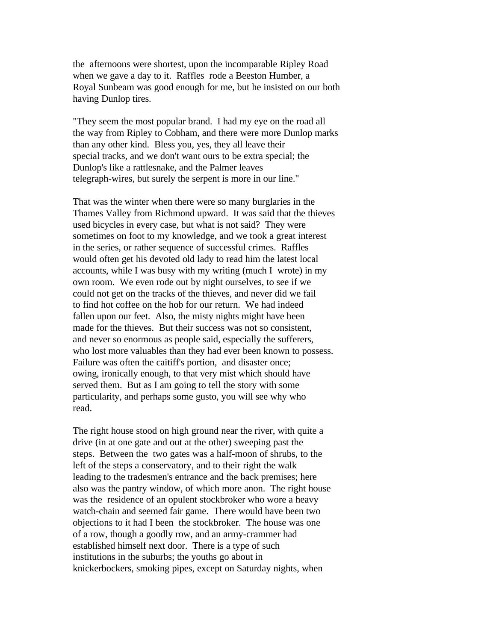the afternoons were shortest, upon the incomparable Ripley Road when we gave a day to it. Raffles rode a Beeston Humber, a Royal Sunbeam was good enough for me, but he insisted on our both having Dunlop tires.

"They seem the most popular brand. I had my eye on the road all the way from Ripley to Cobham, and there were more Dunlop marks than any other kind. Bless you, yes, they all leave their special tracks, and we don't want ours to be extra special; the Dunlop's like a rattlesnake, and the Palmer leaves telegraph-wires, but surely the serpent is more in our line."

That was the winter when there were so many burglaries in the Thames Valley from Richmond upward. It was said that the thieves used bicycles in every case, but what is not said? They were sometimes on foot to my knowledge, and we took a great interest in the series, or rather sequence of successful crimes. Raffles would often get his devoted old lady to read him the latest local accounts, while I was busy with my writing (much I wrote) in my own room. We even rode out by night ourselves, to see if we could not get on the tracks of the thieves, and never did we fail to find hot coffee on the hob for our return. We had indeed fallen upon our feet. Also, the misty nights might have been made for the thieves. But their success was not so consistent, and never so enormous as people said, especially the sufferers, who lost more valuables than they had ever been known to possess. Failure was often the caitiff's portion, and disaster once; owing, ironically enough, to that very mist which should have served them. But as I am going to tell the story with some particularity, and perhaps some gusto, you will see why who read.

The right house stood on high ground near the river, with quite a drive (in at one gate and out at the other) sweeping past the steps. Between the two gates was a half-moon of shrubs, to the left of the steps a conservatory, and to their right the walk leading to the tradesmen's entrance and the back premises; here also was the pantry window, of which more anon. The right house was the residence of an opulent stockbroker who wore a heavy watch-chain and seemed fair game. There would have been two objections to it had I been the stockbroker. The house was one of a row, though a goodly row, and an army-crammer had established himself next door. There is a type of such institutions in the suburbs; the youths go about in knickerbockers, smoking pipes, except on Saturday nights, when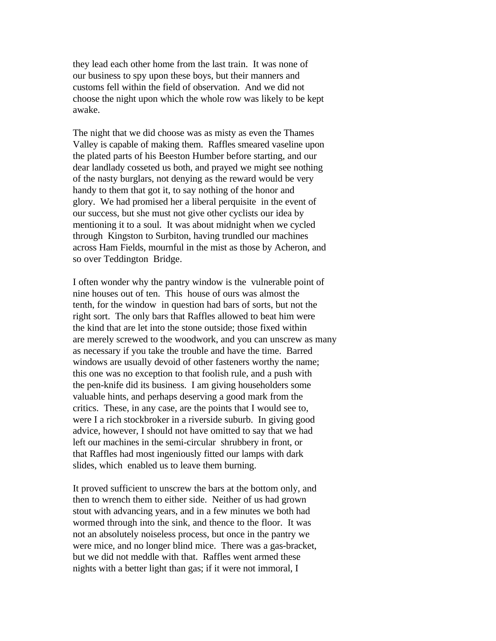they lead each other home from the last train. It was none of our business to spy upon these boys, but their manners and customs fell within the field of observation. And we did not choose the night upon which the whole row was likely to be kept awake.

The night that we did choose was as misty as even the Thames Valley is capable of making them. Raffles smeared vaseline upon the plated parts of his Beeston Humber before starting, and our dear landlady cosseted us both, and prayed we might see nothing of the nasty burglars, not denying as the reward would be very handy to them that got it, to say nothing of the honor and glory. We had promised her a liberal perquisite in the event of our success, but she must not give other cyclists our idea by mentioning it to a soul. It was about midnight when we cycled through Kingston to Surbiton, having trundled our machines across Ham Fields, mournful in the mist as those by Acheron, and so over Teddington Bridge.

I often wonder why the pantry window is the vulnerable point of nine houses out of ten. This house of ours was almost the tenth, for the window in question had bars of sorts, but not the right sort. The only bars that Raffles allowed to beat him were the kind that are let into the stone outside; those fixed within are merely screwed to the woodwork, and you can unscrew as many as necessary if you take the trouble and have the time. Barred windows are usually devoid of other fasteners worthy the name; this one was no exception to that foolish rule, and a push with the pen-knife did its business. I am giving householders some valuable hints, and perhaps deserving a good mark from the critics. These, in any case, are the points that I would see to, were I a rich stockbroker in a riverside suburb. In giving good advice, however, I should not have omitted to say that we had left our machines in the semi-circular shrubbery in front, or that Raffles had most ingeniously fitted our lamps with dark slides, which enabled us to leave them burning.

It proved sufficient to unscrew the bars at the bottom only, and then to wrench them to either side. Neither of us had grown stout with advancing years, and in a few minutes we both had wormed through into the sink, and thence to the floor. It was not an absolutely noiseless process, but once in the pantry we were mice, and no longer blind mice. There was a gas-bracket, but we did not meddle with that. Raffles went armed these nights with a better light than gas; if it were not immoral, I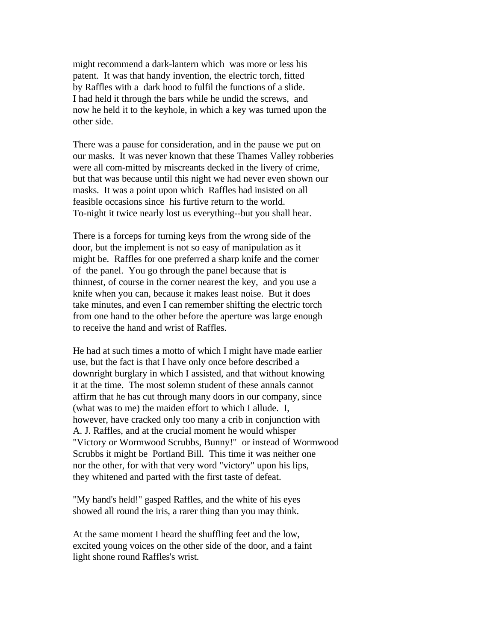might recommend a dark-lantern which was more or less his patent. It was that handy invention, the electric torch, fitted by Raffles with a dark hood to fulfil the functions of a slide. I had held it through the bars while he undid the screws, and now he held it to the keyhole, in which a key was turned upon the other side.

There was a pause for consideration, and in the pause we put on our masks. It was never known that these Thames Valley robberies were all com-mitted by miscreants decked in the livery of crime, but that was because until this night we had never even shown our masks. It was a point upon which Raffles had insisted on all feasible occasions since his furtive return to the world. To-night it twice nearly lost us everything--but you shall hear.

There is a forceps for turning keys from the wrong side of the door, but the implement is not so easy of manipulation as it might be. Raffles for one preferred a sharp knife and the corner of the panel. You go through the panel because that is thinnest, of course in the corner nearest the key, and you use a knife when you can, because it makes least noise. But it does take minutes, and even I can remember shifting the electric torch from one hand to the other before the aperture was large enough to receive the hand and wrist of Raffles.

He had at such times a motto of which I might have made earlier use, but the fact is that I have only once before described a downright burglary in which I assisted, and that without knowing it at the time. The most solemn student of these annals cannot affirm that he has cut through many doors in our company, since (what was to me) the maiden effort to which I allude. I, however, have cracked only too many a crib in conjunction with A. J. Raffles, and at the crucial moment he would whisper "Victory or Wormwood Scrubbs, Bunny!" or instead of Wormwood Scrubbs it might be Portland Bill. This time it was neither one nor the other, for with that very word "victory" upon his lips, they whitened and parted with the first taste of defeat.

"My hand's held!" gasped Raffles, and the white of his eyes showed all round the iris, a rarer thing than you may think.

At the same moment I heard the shuffling feet and the low, excited young voices on the other side of the door, and a faint light shone round Raffles's wrist.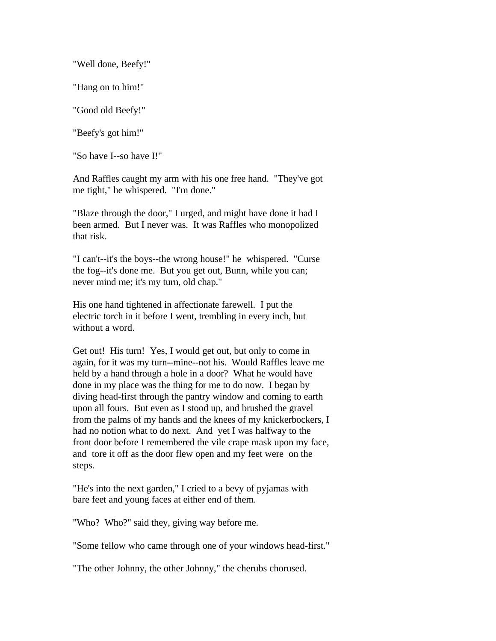"Well done, Beefy!"

"Hang on to him!"

"Good old Beefy!"

"Beefy's got him!"

"So have I--so have I!"

And Raffles caught my arm with his one free hand. "They've got me tight," he whispered. "I'm done."

"Blaze through the door," I urged, and might have done it had I been armed. But I never was. It was Raffles who monopolized that risk.

"I can't--it's the boys--the wrong house!" he whispered. "Curse the fog--it's done me. But you get out, Bunn, while you can; never mind me; it's my turn, old chap."

His one hand tightened in affectionate farewell. I put the electric torch in it before I went, trembling in every inch, but without a word.

Get out! His turn! Yes, I would get out, but only to come in again, for it was my turn--mine--not his. Would Raffles leave me held by a hand through a hole in a door? What he would have done in my place was the thing for me to do now. I began by diving head-first through the pantry window and coming to earth upon all fours. But even as I stood up, and brushed the gravel from the palms of my hands and the knees of my knickerbockers, I had no notion what to do next. And yet I was halfway to the front door before I remembered the vile crape mask upon my face, and tore it off as the door flew open and my feet were on the steps.

"He's into the next garden," I cried to a bevy of pyjamas with bare feet and young faces at either end of them.

"Who? Who?" said they, giving way before me.

"Some fellow who came through one of your windows head-first."

"The other Johnny, the other Johnny," the cherubs chorused.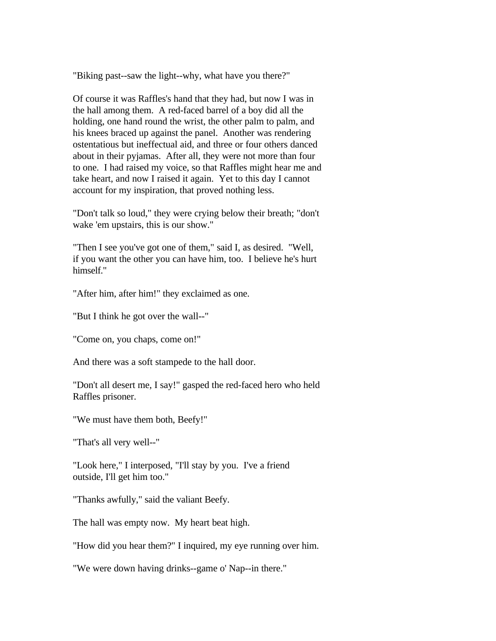"Biking past--saw the light--why, what have you there?"

Of course it was Raffles's hand that they had, but now I was in the hall among them. A red-faced barrel of a boy did all the holding, one hand round the wrist, the other palm to palm, and his knees braced up against the panel. Another was rendering ostentatious but ineffectual aid, and three or four others danced about in their pyjamas. After all, they were not more than four to one. I had raised my voice, so that Raffles might hear me and take heart, and now I raised it again. Yet to this day I cannot account for my inspiration, that proved nothing less.

"Don't talk so loud," they were crying below their breath; "don't wake 'em upstairs, this is our show."

"Then I see you've got one of them," said I, as desired. "Well, if you want the other you can have him, too. I believe he's hurt himself."

"After him, after him!" they exclaimed as one.

"But I think he got over the wall--"

"Come on, you chaps, come on!"

And there was a soft stampede to the hall door.

"Don't all desert me, I say!" gasped the red-faced hero who held Raffles prisoner.

"We must have them both, Beefy!"

"That's all very well--"

"Look here," I interposed, "I'll stay by you. I've a friend outside, I'll get him too."

"Thanks awfully," said the valiant Beefy.

The hall was empty now. My heart beat high.

"How did you hear them?" I inquired, my eye running over him.

"We were down having drinks--game o' Nap--in there."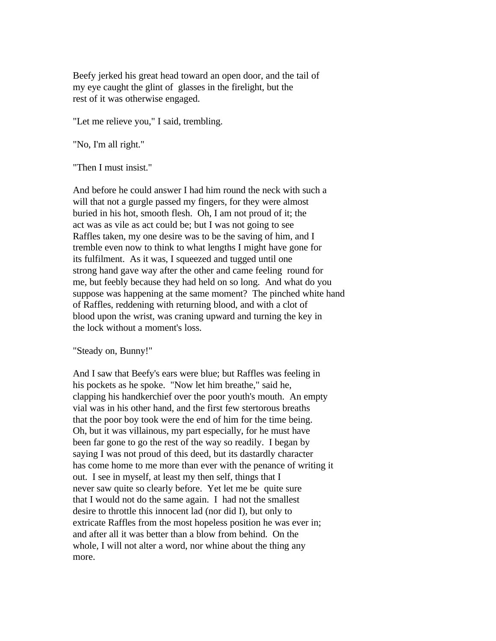Beefy jerked his great head toward an open door, and the tail of my eye caught the glint of glasses in the firelight, but the rest of it was otherwise engaged.

"Let me relieve you," I said, trembling.

"No, I'm all right."

"Then I must insist."

And before he could answer I had him round the neck with such a will that not a gurgle passed my fingers, for they were almost buried in his hot, smooth flesh. Oh, I am not proud of it; the act was as vile as act could be; but I was not going to see Raffles taken, my one desire was to be the saving of him, and I tremble even now to think to what lengths I might have gone for its fulfilment. As it was, I squeezed and tugged until one strong hand gave way after the other and came feeling round for me, but feebly because they had held on so long. And what do you suppose was happening at the same moment? The pinched white hand of Raffles, reddening with returning blood, and with a clot of blood upon the wrist, was craning upward and turning the key in the lock without a moment's loss.

"Steady on, Bunny!"

And I saw that Beefy's ears were blue; but Raffles was feeling in his pockets as he spoke. "Now let him breathe," said he, clapping his handkerchief over the poor youth's mouth. An empty vial was in his other hand, and the first few stertorous breaths that the poor boy took were the end of him for the time being. Oh, but it was villainous, my part especially, for he must have been far gone to go the rest of the way so readily. I began by saying I was not proud of this deed, but its dastardly character has come home to me more than ever with the penance of writing it out. I see in myself, at least my then self, things that I never saw quite so clearly before. Yet let me be quite sure that I would not do the same again. I had not the smallest desire to throttle this innocent lad (nor did I), but only to extricate Raffles from the most hopeless position he was ever in; and after all it was better than a blow from behind. On the whole, I will not alter a word, nor whine about the thing any more.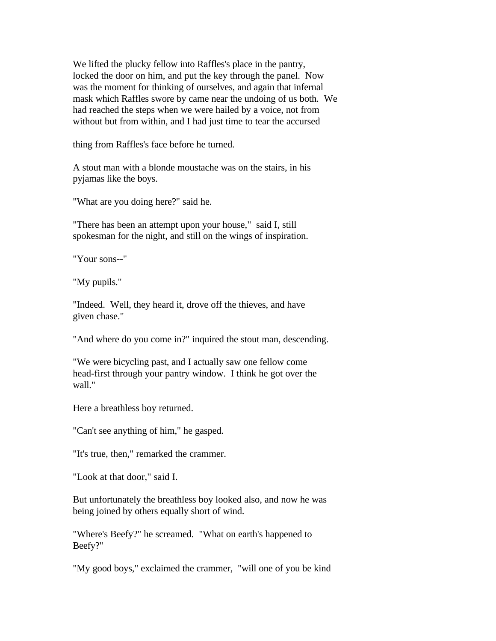We lifted the plucky fellow into Raffles's place in the pantry, locked the door on him, and put the key through the panel. Now was the moment for thinking of ourselves, and again that infernal mask which Raffles swore by came near the undoing of us both. We had reached the steps when we were hailed by a voice, not from without but from within, and I had just time to tear the accursed

thing from Raffles's face before he turned.

A stout man with a blonde moustache was on the stairs, in his pyjamas like the boys.

"What are you doing here?" said he.

"There has been an attempt upon your house," said I, still spokesman for the night, and still on the wings of inspiration.

"Your sons--"

"My pupils."

"Indeed. Well, they heard it, drove off the thieves, and have given chase."

"And where do you come in?" inquired the stout man, descending.

"We were bicycling past, and I actually saw one fellow come head-first through your pantry window. I think he got over the wall."

Here a breathless boy returned.

"Can't see anything of him," he gasped.

"It's true, then," remarked the crammer.

"Look at that door," said I.

But unfortunately the breathless boy looked also, and now he was being joined by others equally short of wind.

"Where's Beefy?" he screamed. "What on earth's happened to Beefy?"

"My good boys," exclaimed the crammer, "will one of you be kind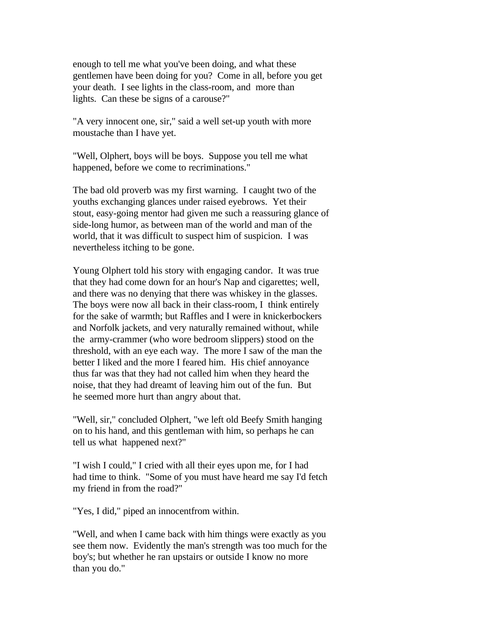enough to tell me what you've been doing, and what these gentlemen have been doing for you? Come in all, before you get your death. I see lights in the class-room, and more than lights. Can these be signs of a carouse?"

"A very innocent one, sir," said a well set-up youth with more moustache than I have yet.

"Well, Olphert, boys will be boys. Suppose you tell me what happened, before we come to recriminations."

The bad old proverb was my first warning. I caught two of the youths exchanging glances under raised eyebrows. Yet their stout, easy-going mentor had given me such a reassuring glance of side-long humor, as between man of the world and man of the world, that it was difficult to suspect him of suspicion. I was nevertheless itching to be gone.

Young Olphert told his story with engaging candor. It was true that they had come down for an hour's Nap and cigarettes; well, and there was no denying that there was whiskey in the glasses. The boys were now all back in their class-room, I think entirely for the sake of warmth; but Raffles and I were in knickerbockers and Norfolk jackets, and very naturally remained without, while the army-crammer (who wore bedroom slippers) stood on the threshold, with an eye each way. The more I saw of the man the better I liked and the more I feared him. His chief annoyance thus far was that they had not called him when they heard the noise, that they had dreamt of leaving him out of the fun. But he seemed more hurt than angry about that.

"Well, sir," concluded Olphert, "we left old Beefy Smith hanging on to his hand, and this gentleman with him, so perhaps he can tell us what happened next?"

"I wish I could," I cried with all their eyes upon me, for I had had time to think. "Some of you must have heard me say I'd fetch my friend in from the road?"

"Yes, I did," piped an innocentfrom within.

"Well, and when I came back with him things were exactly as you see them now. Evidently the man's strength was too much for the boy's; but whether he ran upstairs or outside I know no more than you do."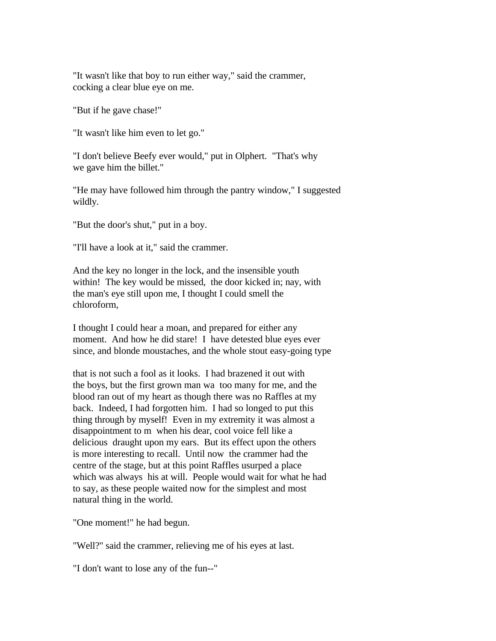"It wasn't like that boy to run either way," said the crammer, cocking a clear blue eye on me.

"But if he gave chase!"

"It wasn't like him even to let go."

"I don't believe Beefy ever would," put in Olphert. "That's why we gave him the billet."

"He may have followed him through the pantry window," I suggested wildly.

"But the door's shut," put in a boy.

"I'll have a look at it," said the crammer.

And the key no longer in the lock, and the insensible youth within! The key would be missed, the door kicked in; nay, with the man's eye still upon me, I thought I could smell the chloroform,

I thought I could hear a moan, and prepared for either any moment. And how he did stare! I have detested blue eyes ever since, and blonde moustaches, and the whole stout easy-going type

that is not such a fool as it looks. I had brazened it out with the boys, but the first grown man wa too many for me, and the blood ran out of my heart as though there was no Raffles at my back. Indeed, I had forgotten him. I had so longed to put this thing through by myself! Even in my extremity it was almost a disappointment to m when his dear, cool voice fell like a delicious draught upon my ears. But its effect upon the others is more interesting to recall. Until now the crammer had the centre of the stage, but at this point Raffles usurped a place which was always his at will. People would wait for what he had to say, as these people waited now for the simplest and most natural thing in the world.

"One moment!" he had begun.

"Well?" said the crammer, relieving me of his eyes at last.

"I don't want to lose any of the fun--"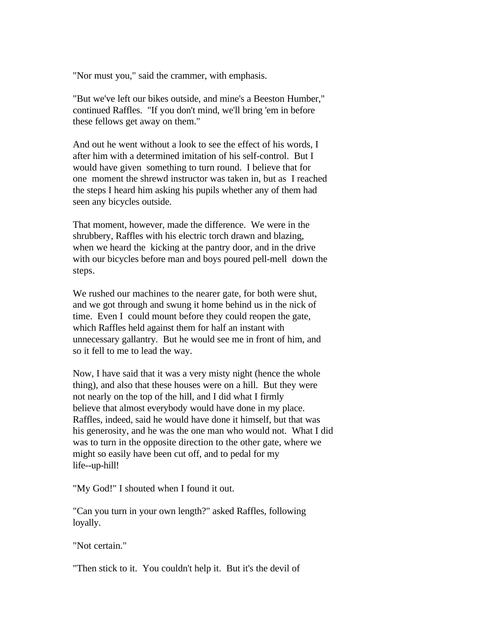"Nor must you," said the crammer, with emphasis.

"But we've left our bikes outside, and mine's a Beeston Humber," continued Raffles. "If you don't mind, we'll bring 'em in before these fellows get away on them."

And out he went without a look to see the effect of his words, I after him with a determined imitation of his self-control. But I would have given something to turn round. I believe that for one moment the shrewd instructor was taken in, but as I reached the steps I heard him asking his pupils whether any of them had seen any bicycles outside.

That moment, however, made the difference. We were in the shrubbery, Raffles with his electric torch drawn and blazing, when we heard the kicking at the pantry door, and in the drive with our bicycles before man and boys poured pell-mell down the steps.

We rushed our machines to the nearer gate, for both were shut, and we got through and swung it home behind us in the nick of time. Even I could mount before they could reopen the gate, which Raffles held against them for half an instant with unnecessary gallantry. But he would see me in front of him, and so it fell to me to lead the way.

Now, I have said that it was a very misty night (hence the whole thing), and also that these houses were on a hill. But they were not nearly on the top of the hill, and I did what I firmly believe that almost everybody would have done in my place. Raffles, indeed, said he would have done it himself, but that was his generosity, and he was the one man who would not. What I did was to turn in the opposite direction to the other gate, where we might so easily have been cut off, and to pedal for my life--up-hill!

"My God!" I shouted when I found it out.

"Can you turn in your own length?" asked Raffles, following loyally.

"Not certain."

"Then stick to it. You couldn't help it. But it's the devil of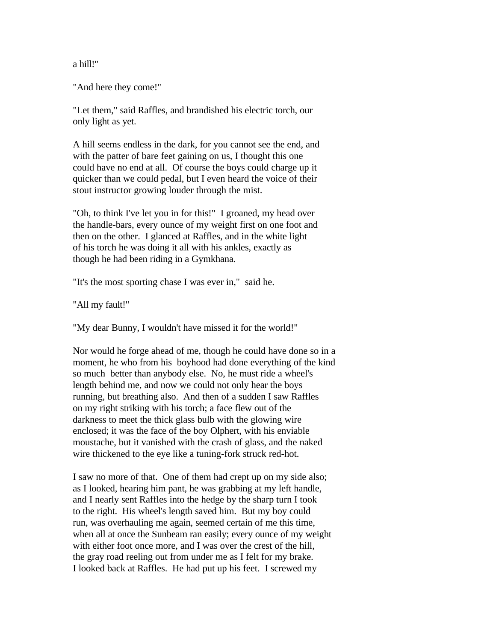a hill!"

"And here they come!"

"Let them," said Raffles, and brandished his electric torch, our only light as yet.

A hill seems endless in the dark, for you cannot see the end, and with the patter of bare feet gaining on us, I thought this one could have no end at all. Of course the boys could charge up it quicker than we could pedal, but I even heard the voice of their stout instructor growing louder through the mist.

"Oh, to think I've let you in for this!" I groaned, my head over the handle-bars, every ounce of my weight first on one foot and then on the other. I glanced at Raffles, and in the white light of his torch he was doing it all with his ankles, exactly as though he had been riding in a Gymkhana.

"It's the most sporting chase I was ever in," said he.

"All my fault!"

"My dear Bunny, I wouldn't have missed it for the world!"

Nor would he forge ahead of me, though he could have done so in a moment, he who from his boyhood had done everything of the kind so much better than anybody else. No, he must ride a wheel's length behind me, and now we could not only hear the boys running, but breathing also. And then of a sudden I saw Raffles on my right striking with his torch; a face flew out of the darkness to meet the thick glass bulb with the glowing wire enclosed; it was the face of the boy Olphert, with his enviable moustache, but it vanished with the crash of glass, and the naked wire thickened to the eye like a tuning-fork struck red-hot.

I saw no more of that. One of them had crept up on my side also; as I looked, hearing him pant, he was grabbing at my left handle, and I nearly sent Raffles into the hedge by the sharp turn I took to the right. His wheel's length saved him. But my boy could run, was overhauling me again, seemed certain of me this time, when all at once the Sunbeam ran easily; every ounce of my weight with either foot once more, and I was over the crest of the hill, the gray road reeling out from under me as I felt for my brake. I looked back at Raffles. He had put up his feet. I screwed my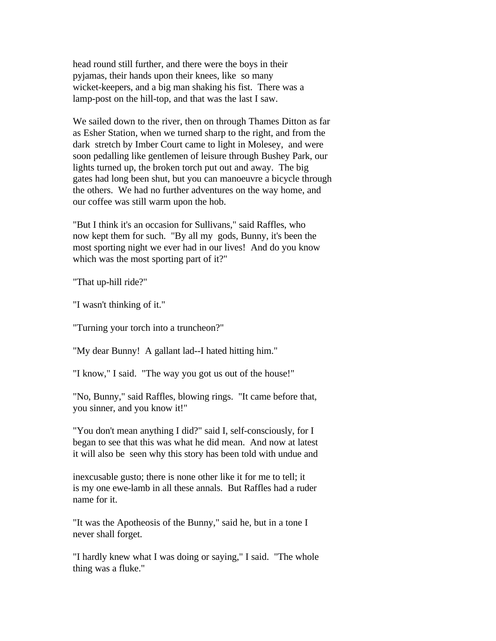head round still further, and there were the boys in their pyjamas, their hands upon their knees, like so many wicket-keepers, and a big man shaking his fist. There was a lamp-post on the hill-top, and that was the last I saw.

We sailed down to the river, then on through Thames Ditton as far as Esher Station, when we turned sharp to the right, and from the dark stretch by Imber Court came to light in Molesey, and were soon pedalling like gentlemen of leisure through Bushey Park, our lights turned up, the broken torch put out and away. The big gates had long been shut, but you can manoeuvre a bicycle through the others. We had no further adventures on the way home, and our coffee was still warm upon the hob.

"But I think it's an occasion for Sullivans," said Raffles, who now kept them for such. "By all my gods, Bunny, it's been the most sporting night we ever had in our lives! And do you know which was the most sporting part of it?"

"That up-hill ride?"

"I wasn't thinking of it."

"Turning your torch into a truncheon?"

"My dear Bunny! A gallant lad--I hated hitting him."

"I know," I said. "The way you got us out of the house!"

"No, Bunny," said Raffles, blowing rings. "It came before that, you sinner, and you know it!"

"You don't mean anything I did?" said I, self-consciously, for I began to see that this was what he did mean. And now at latest it will also be seen why this story has been told with undue and

inexcusable gusto; there is none other like it for me to tell; it is my one ewe-lamb in all these annals. But Raffles had a ruder name for it.

"It was the Apotheosis of the Bunny," said he, but in a tone I never shall forget.

"I hardly knew what I was doing or saying," I said. "The whole thing was a fluke."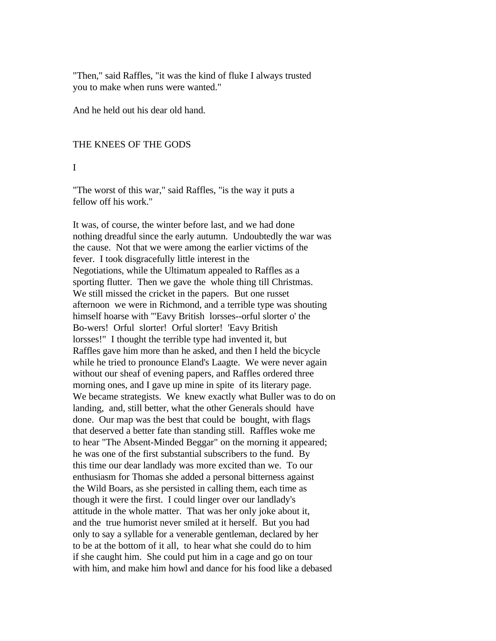"Then," said Raffles, "it was the kind of fluke I always trusted you to make when runs were wanted."

And he held out his dear old hand.

### THE KNEES OF THE GODS

#### I

"The worst of this war," said Raffles, "is the way it puts a fellow off his work."

It was, of course, the winter before last, and we had done nothing dreadful since the early autumn. Undoubtedly the war was the cause. Not that we were among the earlier victims of the fever. I took disgracefully little interest in the Negotiations, while the Ultimatum appealed to Raffles as a sporting flutter. Then we gave the whole thing till Christmas. We still missed the cricket in the papers. But one russet afternoon we were in Richmond, and a terrible type was shouting himself hoarse with "'Eavy British lorsses--orful slorter o' the Bo-wers! Orful slorter! Orful slorter! 'Eavy British lorsses!" I thought the terrible type had invented it, but Raffles gave him more than he asked, and then I held the bicycle while he tried to pronounce Eland's Laagte. We were never again without our sheaf of evening papers, and Raffles ordered three morning ones, and I gave up mine in spite of its literary page. We became strategists. We knew exactly what Buller was to do on landing, and, still better, what the other Generals should have done. Our map was the best that could be bought, with flags that deserved a better fate than standing still. Raffles woke me to hear "The Absent-Minded Beggar" on the morning it appeared; he was one of the first substantial subscribers to the fund. By this time our dear landlady was more excited than we. To our enthusiasm for Thomas she added a personal bitterness against the Wild Boars, as she persisted in calling them, each time as though it were the first. I could linger over our landlady's attitude in the whole matter. That was her only joke about it, and the true humorist never smiled at it herself. But you had only to say a syllable for a venerable gentleman, declared by her to be at the bottom of it all, to hear what she could do to him if she caught him. She could put him in a cage and go on tour with him, and make him howl and dance for his food like a debased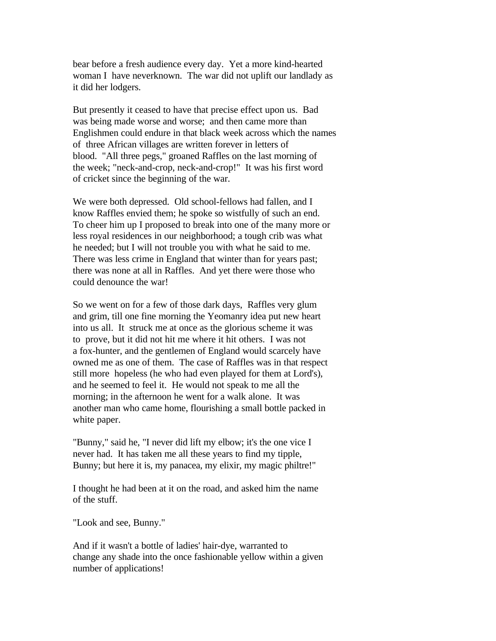bear before a fresh audience every day. Yet a more kind-hearted woman I have neverknown. The war did not uplift our landlady as it did her lodgers.

But presently it ceased to have that precise effect upon us. Bad was being made worse and worse; and then came more than Englishmen could endure in that black week across which the names of three African villages are written forever in letters of blood. "All three pegs," groaned Raffles on the last morning of the week; "neck-and-crop, neck-and-crop!" It was his first word of cricket since the beginning of the war.

We were both depressed. Old school-fellows had fallen, and I know Raffles envied them; he spoke so wistfully of such an end. To cheer him up I proposed to break into one of the many more or less royal residences in our neighborhood; a tough crib was what he needed; but I will not trouble you with what he said to me. There was less crime in England that winter than for years past; there was none at all in Raffles. And yet there were those who could denounce the war!

So we went on for a few of those dark days, Raffles very glum and grim, till one fine morning the Yeomanry idea put new heart into us all. It struck me at once as the glorious scheme it was to prove, but it did not hit me where it hit others. I was not a fox-hunter, and the gentlemen of England would scarcely have owned me as one of them. The case of Raffles was in that respect still more hopeless (he who had even played for them at Lord's), and he seemed to feel it. He would not speak to me all the morning; in the afternoon he went for a walk alone. It was another man who came home, flourishing a small bottle packed in white paper.

"Bunny," said he, "I never did lift my elbow; it's the one vice I never had. It has taken me all these years to find my tipple, Bunny; but here it is, my panacea, my elixir, my magic philtre!"

I thought he had been at it on the road, and asked him the name of the stuff.

"Look and see, Bunny."

And if it wasn't a bottle of ladies' hair-dye, warranted to change any shade into the once fashionable yellow within a given number of applications!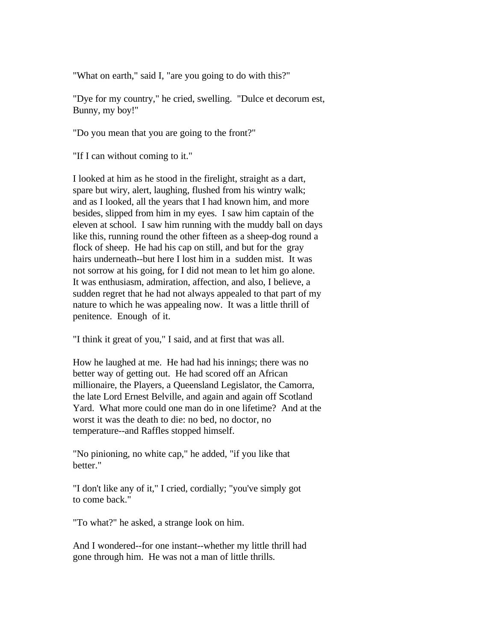"What on earth," said I, "are you going to do with this?"

"Dye for my country," he cried, swelling. "Dulce et decorum est, Bunny, my boy!"

"Do you mean that you are going to the front?"

"If I can without coming to it."

I looked at him as he stood in the firelight, straight as a dart, spare but wiry, alert, laughing, flushed from his wintry walk; and as I looked, all the years that I had known him, and more besides, slipped from him in my eyes. I saw him captain of the eleven at school. I saw him running with the muddy ball on days like this, running round the other fifteen as a sheep-dog round a flock of sheep. He had his cap on still, and but for the gray hairs underneath--but here I lost him in a sudden mist. It was not sorrow at his going, for I did not mean to let him go alone. It was enthusiasm, admiration, affection, and also, I believe, a sudden regret that he had not always appealed to that part of my nature to which he was appealing now. It was a little thrill of penitence. Enough of it.

"I think it great of you," I said, and at first that was all.

How he laughed at me. He had had his innings; there was no better way of getting out. He had scored off an African millionaire, the Players, a Queensland Legislator, the Camorra, the late Lord Ernest Belville, and again and again off Scotland Yard. What more could one man do in one lifetime? And at the worst it was the death to die: no bed, no doctor, no temperature--and Raffles stopped himself.

"No pinioning, no white cap," he added, "if you like that better."

"I don't like any of it," I cried, cordially; "you've simply got to come back."

"To what?" he asked, a strange look on him.

And I wondered--for one instant--whether my little thrill had gone through him. He was not a man of little thrills.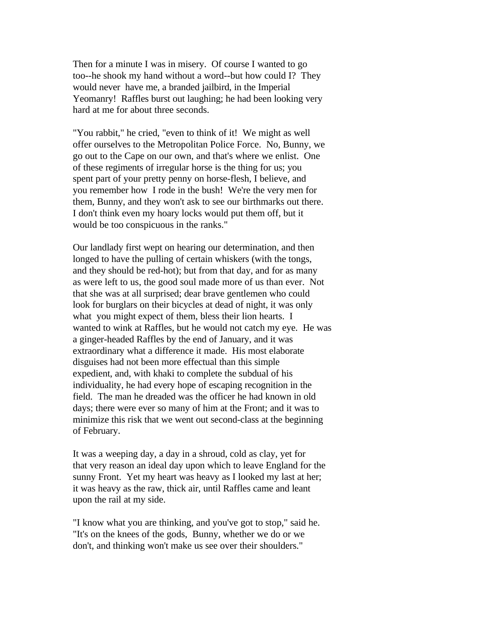Then for a minute I was in misery. Of course I wanted to go too--he shook my hand without a word--but how could I? They would never have me, a branded jailbird, in the Imperial Yeomanry! Raffles burst out laughing; he had been looking very hard at me for about three seconds.

"You rabbit," he cried, "even to think of it! We might as well offer ourselves to the Metropolitan Police Force. No, Bunny, we go out to the Cape on our own, and that's where we enlist. One of these regiments of irregular horse is the thing for us; you spent part of your pretty penny on horse-flesh, I believe, and you remember how I rode in the bush! We're the very men for them, Bunny, and they won't ask to see our birthmarks out there. I don't think even my hoary locks would put them off, but it would be too conspicuous in the ranks."

Our landlady first wept on hearing our determination, and then longed to have the pulling of certain whiskers (with the tongs, and they should be red-hot); but from that day, and for as many as were left to us, the good soul made more of us than ever. Not that she was at all surprised; dear brave gentlemen who could look for burglars on their bicycles at dead of night, it was only what you might expect of them, bless their lion hearts. I wanted to wink at Raffles, but he would not catch my eye. He was a ginger-headed Raffles by the end of January, and it was extraordinary what a difference it made. His most elaborate disguises had not been more effectual than this simple expedient, and, with khaki to complete the subdual of his individuality, he had every hope of escaping recognition in the field. The man he dreaded was the officer he had known in old days; there were ever so many of him at the Front; and it was to minimize this risk that we went out second-class at the beginning of February.

It was a weeping day, a day in a shroud, cold as clay, yet for that very reason an ideal day upon which to leave England for the sunny Front. Yet my heart was heavy as I looked my last at her; it was heavy as the raw, thick air, until Raffles came and leant upon the rail at my side.

"I know what you are thinking, and you've got to stop," said he. "It's on the knees of the gods, Bunny, whether we do or we don't, and thinking won't make us see over their shoulders."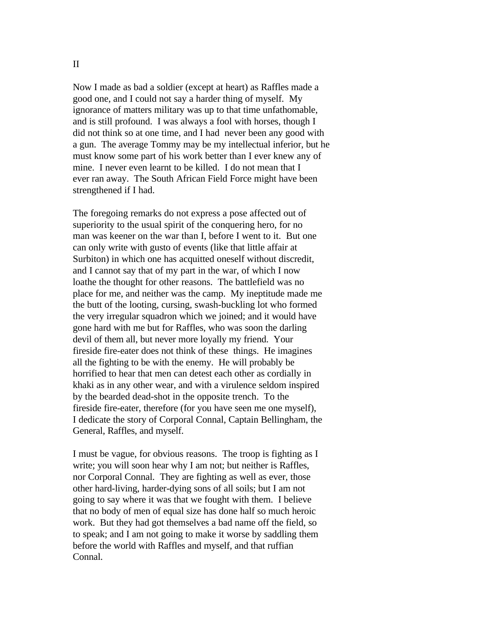Now I made as bad a soldier (except at heart) as Raffles made a good one, and I could not say a harder thing of myself. My ignorance of matters military was up to that time unfathomable, and is still profound. I was always a fool with horses, though I did not think so at one time, and I had never been any good with a gun. The average Tommy may be my intellectual inferior, but he must know some part of his work better than I ever knew any of mine. I never even learnt to be killed. I do not mean that I ever ran away. The South African Field Force might have been strengthened if I had.

The foregoing remarks do not express a pose affected out of superiority to the usual spirit of the conquering hero, for no man was keener on the war than I, before I went to it. But one can only write with gusto of events (like that little affair at Surbiton) in which one has acquitted oneself without discredit, and I cannot say that of my part in the war, of which I now loathe the thought for other reasons. The battlefield was no place for me, and neither was the camp. My ineptitude made me the butt of the looting, cursing, swash-buckling lot who formed the very irregular squadron which we joined; and it would have gone hard with me but for Raffles, who was soon the darling devil of them all, but never more loyally my friend. Your fireside fire-eater does not think of these things. He imagines all the fighting to be with the enemy. He will probably be horrified to hear that men can detest each other as cordially in khaki as in any other wear, and with a virulence seldom inspired by the bearded dead-shot in the opposite trench. To the fireside fire-eater, therefore (for you have seen me one myself), I dedicate the story of Corporal Connal, Captain Bellingham, the General, Raffles, and myself.

I must be vague, for obvious reasons. The troop is fighting as I write; you will soon hear why I am not; but neither is Raffles, nor Corporal Connal. They are fighting as well as ever, those other hard-living, harder-dying sons of all soils; but I am not going to say where it was that we fought with them. I believe that no body of men of equal size has done half so much heroic work. But they had got themselves a bad name off the field, so to speak; and I am not going to make it worse by saddling them before the world with Raffles and myself, and that ruffian Connal.

II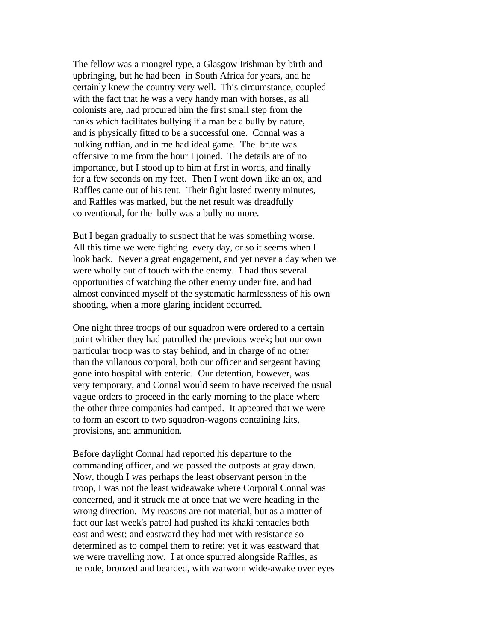The fellow was a mongrel type, a Glasgow Irishman by birth and upbringing, but he had been in South Africa for years, and he certainly knew the country very well. This circumstance, coupled with the fact that he was a very handy man with horses, as all colonists are, had procured him the first small step from the ranks which facilitates bullying if a man be a bully by nature, and is physically fitted to be a successful one. Connal was a hulking ruffian, and in me had ideal game. The brute was offensive to me from the hour I joined. The details are of no importance, but I stood up to him at first in words, and finally for a few seconds on my feet. Then I went down like an ox, and Raffles came out of his tent. Their fight lasted twenty minutes, and Raffles was marked, but the net result was dreadfully conventional, for the bully was a bully no more.

But I began gradually to suspect that he was something worse. All this time we were fighting every day, or so it seems when I look back. Never a great engagement, and yet never a day when we were wholly out of touch with the enemy. I had thus several opportunities of watching the other enemy under fire, and had almost convinced myself of the systematic harmlessness of his own shooting, when a more glaring incident occurred.

One night three troops of our squadron were ordered to a certain point whither they had patrolled the previous week; but our own particular troop was to stay behind, and in charge of no other than the villanous corporal, both our officer and sergeant having gone into hospital with enteric. Our detention, however, was very temporary, and Connal would seem to have received the usual vague orders to proceed in the early morning to the place where the other three companies had camped. It appeared that we were to form an escort to two squadron-wagons containing kits, provisions, and ammunition.

Before daylight Connal had reported his departure to the commanding officer, and we passed the outposts at gray dawn. Now, though I was perhaps the least observant person in the troop, I was not the least wideawake where Corporal Connal was concerned, and it struck me at once that we were heading in the wrong direction. My reasons are not material, but as a matter of fact our last week's patrol had pushed its khaki tentacles both east and west; and eastward they had met with resistance so determined as to compel them to retire; yet it was eastward that we were travelling now. I at once spurred alongside Raffles, as he rode, bronzed and bearded, with warworn wide-awake over eyes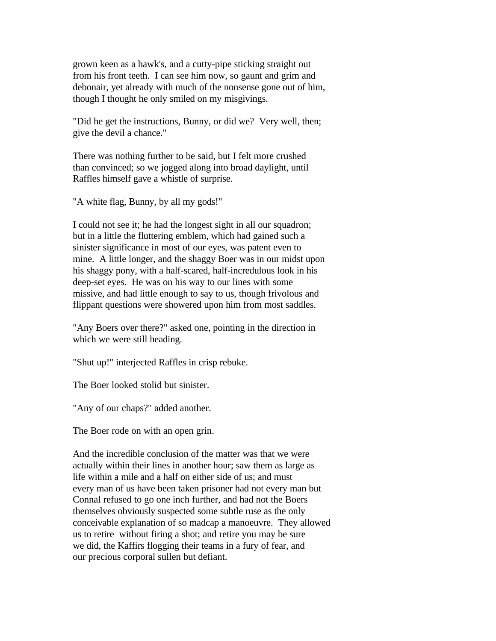grown keen as a hawk's, and a cutty-pipe sticking straight out from his front teeth. I can see him now, so gaunt and grim and debonair, yet already with much of the nonsense gone out of him, though I thought he only smiled on my misgivings.

"Did he get the instructions, Bunny, or did we? Very well, then; give the devil a chance."

There was nothing further to be said, but I felt more crushed than convinced; so we jogged along into broad daylight, until Raffles himself gave a whistle of surprise.

"A white flag, Bunny, by all my gods!"

I could not see it; he had the longest sight in all our squadron; but in a little the fluttering emblem, which had gained such a sinister significance in most of our eyes, was patent even to mine. A little longer, and the shaggy Boer was in our midst upon his shaggy pony, with a half-scared, half-incredulous look in his deep-set eyes. He was on his way to our lines with some missive, and had little enough to say to us, though frivolous and flippant questions were showered upon him from most saddles.

"Any Boers over there?" asked one, pointing in the direction in which we were still heading.

"Shut up!" interjected Raffles in crisp rebuke.

The Boer looked stolid but sinister.

"Any of our chaps?" added another.

The Boer rode on with an open grin.

And the incredible conclusion of the matter was that we were actually within their lines in another hour; saw them as large as life within a mile and a half on either side of us; and must every man of us have been taken prisoner had not every man but Connal refused to go one inch further, and had not the Boers themselves obviously suspected some subtle ruse as the only conceivable explanation of so madcap a manoeuvre. They allowed us to retire without firing a shot; and retire you may be sure we did, the Kaffirs flogging their teams in a fury of fear, and our precious corporal sullen but defiant.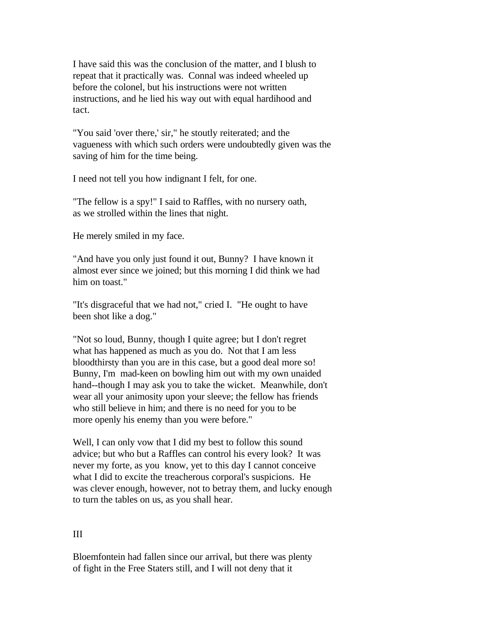I have said this was the conclusion of the matter, and I blush to repeat that it practically was. Connal was indeed wheeled up before the colonel, but his instructions were not written instructions, and he lied his way out with equal hardihood and tact.

"You said 'over there,' sir," he stoutly reiterated; and the vagueness with which such orders were undoubtedly given was the saving of him for the time being.

I need not tell you how indignant I felt, for one.

"The fellow is a spy!" I said to Raffles, with no nursery oath, as we strolled within the lines that night.

He merely smiled in my face.

"And have you only just found it out, Bunny? I have known it almost ever since we joined; but this morning I did think we had him on toast."

"It's disgraceful that we had not," cried I. "He ought to have been shot like a dog."

"Not so loud, Bunny, though I quite agree; but I don't regret what has happened as much as you do. Not that I am less bloodthirsty than you are in this case, but a good deal more so! Bunny, I'm mad-keen on bowling him out with my own unaided hand--though I may ask you to take the wicket. Meanwhile, don't wear all your animosity upon your sleeve; the fellow has friends who still believe in him; and there is no need for you to be more openly his enemy than you were before."

Well, I can only vow that I did my best to follow this sound advice; but who but a Raffles can control his every look? It was never my forte, as you know, yet to this day I cannot conceive what I did to excite the treacherous corporal's suspicions. He was clever enough, however, not to betray them, and lucky enough to turn the tables on us, as you shall hear.

# III

Bloemfontein had fallen since our arrival, but there was plenty of fight in the Free Staters still, and I will not deny that it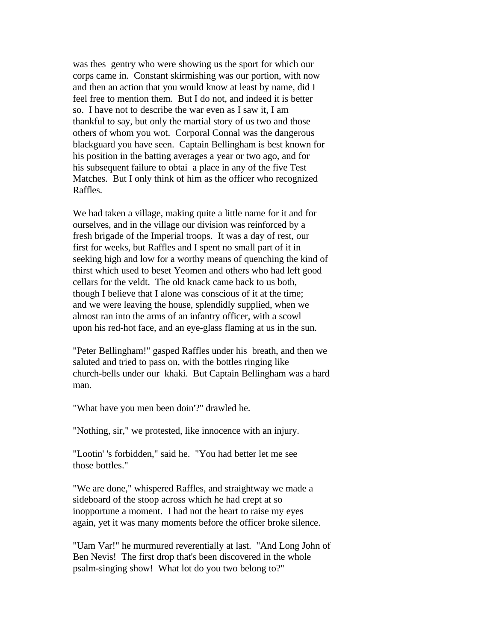was thes gentry who were showing us the sport for which our corps came in. Constant skirmishing was our portion, with now and then an action that you would know at least by name, did I feel free to mention them. But I do not, and indeed it is better so. I have not to describe the war even as I saw it, I am thankful to say, but only the martial story of us two and those others of whom you wot. Corporal Connal was the dangerous blackguard you have seen. Captain Bellingham is best known for his position in the batting averages a year or two ago, and for his subsequent failure to obtai a place in any of the five Test Matches. But I only think of him as the officer who recognized Raffles.

We had taken a village, making quite a little name for it and for ourselves, and in the village our division was reinforced by a fresh brigade of the Imperial troops. It was a day of rest, our first for weeks, but Raffles and I spent no small part of it in seeking high and low for a worthy means of quenching the kind of thirst which used to beset Yeomen and others who had left good cellars for the veldt. The old knack came back to us both, though I believe that I alone was conscious of it at the time; and we were leaving the house, splendidly supplied, when we almost ran into the arms of an infantry officer, with a scowl upon his red-hot face, and an eye-glass flaming at us in the sun.

"Peter Bellingham!" gasped Raffles under his breath, and then we saluted and tried to pass on, with the bottles ringing like church-bells under our khaki. But Captain Bellingham was a hard man.

"What have you men been doin'?" drawled he.

"Nothing, sir," we protested, like innocence with an injury.

"Lootin' 's forbidden," said he. "You had better let me see those bottles."

"We are done," whispered Raffles, and straightway we made a sideboard of the stoop across which he had crept at so inopportune a moment. I had not the heart to raise my eyes again, yet it was many moments before the officer broke silence.

"Uam Var!" he murmured reverentially at last. "And Long John of Ben Nevis! The first drop that's been discovered in the whole psalm-singing show! What lot do you two belong to?"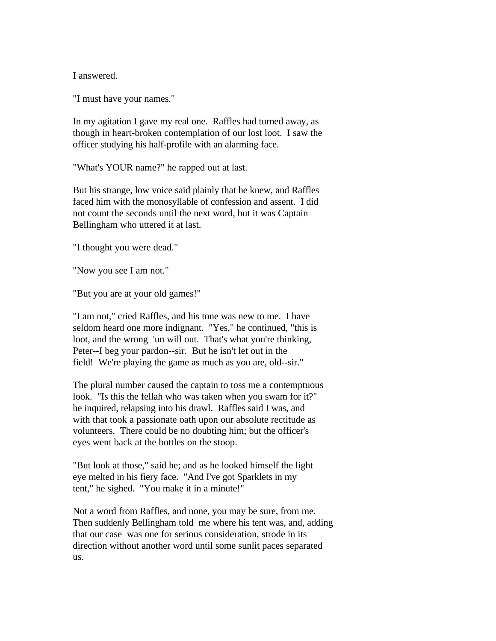I answered.

"I must have your names."

In my agitation I gave my real one. Raffles had turned away, as though in heart-broken contemplation of our lost loot. I saw the officer studying his half-profile with an alarming face.

"What's YOUR name?" he rapped out at last.

But his strange, low voice said plainly that he knew, and Raffles faced him with the monosyllable of confession and assent. I did not count the seconds until the next word, but it was Captain Bellingham who uttered it at last.

"I thought you were dead."

"Now you see I am not."

"But you are at your old games!"

"I am not," cried Raffles, and his tone was new to me. I have seldom heard one more indignant. "Yes," he continued, "this is loot, and the wrong 'un will out. That's what you're thinking, Peter--I beg your pardon--sir. But he isn't let out in the field! We're playing the game as much as you are, old--sir."

The plural number caused the captain to toss me a contemptuous look. "Is this the fellah who was taken when you swam for it?" he inquired, relapsing into his drawl. Raffles said I was, and with that took a passionate oath upon our absolute rectitude as volunteers. There could be no doubting him; but the officer's eyes went back at the bottles on the stoop.

"But look at those," said he; and as he looked himself the light eye melted in his fiery face. "And I've got Sparklets in my tent," he sighed. "You make it in a minute!"

Not a word from Raffles, and none, you may be sure, from me. Then suddenly Bellingham told me where his tent was, and, adding that our case was one for serious consideration, strode in its direction without another word until some sunlit paces separated us.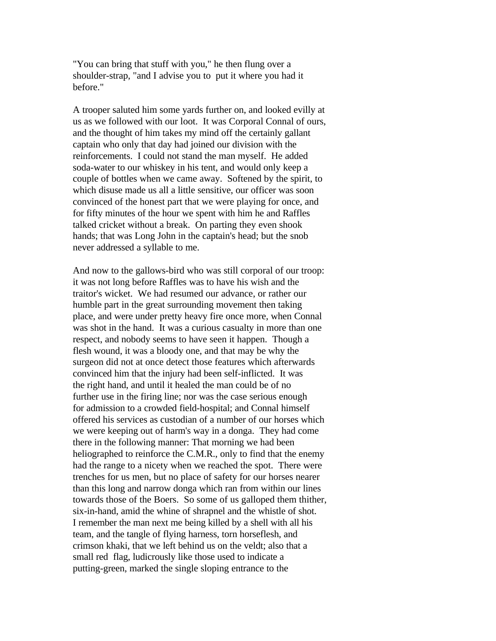"You can bring that stuff with you," he then flung over a shoulder-strap, "and I advise you to put it where you had it before."

A trooper saluted him some yards further on, and looked evilly at us as we followed with our loot. It was Corporal Connal of ours, and the thought of him takes my mind off the certainly gallant captain who only that day had joined our division with the reinforcements. I could not stand the man myself. He added soda-water to our whiskey in his tent, and would only keep a couple of bottles when we came away. Softened by the spirit, to which disuse made us all a little sensitive, our officer was soon convinced of the honest part that we were playing for once, and for fifty minutes of the hour we spent with him he and Raffles talked cricket without a break. On parting they even shook hands; that was Long John in the captain's head; but the snob never addressed a syllable to me.

And now to the gallows-bird who was still corporal of our troop: it was not long before Raffles was to have his wish and the traitor's wicket. We had resumed our advance, or rather our humble part in the great surrounding movement then taking place, and were under pretty heavy fire once more, when Connal was shot in the hand. It was a curious casualty in more than one respect, and nobody seems to have seen it happen. Though a flesh wound, it was a bloody one, and that may be why the surgeon did not at once detect those features which afterwards convinced him that the injury had been self-inflicted. It was the right hand, and until it healed the man could be of no further use in the firing line; nor was the case serious enough for admission to a crowded field-hospital; and Connal himself offered his services as custodian of a number of our horses which we were keeping out of harm's way in a donga. They had come there in the following manner: That morning we had been heliographed to reinforce the C.M.R., only to find that the enemy had the range to a nicety when we reached the spot. There were trenches for us men, but no place of safety for our horses nearer than this long and narrow donga which ran from within our lines towards those of the Boers. So some of us galloped them thither, six-in-hand, amid the whine of shrapnel and the whistle of shot. I remember the man next me being killed by a shell with all his team, and the tangle of flying harness, torn horseflesh, and crimson khaki, that we left behind us on the veldt; also that a small red flag, ludicrously like those used to indicate a putting-green, marked the single sloping entrance to the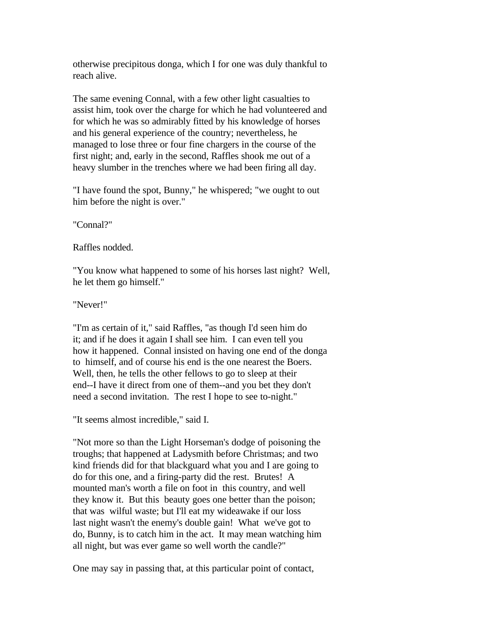otherwise precipitous donga, which I for one was duly thankful to reach alive.

The same evening Connal, with a few other light casualties to assist him, took over the charge for which he had volunteered and for which he was so admirably fitted by his knowledge of horses and his general experience of the country; nevertheless, he managed to lose three or four fine chargers in the course of the first night; and, early in the second, Raffles shook me out of a heavy slumber in the trenches where we had been firing all day.

"I have found the spot, Bunny," he whispered; "we ought to out him before the night is over."

"Connal?"

Raffles nodded.

"You know what happened to some of his horses last night? Well, he let them go himself."

"Never!"

"I'm as certain of it," said Raffles, "as though I'd seen him do it; and if he does it again I shall see him. I can even tell you how it happened. Connal insisted on having one end of the donga to himself, and of course his end is the one nearest the Boers. Well, then, he tells the other fellows to go to sleep at their end--I have it direct from one of them--and you bet they don't need a second invitation. The rest I hope to see to-night."

"It seems almost incredible," said I.

"Not more so than the Light Horseman's dodge of poisoning the troughs; that happened at Ladysmith before Christmas; and two kind friends did for that blackguard what you and I are going to do for this one, and a firing-party did the rest. Brutes! A mounted man's worth a file on foot in this country, and well they know it. But this beauty goes one better than the poison; that was wilful waste; but I'll eat my wideawake if our loss last night wasn't the enemy's double gain! What we've got to do, Bunny, is to catch him in the act. It may mean watching him all night, but was ever game so well worth the candle?"

One may say in passing that, at this particular point of contact,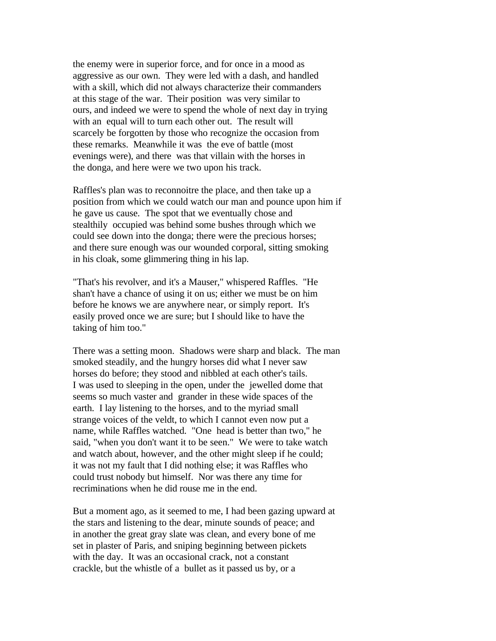the enemy were in superior force, and for once in a mood as aggressive as our own. They were led with a dash, and handled with a skill, which did not always characterize their commanders at this stage of the war. Their position was very similar to ours, and indeed we were to spend the whole of next day in trying with an equal will to turn each other out. The result will scarcely be forgotten by those who recognize the occasion from these remarks. Meanwhile it was the eve of battle (most evenings were), and there was that villain with the horses in the donga, and here were we two upon his track.

Raffles's plan was to reconnoitre the place, and then take up a position from which we could watch our man and pounce upon him if he gave us cause. The spot that we eventually chose and stealthily occupied was behind some bushes through which we could see down into the donga; there were the precious horses; and there sure enough was our wounded corporal, sitting smoking in his cloak, some glimmering thing in his lap.

"That's his revolver, and it's a Mauser," whispered Raffles. "He shan't have a chance of using it on us; either we must be on him before he knows we are anywhere near, or simply report. It's easily proved once we are sure; but I should like to have the taking of him too."

There was a setting moon. Shadows were sharp and black. The man smoked steadily, and the hungry horses did what I never saw horses do before; they stood and nibbled at each other's tails. I was used to sleeping in the open, under the jewelled dome that seems so much vaster and grander in these wide spaces of the earth. I lay listening to the horses, and to the myriad small strange voices of the veldt, to which I cannot even now put a name, while Raffles watched. "One head is better than two," he said, "when you don't want it to be seen." We were to take watch and watch about, however, and the other might sleep if he could; it was not my fault that I did nothing else; it was Raffles who could trust nobody but himself. Nor was there any time for recriminations when he did rouse me in the end.

But a moment ago, as it seemed to me, I had been gazing upward at the stars and listening to the dear, minute sounds of peace; and in another the great gray slate was clean, and every bone of me set in plaster of Paris, and sniping beginning between pickets with the day. It was an occasional crack, not a constant crackle, but the whistle of a bullet as it passed us by, or a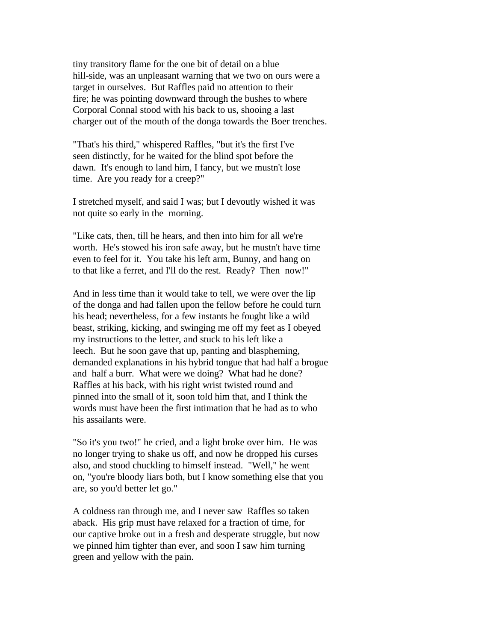tiny transitory flame for the one bit of detail on a blue hill-side, was an unpleasant warning that we two on ours were a target in ourselves. But Raffles paid no attention to their fire; he was pointing downward through the bushes to where Corporal Connal stood with his back to us, shooing a last charger out of the mouth of the donga towards the Boer trenches.

"That's his third," whispered Raffles, "but it's the first I've seen distinctly, for he waited for the blind spot before the dawn. It's enough to land him, I fancy, but we mustn't lose time. Are you ready for a creep?"

I stretched myself, and said I was; but I devoutly wished it was not quite so early in the morning.

"Like cats, then, till he hears, and then into him for all we're worth. He's stowed his iron safe away, but he mustn't have time even to feel for it. You take his left arm, Bunny, and hang on to that like a ferret, and I'll do the rest. Ready? Then now!"

And in less time than it would take to tell, we were over the lip of the donga and had fallen upon the fellow before he could turn his head; nevertheless, for a few instants he fought like a wild beast, striking, kicking, and swinging me off my feet as I obeyed my instructions to the letter, and stuck to his left like a leech. But he soon gave that up, panting and blaspheming, demanded explanations in his hybrid tongue that had half a brogue and half a burr. What were we doing? What had he done? Raffles at his back, with his right wrist twisted round and pinned into the small of it, soon told him that, and I think the words must have been the first intimation that he had as to who his assailants were.

"So it's you two!" he cried, and a light broke over him. He was no longer trying to shake us off, and now he dropped his curses also, and stood chuckling to himself instead. "Well," he went on, "you're bloody liars both, but I know something else that you are, so you'd better let go."

A coldness ran through me, and I never saw Raffles so taken aback. His grip must have relaxed for a fraction of time, for our captive broke out in a fresh and desperate struggle, but now we pinned him tighter than ever, and soon I saw him turning green and yellow with the pain.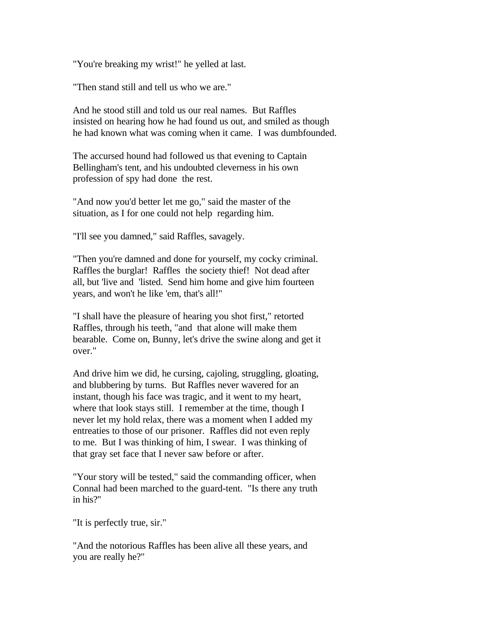"You're breaking my wrist!" he yelled at last.

"Then stand still and tell us who we are."

And he stood still and told us our real names. But Raffles insisted on hearing how he had found us out, and smiled as though he had known what was coming when it came. I was dumbfounded.

The accursed hound had followed us that evening to Captain Bellingham's tent, and his undoubted cleverness in his own profession of spy had done the rest.

"And now you'd better let me go," said the master of the situation, as I for one could not help regarding him.

"I'll see you damned," said Raffles, savagely.

"Then you're damned and done for yourself, my cocky criminal. Raffles the burglar! Raffles the society thief! Not dead after all, but 'live and 'listed. Send him home and give him fourteen years, and won't he like 'em, that's all!"

"I shall have the pleasure of hearing you shot first," retorted Raffles, through his teeth, "and that alone will make them bearable. Come on, Bunny, let's drive the swine along and get it over."

And drive him we did, he cursing, cajoling, struggling, gloating, and blubbering by turns. But Raffles never wavered for an instant, though his face was tragic, and it went to my heart, where that look stays still. I remember at the time, though I never let my hold relax, there was a moment when I added my entreaties to those of our prisoner. Raffles did not even reply to me. But I was thinking of him, I swear. I was thinking of that gray set face that I never saw before or after.

"Your story will be tested," said the commanding officer, when Connal had been marched to the guard-tent. "Is there any truth in his?"

"It is perfectly true, sir."

"And the notorious Raffles has been alive all these years, and you are really he?"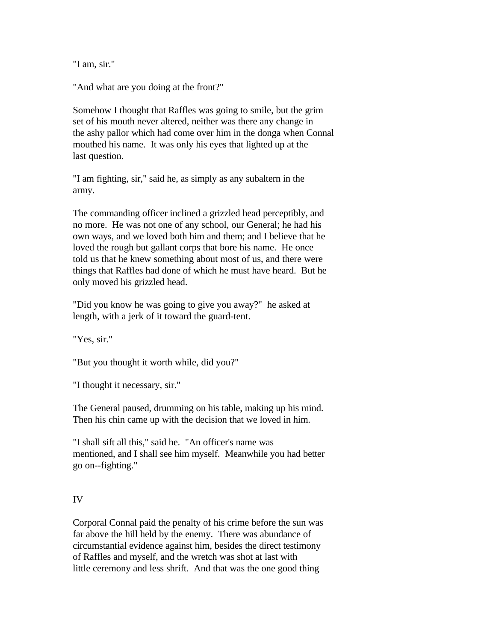"I am, sir."

"And what are you doing at the front?"

Somehow I thought that Raffles was going to smile, but the grim set of his mouth never altered, neither was there any change in the ashy pallor which had come over him in the donga when Connal mouthed his name. It was only his eyes that lighted up at the last question.

"I am fighting, sir," said he, as simply as any subaltern in the army.

The commanding officer inclined a grizzled head perceptibly, and no more. He was not one of any school, our General; he had his own ways, and we loved both him and them; and I believe that he loved the rough but gallant corps that bore his name. He once told us that he knew something about most of us, and there were things that Raffles had done of which he must have heard. But he only moved his grizzled head.

"Did you know he was going to give you away?" he asked at length, with a jerk of it toward the guard-tent.

"Yes, sir."

"But you thought it worth while, did you?"

"I thought it necessary, sir."

The General paused, drumming on his table, making up his mind. Then his chin came up with the decision that we loved in him.

"I shall sift all this," said he. "An officer's name was mentioned, and I shall see him myself. Meanwhile you had better go on--fighting."

# IV

Corporal Connal paid the penalty of his crime before the sun was far above the hill held by the enemy. There was abundance of circumstantial evidence against him, besides the direct testimony of Raffles and myself, and the wretch was shot at last with little ceremony and less shrift. And that was the one good thing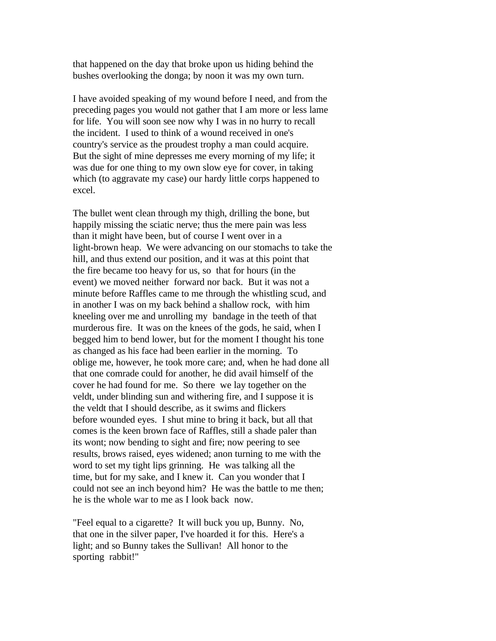that happened on the day that broke upon us hiding behind the bushes overlooking the donga; by noon it was my own turn.

I have avoided speaking of my wound before I need, and from the preceding pages you would not gather that I am more or less lame for life. You will soon see now why I was in no hurry to recall the incident. I used to think of a wound received in one's country's service as the proudest trophy a man could acquire. But the sight of mine depresses me every morning of my life; it was due for one thing to my own slow eye for cover, in taking which (to aggravate my case) our hardy little corps happened to excel.

The bullet went clean through my thigh, drilling the bone, but happily missing the sciatic nerve; thus the mere pain was less than it might have been, but of course I went over in a light-brown heap. We were advancing on our stomachs to take the hill, and thus extend our position, and it was at this point that the fire became too heavy for us, so that for hours (in the event) we moved neither forward nor back. But it was not a minute before Raffles came to me through the whistling scud, and in another I was on my back behind a shallow rock, with him kneeling over me and unrolling my bandage in the teeth of that murderous fire. It was on the knees of the gods, he said, when I begged him to bend lower, but for the moment I thought his tone as changed as his face had been earlier in the morning. To oblige me, however, he took more care; and, when he had done all that one comrade could for another, he did avail himself of the cover he had found for me. So there we lay together on the veldt, under blinding sun and withering fire, and I suppose it is the veldt that I should describe, as it swims and flickers before wounded eyes. I shut mine to bring it back, but all that comes is the keen brown face of Raffles, still a shade paler than its wont; now bending to sight and fire; now peering to see results, brows raised, eyes widened; anon turning to me with the word to set my tight lips grinning. He was talking all the time, but for my sake, and I knew it. Can you wonder that I could not see an inch beyond him? He was the battle to me then; he is the whole war to me as I look back now.

"Feel equal to a cigarette? It will buck you up, Bunny. No, that one in the silver paper, I've hoarded it for this. Here's a light; and so Bunny takes the Sullivan! All honor to the sporting rabbit!"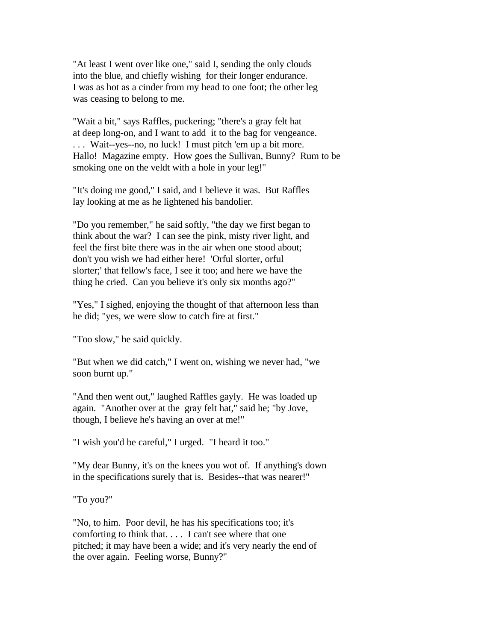"At least I went over like one," said I, sending the only clouds into the blue, and chiefly wishing for their longer endurance. I was as hot as a cinder from my head to one foot; the other leg was ceasing to belong to me.

"Wait a bit," says Raffles, puckering; "there's a gray felt hat at deep long-on, and I want to add it to the bag for vengeance. . . . Wait--yes--no, no luck! I must pitch 'em up a bit more. Hallo! Magazine empty. How goes the Sullivan, Bunny? Rum to be smoking one on the veldt with a hole in your leg!"

"It's doing me good," I said, and I believe it was. But Raffles lay looking at me as he lightened his bandolier.

"Do you remember," he said softly, "the day we first began to think about the war? I can see the pink, misty river light, and feel the first bite there was in the air when one stood about; don't you wish we had either here! 'Orful slorter, orful slorter;' that fellow's face, I see it too; and here we have the thing he cried. Can you believe it's only six months ago?"

"Yes," I sighed, enjoying the thought of that afternoon less than he did; "yes, we were slow to catch fire at first."

"Too slow," he said quickly.

"But when we did catch," I went on, wishing we never had, "we soon burnt up."

"And then went out," laughed Raffles gayly. He was loaded up again. "Another over at the gray felt hat," said he; "by Jove, though, I believe he's having an over at me!"

"I wish you'd be careful," I urged. "I heard it too."

"My dear Bunny, it's on the knees you wot of. If anything's down in the specifications surely that is. Besides--that was nearer!"

"To you?"

"No, to him. Poor devil, he has his specifications too; it's comforting to think that. . . . I can't see where that one pitched; it may have been a wide; and it's very nearly the end of the over again. Feeling worse, Bunny?"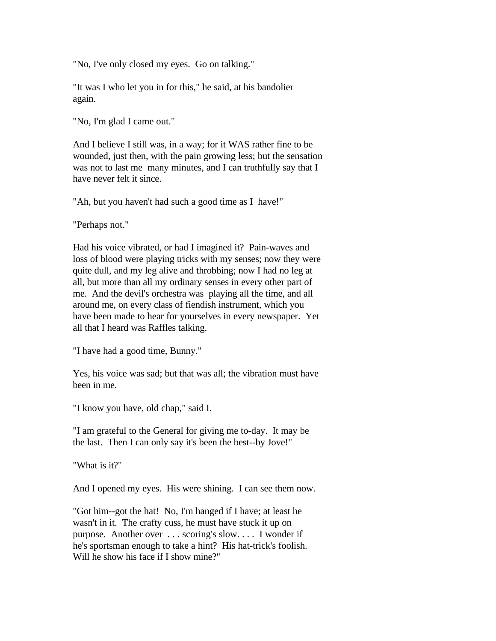"No, I've only closed my eyes. Go on talking."

"It was I who let you in for this," he said, at his bandolier again.

"No, I'm glad I came out."

And I believe I still was, in a way; for it WAS rather fine to be wounded, just then, with the pain growing less; but the sensation was not to last me many minutes, and I can truthfully say that I have never felt it since.

"Ah, but you haven't had such a good time as I have!"

"Perhaps not."

Had his voice vibrated, or had I imagined it? Pain-waves and loss of blood were playing tricks with my senses; now they were quite dull, and my leg alive and throbbing; now I had no leg at all, but more than all my ordinary senses in every other part of me. And the devil's orchestra was playing all the time, and all around me, on every class of fiendish instrument, which you have been made to hear for yourselves in every newspaper. Yet all that I heard was Raffles talking.

"I have had a good time, Bunny."

Yes, his voice was sad; but that was all; the vibration must have been in me.

"I know you have, old chap," said I.

"I am grateful to the General for giving me to-day. It may be the last. Then I can only say it's been the best--by Jove!"

"What is it?"

And I opened my eyes. His were shining. I can see them now.

"Got him--got the hat! No, I'm hanged if I have; at least he wasn't in it. The crafty cuss, he must have stuck it up on purpose. Another over . . . scoring's slow. . . . I wonder if he's sportsman enough to take a hint? His hat-trick's foolish. Will he show his face if I show mine?"